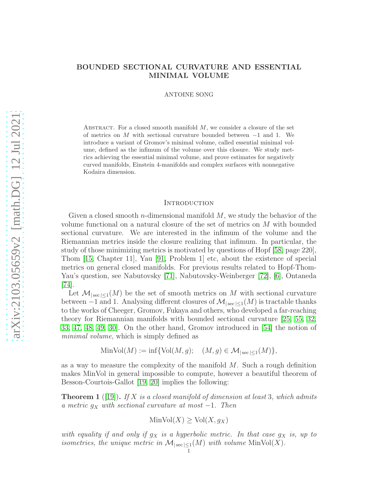# BOUNDED SECTIONAL CURVATURE AND ESSENTIAL MINIMAL VOLUME

ANTOINE SONG

ABSTRACT. For a closed smooth manifold  $M$ , we consider a closure of the set of metrics on M with sectional curvature bounded between  $-1$  and 1. We introduce a variant of Gromov's minimal volume, called essential minimal volume, defined as the infimum of the volume over this closure. We study metrics achieving the essential minimal volume, and prove estimates for negatively curved manifolds, Einstein 4-manifolds and complex surfaces with nonnegative Kodaira dimension.

### **INTRODUCTION**

Given a closed smooth *n*-dimensional manifold  $M$ , we study the behavior of the volume functional on a natural closure of the set of metrics on M with bounded sectional curvature. We are interested in the infimum of the volume and the Riemannian metrics inside the closure realizing that infimum. In particular, the study of those minimizing metrics is motivated by questions of Hopf [\[58,](#page-56-0) page 220], Thom [\[15,](#page-55-0) Chapter 11], Yau [\[91,](#page-58-0) Problem 1] etc, about the existence of special metrics on general closed manifolds. For previous results related to Hopf-Thom-Yau's question, see Nabutovsky [\[71\]](#page-57-0), Nabutovsky-Weinberger [\[72\]](#page-57-1), [\[6\]](#page-54-0), Ontaneda [\[74\]](#page-57-2).

Let  $\mathcal{M}_{|\sec| \leq 1}(M)$  be the set of smooth metrics on M with sectional curvature between  $-1$  and 1. Analysing different closures of  $\mathcal{M}_{|\sec| \leq 1}(M)$  is tractable thanks to the works of Cheeger, Gromov, Fukaya and others, who developed a far-reaching theory for Riemannian manifolds with bounded sectional curvature [\[25,](#page-55-1) [55,](#page-56-1) [32,](#page-55-2) [33,](#page-55-3) [47,](#page-56-2) [48,](#page-56-3) [49,](#page-56-4) [30\]](#page-55-4). On the other hand, Gromov introduced in [\[54\]](#page-56-5) the notion of minimal volume, which is simply defined as

$$
\text{MinVol}(M) := \inf \{ \text{Vol}(M, g); \quad (M, g) \in \mathcal{M}_{|\sec| \le 1}(M) \},
$$

as a way to measure the complexity of the manifold  $M$ . Such a rough definition makes MinVol in general impossible to compute, however a beautiful theorem of Besson-Courtois-Gallot [\[19,](#page-55-5) [20\]](#page-55-6) implies the following:

<span id="page-0-0"></span>**Theorem 1** ([\[19\]](#page-55-5)). If X is a closed manifold of dimension at least 3, which admits a metric  $g_X$  with sectional curvature at most  $-1$ . Then

$$
\operatorname{MinVol}(X) \ge \operatorname{Vol}(X, g_X)
$$

with equality if and only if  $g_X$  is a hyperbolic metric. In that case  $g_X$  is, up to isometries, the unique metric in  $\mathcal{M}_{|\sec|\leq 1}(M)$  with volume  $\text{MinVol}(X)$ .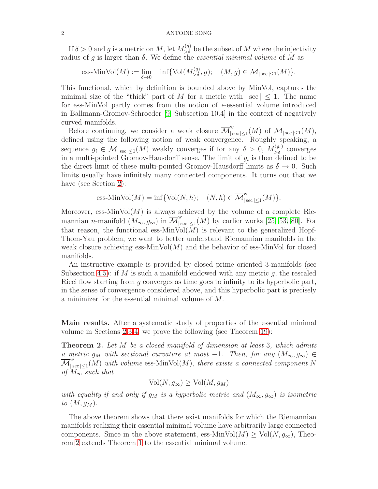If  $\delta > 0$  and g is a metric on M, let  $M_{>\delta}^{(g)}$  be the subset of M where the injectivity radius of g is larger than  $\delta$ . We define the *essential minimal volume* of M as

ess-Min $\text{Vol}(M) := \lim_{\delta \to 0} \quad \inf \{ \text{Vol}(M_{>\delta}^{(g)}, g); \quad (M, g) \in \mathcal{M}_{|\sec| \le 1}(M) \}.$ 

This functional, which by definition is bounded above by MinVol, captures the minimal size of the "thick" part of M for a metric with  $|\sec| < 1$ . The name for ess-MinVol partly comes from the notion of  $\epsilon$ -essential volume introduced in Ballmann-Gromov-Schroeder [\[9,](#page-54-1) Subsection 10.4] in the context of negatively curved manifolds.

Before continuing, we consider a weak closure  $\overline{\mathcal{M}}_{\vert s}^{w}$  $\big|_{\sec |\leq 1}(M) \textrm{ of } \mathcal{M}_{|\sec |\leq 1}(M),$ defined using the following notion of weak convergence. Roughly speaking, a sequence  $g_i \in \mathcal{M}_{|\sec| \leq 1}(M)$  weakly converges if for any  $\delta > 0$ ,  $M_{>\delta}^{(g_i)}$  converges in a multi-pointed Gromov-Hausdorff sense. The limit of  $g_i$  is then defined to be the direct limit of these multi-pointed Gromov-Hausdorff limits as  $\delta \to 0$ . Such limits usually have infinitely many connected components. It turns out that we have (see Section [2\)](#page-6-0):

ess-MinVol(M) = inf{Vol(N, h); (N, h) ∈ M w | sec |≤1 (M)}.

Moreover, ess-Min $Vol(M)$  is always achieved by the volume of a complete Riemannian n-manifold  $(M_{\infty}, g_{\infty})$  in  $\overline{\mathcal{M}}_{|s}^{w}$  $\int_{|\sec|\leq 1}(M)$  by earlier works [\[25,](#page-55-1) [53,](#page-56-6) [80\]](#page-57-3). For that reason, the functional ess-MinVol $(M)$  is relevant to the generalized Hopf-Thom-Yau problem; we want to better understand Riemannian manifolds in the weak closure achieving ess-Min $Vol(M)$  and the behavior of ess-MinVol for closed manifolds.

An instructive example is provided by closed prime oriented 3-manifolds (see Subsection [4.5\)](#page-27-0): if M is such a manifold endowed with any metric q, the rescaled Ricci flow starting from g converges as time goes to infinity to its hyperbolic part, in the sense of convergence considered above, and this hyperbolic part is precisely a minimizer for the essential minimal volume of M.

Main results. After a systematic study of properties of the essential minimal volume in Sections [2,](#page-6-0)[3](#page-12-0) [4,](#page-21-0) we prove the following (see Theorem [19\)](#page-29-0):

<span id="page-1-0"></span>**Theorem 2.** Let M be a closed manifold of dimension at least 3, which admits a metric g<sub>M</sub> with sectional curvature at most -1. Then, for any  $(M_{\infty}, g_{\infty}) \in$  $\mathcal{M}_{\mathcal{L}}$ w  $\int_{|\sec|\leq 1}(M)$  with volume ess-MinVol(M), there exists a connected component N of  $M_{\infty}$  such that

$$
\text{Vol}(N, g_{\infty}) \ge \text{Vol}(M, g_M)
$$

with equality if and only if  $g_M$  is a hyperbolic metric and  $(M_{\infty}, g_{\infty})$  is isometric to  $(M, g_M)$ .

The above theorem shows that there exist manifolds for which the Riemannian manifolds realizing their essential minimal volume have arbitrarily large connected components. Since in the above statement, ess-MinVol( $M$ )  $\geq$  Vol( $N, g_{\infty}$ ), Theorem [2](#page-1-0) extends Theorem [1](#page-0-0) to the essential minimal volume.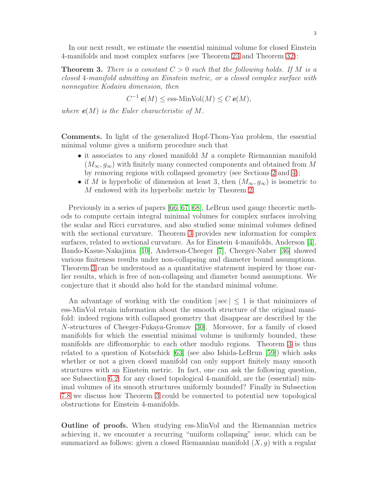In our next result, we estimate the essential minimal volume for closed Einstein 4-manifolds and most complex surfaces (see Theorem [23](#page-36-0) and Theorem [32\)](#page-53-0):

<span id="page-2-0"></span>**Theorem 3.** There is a constant  $C > 0$  such that the following holds. If M is a closed 4-manifold admitting an Einstein metric, or a closed complex surface with nonnegative Kodaira dimension, then

$$
C^{-1} e(M) \le \text{ess-MinVol}(M) \le C e(M),
$$

where  $e(M)$  is the Euler characteristic of M.

Comments. In light of the generalized Hopf-Thom-Yau problem, the essential minimal volume gives a uniform procedure such that

- $\bullet$  it associates to any closed manifold  $M$  a complete Riemannian manifold  $(M_{\infty}, g_{\infty})$  with finitely many connected components and obtained from M by removing regions with collapsed geometry (see Sections [2](#page-6-0) and [4\)](#page-21-0);
- if M is hyperbolic of dimension at least 3, then  $(M_{\infty}, g_{\infty})$  is isometric to M endowed with its hyperbolic metric by Theorem [2.](#page-1-0)

Previously in a series of papers [\[66,](#page-57-4) [67,](#page-57-5) [68\]](#page-57-6), LeBrun used gauge theoretic methods to compute certain integral minimal volumes for complex surfaces involving the scalar and Ricci curvatures, and also studied some minimal volumes defined with the sectional curvature. Theorem [3](#page-2-0) provides new information for complex surfaces, related to sectional curvature. As for Einstein 4-manifolds, Anderson [\[4\]](#page-54-2), Bando-Kasue-Nakajima [\[10\]](#page-54-3), Anderson-Cheeger [\[7\]](#page-54-4), Cheeger-Naber [\[36\]](#page-55-7) showed various finiteness results under non-collapsing and diameter bound assumptions. Theorem [3](#page-2-0) can be understood as a quantitative statement inspired by those earlier results, which is free of non-collapsing and diameter bound assumptions. We conjecture that it should also hold for the standard minimal volume.

An advantage of working with the condition  $|\sec| < 1$  is that minimizers of ess-MinVol retain information about the smooth structure of the original manifold: indeed regions with collapsed geometry that disappear are described by the N-structures of Cheeger-Fukaya-Gromov [\[30\]](#page-55-4). Moreover, for a family of closed manifolds for which the essential minimal volume is uniformly bounded, these manifolds are diffeomorphic to each other modulo regions. Theorem [3](#page-2-0) is thus related to a question of Kotschick [\[63\]](#page-56-7) (see also Ishida-LeBrun [\[59\]](#page-56-8)) which asks whether or not a given closed manifold can only support finitely many smooth structures with an Einstein metric. In fact, one can ask the following question, see Subsection [6.2:](#page-34-0) for any closed topological 4-manifold, are the (essential) minimal volumes of its smooth structures uniformly bounded? Finally in Subsection [7.8](#page-51-0) we discuss how Theorem [3](#page-2-0) could be connected to potential new topological obstructions for Einstein 4-manifolds.

Outline of proofs. When studying ess-MinVol and the Riemannian metrics achieving it, we encounter a recurring "uniform collapsing" issue, which can be summarized as follows: given a closed Riemannian manifold  $(X, q)$  with a regular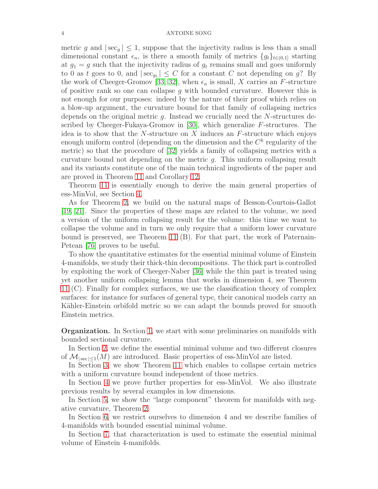metric g and  $|\sec_g| \leq 1$ , suppose that the injectivity radius is less than a small dimensional constant  $\epsilon_n$ , is there a smooth family of metrics  $\{g_t\}_{t\in(0,1]}$  starting at  $g_1 = g$  such that the injectivity radius of  $g_t$  remains small and goes uniformly to 0 as t goes to 0, and  $|\sec_{g_t}| \leq C$  for a constant C not depending on g? By the work of Cheeger-Gromov [\[33,](#page-55-3) [32\]](#page-55-2), when  $\epsilon_n$  is small, X carries an F-structure of positive rank so one can collapse  $g$  with bounded curvature. However this is not enough for our purposes: indeed by the nature of their proof which relies on a blow-up argument, the curvature bound for that family of collapsing metrics depends on the original metric  $q$ . Instead we crucially need the  $N$ -structures de-scribed by Cheeger-Fukaya-Gromov in [\[30\]](#page-55-4), which generalize  $F$ -structures. The idea is to show that the N-structure on  $X$  induces an  $F$ -structure which enjoys enough uniform control (depending on the dimension and the  $C<sup>k</sup>$  regularity of the metric) so that the procedure of [\[32\]](#page-55-2) yields a family of collapsing metrics with a curvature bound not depending on the metric g. This uniform collapsing result and its variants constitute one of the main technical ingredients of the paper and are proved in Theorem [11](#page-13-0) and Corollary [12.](#page-21-1)

Theorem [11](#page-13-0) is essentially enough to derive the main general properties of ess-MinVol, see Section [4.](#page-21-0)

As for Theorem [2,](#page-1-0) we build on the natural maps of Besson-Courtois-Gallot [\[19,](#page-55-5) [21\]](#page-55-8). Since the properties of these maps are related to the volume, we need a version of the uniform collapsing result for the volume: this time we want to collapse the volume and in turn we only require that a uniform lower curvature bound is preserved, see Theorem [11](#page-13-0) (B). For that part, the work of Paternain-Petean [\[76\]](#page-57-7) proves to be useful.

To show the quantitative estimates for the essential minimal volume of Einstein 4-manifolds, we study their thick-thin decompositions. The thick part is controlled by exploiting the work of Cheeger-Naber [\[36\]](#page-55-7) while the thin part is treated using yet another uniform collapsing lemma that works in dimension 4, see Theorem [11](#page-13-0) (C). Finally for complex surfaces, we use the classification theory of complex surfaces: for instance for surfaces of general type, their canonical models carry an Kähler-Einstein orbifold metric so we can adapt the bounds proved for smooth Einstein metrics.

Organization. In Section [1,](#page-4-0) we start with some preliminaries on manifolds with bounded sectional curvature.

In Section [2,](#page-6-0) we define the essential minimal volume and two different closures of  $\mathcal{M}_{\text{sec}|\leq 1}(M)$  are introduced. Basic properties of ess-MinVol are listed.

In Section [3,](#page-12-0) we show Theorem [11](#page-13-0) which enables to collapse certain metrics with a uniform curvature bound independent of those metrics.

In Section [4](#page-21-0) we prove further properties for ess-MinVol. We also illustrate previous results by several examples in low dimensions.

In Section [5,](#page-28-0) we show the "large component" theorem for manifolds with negative curvature, Theorem [2.](#page-1-0)

In Section [6,](#page-33-0) we restrict ourselves to dimension 4 and we describe families of 4-manifolds with bounded essential minimal volume.

In Section [7,](#page-35-0) that characterization is used to estimate the essential minimal volume of Einstein 4-manifolds.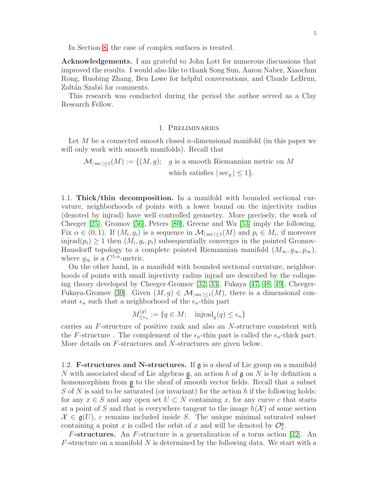In Section [8,](#page-52-0) the case of complex surfaces is treated.

Acknowledgements. I am grateful to John Lott for numerous discussions that improved the results. I would also like to thank Song Sun, Aaron Naber, Xiaochun Rong, Ruobing Zhang, Ben Lowe for helpful conversations, and Claude LeBrun, Zoltán Szabó for comments.

<span id="page-4-0"></span>This research was conducted during the period the author served as a Clay Research Fellow.

### 1. Preliminaries

Let M be a connected smooth closed n-dimensional manifold (in this paper we will only work with smooth manifolds). Recall that

$$
\mathcal{M}_{|\sec|\leq 1}(M) := \{ (M, g); \quad g \text{ is a smooth Riemannian metric on } M \text{ which satisfies } |\sec_g| \leq 1 \}.
$$

1.1. Thick/thin decomposition. In a manifold with bounded sectional curvature, neighborhoods of points with a lower bound on the injectivity radius (denoted by injrad) have well controlled geometry. More precisely, the work of Cheeger [\[25\]](#page-55-1), Gromov [\[56\]](#page-56-9), Peters [\[80\]](#page-57-3), Greene and Wu [\[53\]](#page-56-6) imply the following. Fix  $\alpha \in (0,1)$ . If  $(M_i, g_i)$  is a sequence in  $\mathcal{M}_{|\sec|\leq 1}(M)$  and  $p_i \in M_i$ , if moreover  $\text{injrad}(p_i) \geq 1$  then  $(M_i, g_i, p_i)$  subsequentially converges in the pointed Gromov-Hausdorff topology to a complete pointed Riemannian manifold  $(M_{\infty}, g_{\infty}, p_{\infty}),$ where  $g_{\infty}$  is a  $C^{1,\alpha}$ -metric.

On the other hand, in a manifold with bounded sectional curvature, neighborhoods of points with small injectivity radius injrad are described by the collapsing theory developed by Cheeger-Gromov [\[32,](#page-55-2) [33\]](#page-55-3), Fukaya [\[47,](#page-56-2) [48,](#page-56-3) [49\]](#page-56-4), Cheeger-Fukaya-Gromov [\[30\]](#page-55-4). Given  $(M, g) \in \mathcal{M}_{|sec| \leq 1}(M)$ , there is a dimensional constant  $\epsilon_n$  such that a neighborhood of the  $\epsilon_n$ -thin part

> $M^{(g)}_{\leq \epsilon}$  $\mathcal{L}_{\leq \epsilon_n}^{(g)} := \{q \in M; \text{ injrad}_g(q) \leq \epsilon_n\}$

carries an F-structure of positive rank and also an N-structure consistent with the F-structure. The complement of the  $\epsilon_n$ -thin part is called the  $\epsilon_n$ -thick part. More details on F-structures and N-structures are given below.

1.2. **F-structures and N-structures.** If  $\mathfrak{g}$  is a sheaf of Lie group on a manifold N with associated sheaf of Lie algebras  $\mathfrak{g}$ , an action h of  $\mathfrak{g}$  on N is by definition a homomorphism from g to the sheaf of smooth vector fields. Recall that a subset S of N is said to be saturated (or invariant) for the action h if the following holds: for any  $x \in S$  and any open set  $U \subset N$  containing x, for any curve c that starts at a point of S and that is everywhere tangent to the image  $h(\mathcal{X})$  of some section  $\mathcal{X} \in \mathfrak{g}(U)$ , c remains included inside S. The unique minimal saturated subset containing a point x is called the orbit of x and will be denoted by  $\mathcal{O}_x^{\mathfrak{g}}$ .

**F-structures.** An F-structure is a generalization of a torus action [\[32\]](#page-55-2). An  $F$ -structure on a manifold N is determined by the following data. We start with a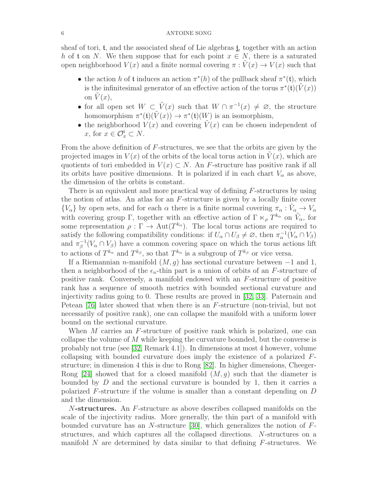sheaf of tori,  $t$ , and the associated sheaf of Lie algebras  $\underline{t}$ , together with an action h of t on N. We then suppose that for each point  $x \in N$ , there is a saturated open neighborhood  $V(x)$  and a finite normal covering  $\pi : \tilde{V}(x) \to V(x)$  such that

- the action h of t induces an action  $\pi^*(h)$  of the pullback sheaf  $\pi^*(t)$ , which is the infinitesimal generator of an effective action of the torus  $\pi^*(\mathfrak{t})(\tilde{V}(x))$ on  $V(x)$ ,
- for all open set  $W \subset \tilde{V}(x)$  such that  $W \cap \pi^{-1}(x) \neq \emptyset$ , the structure homomorphism  $\pi^*(\mathfrak{t})(\tilde{V}(x)) \to \pi^*(\mathfrak{t})(W)$  is an isomorphism,
- the neighborhood  $V(x)$  and covering  $\tilde{V}(x)$  can be chosen independent of x, for  $x \in \mathcal{O}_x^{\mathfrak{t}} \subset N$ .

From the above definition of F-structures, we see that the orbits are given by the projected images in  $V(x)$  of the orbits of the local torus action in  $V(x)$ , which are quotients of tori embedded in  $V(x) \subset N$ . An F-structure has positive rank if all its orbits have positive dimensions. It is polarized if in each chart  $V_{\alpha}$  as above, the dimension of the orbits is constant.

There is an equivalent and more practical way of defining F-structures by using the notion of atlas. An atlas for an  $F$ -structure is given by a locally finite cover  ${V_\alpha}$  by open sets, and for each  $\alpha$  there is a finite normal covering  $\pi_\alpha : \tilde{V}_\alpha \to V_\alpha$ with covering group Γ, together with an effective action of  $\Gamma \ltimes_{\rho} T^{k_{\alpha}}$  on  $\tilde{V}_{\alpha}$ , for some representation  $\rho : \Gamma \to \text{Aut}(T^{k_{\alpha}})$ . The local torus actions are required to satisfy the following compatibility conditions: if  $U_{\alpha} \cap U_{\beta} \neq \emptyset$ , then  $\pi_{\alpha}^{-1}(V_{\alpha} \cap V_{\beta})$ and  $\pi^{-1}_{\beta}$  $\beta^{-1}(V_{\alpha} \cap V_{\beta})$  have a common covering space on which the torus actions lift to actions of  $T^{k_{\alpha}}$  and  $T^{k_{\beta}}$ , so that  $T^{k_{\alpha}}$  is a subgroup of  $T^{k_{\beta}}$  or vice versa.

If a Riemannian n-manifold  $(M, q)$  has sectional curvature between  $-1$  and 1, then a neighborhood of the  $\epsilon_n$ -thin part is a union of orbits of an F-structure of positive rank. Conversely, a manifold endowed with an F-structure of positive rank has a sequence of smooth metrics with bounded sectional curvature and injectivity radius going to 0. These results are proved in [\[32,](#page-55-2) [33\]](#page-55-3). Paternain and Petean [\[76\]](#page-57-7) later showed that when there is an F-structure (non-trivial, but not necessarily of positive rank), one can collapse the manifold with a uniform lower bound on the sectional curvature.

When M carries an F-structure of positive rank which is polarized, one can collapse the volume of M while keeping the curvature bounded, but the converse is probably not true (see [\[32,](#page-55-2) Remark 4.1]). In dimensions at most 4 however, volume collapsing with bounded curvature does imply the existence of a polarized Fstructure; in dimension 4 this is due to Rong [\[82\]](#page-57-8). In higher dimensions, Cheeger-Rong [\[24\]](#page-55-9) showed that for a closed manifold  $(M, g)$  such that the diameter is bounded by  $D$  and the sectional curvature is bounded by 1, then it carries a polarized F-structure if the volume is smaller than a constant depending on D and the dimension.

N-structures. An F-structure as above describes collapsed manifolds on the scale of the injectivity radius. More generally, the thin part of a manifold with bounded curvature has an N-structure  $[30]$ , which generalizes the notion of  $F$ structures, and which captures all the collapsed directions. N-structures on a manifold  $N$  are determined by data similar to that defining  $F$ -structures. We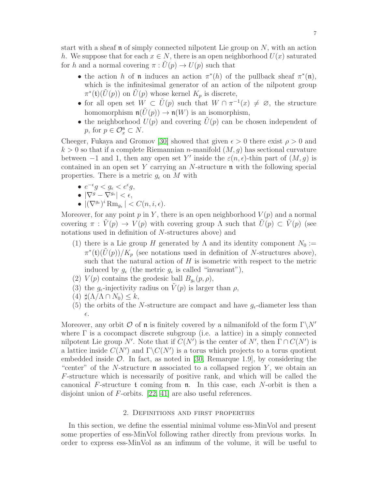start with a sheaf  $\mathfrak n$  of simply connected nilpotent Lie group on N, with an action h. We suppose that for each  $x \in N$ , there is an open neighborhood  $U(x)$  saturated for h and a normal covering  $\pi: U(p) \to U(p)$  such that

- the action h of n induces an action  $\pi^*(h)$  of the pullback sheaf  $\pi^*(n)$ , which is the infinitesimal generator of an action of the nilpotent group  $\pi^*(\mathfrak{t})(\tilde{U}(p))$  on  $\tilde{U}(p)$  whose kernel  $K_p$  is discrete,
- for all open set  $W \subset \tilde{U}(p)$  such that  $W \cap \pi^{-1}(x) \neq \emptyset$ , the structure homomorphism  $\mathfrak{n}(\tilde{U}(p)) \to \mathfrak{n}(W)$  is an isomorphism,
- the neighborhood  $U(p)$  and covering  $U(p)$  can be chosen independent of p, for  $p \in \mathcal{O}_x^n \subset N$ .

Cheeger, Fukaya and Gromov [\[30\]](#page-55-4) showed that given  $\epsilon > 0$  there exist  $\rho > 0$  and  $k > 0$  so that if a complete Riemannian n-manifold  $(M, q)$  has sectional curvature between  $-1$  and 1, then any open set Y' inside the  $\varepsilon(n, \epsilon)$ -thin part of  $(M, g)$  is contained in an open set  $Y$  carrying an  $N$ -structure  $\mathfrak n$  with the following special properties. There is a metric  $g_{\epsilon}$  on M with

- $e^{-\epsilon}g < g_{\epsilon} < e^{\epsilon}g$ ,
- $\bullet$   $\left|\nabla^g \nabla^{g_\epsilon}\right| < \epsilon,$
- $|(\nabla^{g_{\epsilon}})^{i} \text{Rm}_{g_{\epsilon}}| < C(n, i, \epsilon).$

Moreover, for any point p in Y, there is an open neighborhood  $V(p)$  and a normal covering  $\pi : V(p) \to V(p)$  with covering group  $\Lambda$  such that  $\tilde{U}(p) \subset V(p)$  (see notations used in definition of N-structures above) and

- (1) there is a Lie group H generated by  $\Lambda$  and its identity component  $N_0 :=$  $\pi^*(\mathfrak{t})(\tilde{U}(p))/K_p$  (see notations used in definition of N-structures above), such that the natural action of  $H$  is isometric with respect to the metric induced by  $g_{\epsilon}$  (the metric  $g_{\epsilon}$  is called "invariant"),
- (2)  $V(p)$  contains the geodesic ball  $B_{g_{\epsilon}}(p, \rho)$ ,
- (3) the  $g_{\epsilon}$ -injectivity radius on  $V(p)$  is larger than  $\rho$ ,
- $(4)$   $\sharp(\Lambda/\Lambda \cap N_0) \leq k$ ,
- (5) the orbits of the N-structure are compact and have  $g_{\epsilon}$ -diameter less than  $\epsilon.$

Moreover, any orbit  $\mathcal O$  of **n** is finitely covered by a nilmanifold of the form  $\Gamma \backslash N'$ where  $\Gamma$  is a cocompact discrete subgroup (i.e. a lattice) in a simply connected nilpotent Lie group N'. Note that if  $C(N')$  is the center of N', then  $\Gamma \cap C(N')$  is a lattice inside  $C(N')$  and  $\Gamma \backslash C(N')$  is a torus which projects to a torus quotient embedded inside  $\mathcal{O}$ . In fact, as noted in [\[30,](#page-55-4) Remarque 1.9], by considering the "center" of the N-structure  $\mathfrak n$  associated to a collapsed region Y, we obtain an F-structure which is necessarily of positive rank, and which will be called the canonical F-structure  $t$  coming from  $\mathfrak n$ . In this case, each N-orbit is then a disjoint union of  $F$ -orbits. [\[22,](#page-55-10) [41\]](#page-56-10) are also useful references.

# 2. Definitions and first properties

<span id="page-6-0"></span>In this section, we define the essential minimal volume ess-MinVol and present some properties of ess-MinVol following rather directly from previous works. In order to express ess-MinVol as an infimum of the volume, it will be useful to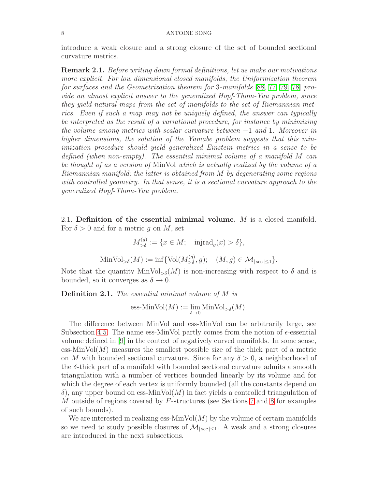introduce a weak closure and a strong closure of the set of bounded sectional curvature metrics.

Remark 2.1. Before writing down formal definitions, let us make our motivations more explicit. For low dimensional closed manifolds, the Uniformization theorem for surfaces and the Geometrization theorem for 3-manifolds [\[88,](#page-57-9) [77,](#page-57-10) [79,](#page-57-11) [78\]](#page-57-12) provide an almost explicit answer to the generalized Hopf-Thom-Yau problem, since they yield natural maps from the set of manifolds to the set of Riemannian metrics. Even if such a map may not be uniquely defined, the answer can typically be interpreted as the result of a variational procedure, for instance by minimizing the volume among metrics with scalar curvature between −1 and 1. Moreover in higher dimensions, the solution of the Yamabe problem suggests that this minimization procedure should yield generalized Einstein metrics in a sense to be defined (when non-empty). The essential minimal volume of a manifold M can be thought of as a version of MinVol which is actually realized by the volume of a Riemannian manifold; the latter is obtained from M by degenerating some regions with controlled geometry. In that sense, it is a sectional curvature approach to the generalized Hopf-Thom-Yau problem.

2.1. Definition of the essential minimal volume. M is a closed manifold. For  $\delta > 0$  and for a metric g on M, set

$$
M_{>\delta}^{(g)} := \{ x \in M; \text{ injrad}_g(x) > \delta \},
$$
  
MinVol<sub>>\delta</sub> $(M) := \inf \{ \text{Vol}(M_{>\delta}^{(g)}, g); \quad (M, g) \in \mathcal{M}_{|\sec| \le 1} \}.$ 

Note that the quantity  $MinVol_{\geq \delta}(M)$  is non-increasing with respect to  $\delta$  and is bounded, so it converges as  $\delta \to 0$ .

Definition 2.1. The essential minimal volume of M is

ess-MinVol(M) := 
$$
\lim_{\delta \to 0}
$$
 MinVol<sub>></sub> $\delta$ (M).

The difference between MinVol and ess-MinVol can be arbitrarily large, see Subsection [4.5.](#page-27-0) The name ess-MinVol partly comes from the notion of  $\epsilon$ -essential volume defined in [\[9\]](#page-54-1) in the context of negatively curved manifolds. In some sense, ess-Min $Vol(M)$  measures the smallest possible size of the thick part of a metric on M with bounded sectional curvature. Since for any  $\delta > 0$ , a neighborhood of the  $\delta$ -thick part of a manifold with bounded sectional curvature admits a smooth triangulation with a number of vertices bounded linearly by its volume and for which the degree of each vertex is uniformly bounded (all the constants depend on  $\delta$ , any upper bound on ess-MinVol $(M)$  in fact yields a controlled triangulation of M outside of regions covered by F-structures (see Sections [7](#page-35-0) and [8](#page-52-0) for examples of such bounds).

We are interested in realizing ess-MinVol $(M)$  by the volume of certain manifolds so we need to study possible closures of  $\mathcal{M}_{|sec| \leq 1}$ . A weak and a strong closures are introduced in the next subsections.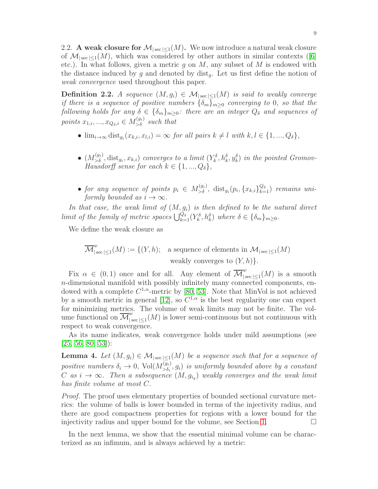2.2. A weak closure for  $\mathcal{M}_{|sec| \leq 1}(M)$ . We now introduce a natural weak closure of $\mathcal{M}_{|{\rm sec}| \leq 1}(M)$ , which was considered by other authors in similar contexts ([\[6\]](#page-54-0) etc.). In what follows, given a metric  $g$  on  $M$ , any subset of  $M$  is endowed with the distance induced by g and denoted by  $dist_q$ . Let us first define the notion of weak convergence used throughout this paper.

<span id="page-8-1"></span>**Definition 2.2.** A sequence  $(M, g_i) \in \mathcal{M}_{|sec| \leq 1}(M)$  is said to weakly converge if there is a sequence of positive numbers  $\{\delta_m\}_{m>0}$  converging to 0, so that the following holds for any  $\delta \in {\delta_m}_{m\geq 0}$ : there are an integer  $Q_{\delta}$  and sequences of points  $x_{1,i},...,x_{Q_\delta,i}\in M_{>\delta}^{(g_i)}$  such that

- $\lim_{i\to\infty} dist_{g_i}(x_{k,i}, x_{l,i}) = \infty$  for all pairs  $k \neq l$  with  $k, l \in \{1, ..., Q_\delta\},$
- $\bullet$   $(M_{>\delta}^{(g_i)}, \text{dist}_{g_i}, x_{k,i})$  converges to a limit  $(Y_k^{\delta}, h_k^{\delta}, y_k^{\delta})$  in the pointed Gromov-Hausdorff sense for each  $k \in \{1, ..., Q_{\delta}\},$
- for any sequence of points  $p_i \in M_{\geq \delta}^{(g_i)}$ ,  $dist_{g_i}(p_i, \{x_{k,i}\}_{k=1}^{Q_{\delta}})$  remains uniformly bounded as  $i \to \infty$ .

In that case, the weak limit of  $(M, g_i)$  is then defined to be the natural direct limit of the family of metric spaces  $\bigcup_{k=1}^{Q_\delta} (Y_k^\delta, h_k^\delta)$  where  $\delta \in {\delta_m}_{m \geq 0}$ .

We define the weak closure as

$$
\overline{\mathcal{M}}_{|\sec|\le 1}^w(M) := \{ (Y, h); \text{ a sequence of elements in } \mathcal{M}_{|\sec|\le 1}(M)
$$
  
weakly converges to  $(Y, h)$ .

Fix  $\alpha \in (0,1)$  once and for all. Any element of  $\overline{\mathcal{M}}_{|s}^w$  $\int_{|\sec|\leq 1}^{\infty} (M)$  is a smooth n-dimensional manifold with possibly infinitely many connected components, endowed with a complete  $C^{1,\alpha}$ -metric by [\[80,](#page-57-3) [53\]](#page-56-6). Note that MinVol is not achieved by a smooth metric in general [\[12\]](#page-54-5), so  $C^{1,\alpha}$  is the best regularity one can expect for minimizing metrics. The volume of weak limits may not be finite. The volume functional on  $\overline{\mathcal{M}}_{|s}^w$  $\int_{|\sec|\leq 1}(M)$  is lower semi-continuous but not continuous with respect to weak convergence.

As its name indicates, weak convergence holds under mild assumptions (see  $[25, 56, 80, 53]$  $[25, 56, 80, 53]$  $[25, 56, 80, 53]$  $[25, 56, 80, 53]$ :

<span id="page-8-0"></span>**Lemma 4.** Let  $(M, g_i) \in \mathcal{M}_{|sec| \leq 1}(M)$  be a sequence such that for a sequence of positive numbers  $\delta_i \to 0$ , Vol $(M_{>\delta_i}^{(g_i)})$  $(\mathcal{S}_{\delta}^{(y_i)}, g_i)$  is uniformly bounded above by a constant C as  $i \to \infty$ . Then a subsequence  $(M, g_{i_q})$  weakly converges and the weak limit has finite volume at most C.

Proof. The proof uses elementary properties of bounded sectional curvature metrics: the volume of balls is lower bounded in terms of the injectivity radius, and there are good compactness properties for regions with a lower bound for the injectivity radius and upper bound for the volume, see Section [1.](#page-4-0)  $\Box$ 

In the next lemma, we show that the essential minimal volume can be characterized as an infimum, and is always achieved by a metric: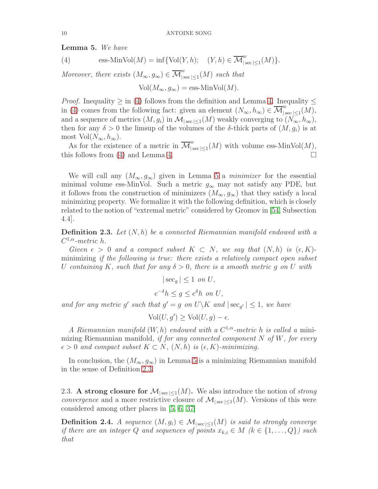<span id="page-9-1"></span>Lemma 5. We have

<span id="page-9-0"></span>(4) 
$$
\text{ess-MinVol}(M) = \inf \{ \text{Vol}(Y,h); \quad (Y,h) \in \overline{\mathcal{M}}^w_{|\sec| \le 1}(M) \}.
$$

Moreover, there exists  $(M_{\infty}, g_{\infty}) \in \overline{\mathcal{M}}_{\vert s}^w$  $\int_{|\sec|\leq 1}^{\infty} (M)$  such that

$$
Vol(M_{\infty}, g_{\infty}) = \text{ess-MinVol}(M).
$$

*Proof.* Inequality  $\geq$  in [\(4\)](#page-9-0) follows from the definition and Lemma [4.](#page-8-0) Inequality  $\leq$ in [\(4\)](#page-9-0) comes from the following fact: given an element  $(N_{\infty}, h_{\infty}) \in \overline{\mathcal{M}}_{\vert s}^w$  $\int_{|\sec |\leq 1}(M),$ and a sequence of metrics  $(M, g_i)$  in  $\mathcal{M}_{|\sec| \leq 1}(M)$  weakly converging to  $(N_\infty, h_\infty)$ , then for any  $\delta > 0$  the limsup of the volumes of the  $\delta$ -thick parts of  $(M, g_i)$  is at most  $Vol(N_{\infty}, h_{\infty}).$ 

As for the existence of a metric in  $\overline{\mathcal{M}}_{\vert s}^w$  $\int_{|\sec|\leq 1}^{\infty} (M)$  with volume ess-MinVol $(M)$ , this follows from [\(4\)](#page-9-0) and Lemma [4.](#page-8-0)  $\Box$ 

We will call any  $(M_{\infty}, g_{\infty})$  given in Lemma [5](#page-9-1) a *minimizer* for the essential minimal volume ess-MinVol. Such a metric  $g_{\infty}$  may not satisfy any PDE, but it follows from the construction of minimizers  $(M_{\infty}, g_{\infty})$  that they satisfy a local minimizing property. We formalize it with the following definition, which is closely related to the notion of "extremal metric" considered by Gromov in [\[54,](#page-56-5) Subsection 4.4].

<span id="page-9-2"></span>**Definition 2.3.** Let  $(N, h)$  be a connected Riemannian manifold endowed with a  $C^{1,\alpha}$ -metric h.

Given  $\epsilon > 0$  and a compact subset  $K \subset N$ , we say that  $(N, h)$  is  $(\epsilon, K)$ minimizing if the following is true: there exists a relatively compact open subset U containing K, such that for any  $\delta > 0$ , there is a smooth metric g on U with

 $|\sec_g| \leq 1$  on U,

$$
e^{-\delta}h \le g \le e^{\delta}h \text{ on } U,
$$

and for any metric g' such that  $g' = g$  on  $U \backslash K$  and  $|\sec_{g'}| \leq 1$ , we have

$$
\text{Vol}(U, g') \ge \text{Vol}(U, g) - \epsilon.
$$

A Riemannian manifold  $(W, h)$  endowed with a  $C^{1,\alpha}$ -metric h is called a minimizing Riemannian manifold, if for any connected component  $N$  of  $W$ , for every  $\epsilon > 0$  and compact subset  $K \subset N$ ,  $(N, h)$  is  $(\epsilon, K)$ -minimizing.

In conclusion, the  $(M_{\infty}, g_{\infty})$  in Lemma [5](#page-9-1) is a minimizing Riemannian manifold in the sense of Definition [2.3.](#page-9-2)

2.3. A strong closure for  $\mathcal{M}_{|\sec|<1}(M)$ . We also introduce the notion of strong convergence and a more restrictive closure of  $\mathcal{M}_{|\sec|\leq 1}(M)$ . Versions of this were considered among other places in [\[5,](#page-54-6) [6,](#page-54-0) [37\]](#page-55-11)

<span id="page-9-3"></span>**Definition 2.4.** A sequence  $(M, g_i) \in \mathcal{M}_{|\sec| \leq 1}(M)$  is said to strongly converge if there are an integer Q and sequences of points  $x_{k,i} \in M \ (k \in \{1, ..., Q\})$  such that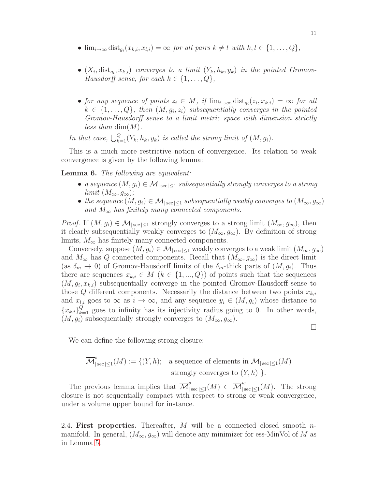- $\lim_{i\to\infty} dist_{g_i}(x_{k,i}, x_{l,i}) = \infty$  for all pairs  $k \neq l$  with  $k, l \in \{1, ..., Q\},$
- $(X_i, \text{dist}_{g_i}, x_{k,i})$  converges to a limit  $(Y_k, h_k, y_k)$  in the pointed Gromov-Hausdorff sense, for each  $k \in \{1, \ldots, Q\},\$
- for any sequence of points  $z_i \in M$ , if  $\lim_{i \to \infty} \operatorname{dist}_{g_i}(z_i, x_{k,i}) = \infty$  for all  $k \in \{1, \ldots, Q\}$ , then  $(M, g_i, z_i)$  subsequentially converges in the pointed Gromov-Hausdorff sense to a limit metric space with dimension strictly less than  $\dim(M)$ .

In that case,  $\bigcup_{k=1}^{Q} (Y_k, h_k, y_k)$  is called the strong limit of  $(M, g_i)$ .

This is a much more restrictive notion of convergence. Its relation to weak convergence is given by the following lemma:

<span id="page-10-0"></span>Lemma 6. The following are equivalent:

- a sequence  $(M, g_i) \in \mathcal{M}_{|\sec| \leq 1}$  subsequentially strongly converges to a strong  $limit (M_{\infty}, g_{\infty});$
- the sequence  $(M, g_i) \in \mathcal{M}_{|\sec| \leq 1}$  subsequentially weakly converges to  $(M_\infty, g_\infty)$ and  $M_{\infty}$  has finitely many connected components.

*Proof.* If  $(M, g_i) \in \mathcal{M}_{|sec| \leq 1}$  strongly converges to a strong limit  $(M_\infty, g_\infty)$ , then it clearly subsequentially weakly converges to  $(M_{\infty}, g_{\infty})$ . By definition of strong limits,  $M_{\infty}$  has finitely many connected components.

Conversely, suppose  $(M, g_i) \in \mathcal{M}_{|\sec| \leq 1}$  weakly converges to a weak limit  $(M_\infty, g_\infty)$ and  $M_{\infty}$  has Q connected components. Recall that  $(M_{\infty}, g_{\infty})$  is the direct limit (as  $\delta_m \to 0$ ) of Gromov-Hausdorff limits of the  $\delta_m$ -thick parts of  $(M, g_i)$ . Thus there are sequences  $x_{k,i} \in M \ (k \in \{1, ..., Q\})$  of points such that the sequences  $(M, g_i, x_{k,i})$  subsequentially converge in the pointed Gromov-Hausdorff sense to those Q different components. Necessarily the distance between two points  $x_{k,i}$ and  $x_{l,i}$  goes to  $\infty$  as  $i \to \infty$ , and any sequence  $y_i \in (M, g_i)$  whose distance to  ${x_{k,i}}_{k=1}^Q$  goes to infinity has its injectivity radius going to 0. In other words,  $(M, g_i)$  subsequentially strongly converges to  $(M_{\infty}, g_{\infty})$ .

We can define the following strong closure:

$$
\overline{\mathcal{M}}_{|\sec|\le 1}^s(M) := \{ (Y,h); \text{ a sequence of elements in } \mathcal{M}_{|\sec|\le 1}(M)
$$
  
strongly converges to  $(Y,h)$  }.

The previous lemma implies that  $\overline{\mathcal{M}}_{\vert}^{s}$  $|_{\sec |\le 1}^s(M) \subset \overline{\mathcal M}^w_{|s}$  $\int_{|\sec|\leq 1}^{\infty} (M)$ . The strong closure is not sequentially compact with respect to strong or weak convergence, under a volume upper bound for instance.

2.4. First properties. Thereafter,  $M$  will be a connected closed smooth  $n$ manifold. In general,  $(M_{\infty}, g_{\infty})$  will denote any minimizer for ess-MinVol of M as in Lemma [5.](#page-9-1)

 $\Box$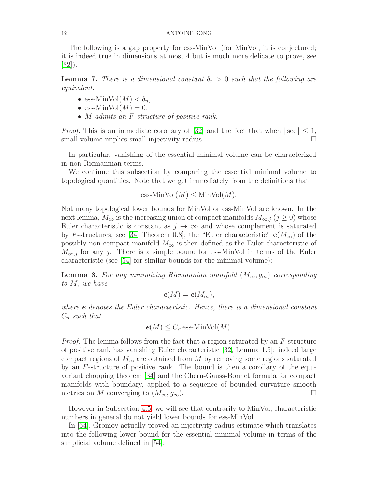The following is a gap property for ess-MinVol (for MinVol, it is conjectured; it is indeed true in dimensions at most 4 but is much more delicate to prove, see  $|82|$ ).

<span id="page-11-0"></span>**Lemma 7.** There is a dimensional constant  $\delta_n > 0$  such that the following are equivalent:

- ess-MinVol $(M) < \delta_n$ ,
- ess-Min $Vol(M) = 0$ ,
- *M* admits an *F*-structure of positive rank.

*Proof.* This is an immediate corollary of [\[32\]](#page-55-2) and the fact that when  $|\sec| \leq 1$ , small volume implies small injectivity radius. small volume implies small injectivity radius.

In particular, vanishing of the essential minimal volume can be characterized in non-Riemannian terms.

We continue this subsection by comparing the essential minimal volume to topological quantities. Note that we get immediately from the definitions that

$$
\operatorname{ess-MinVol}(M) \leq \operatorname{MinVol}(M).
$$

Not many topological lower bounds for MinVol or ess-MinVol are known. In the next lemma,  $M_{\infty}$  is the increasing union of compact manifolds  $M_{\infty,j}$   $(j \geq 0)$  whose Euler characteristic is constant as  $j \to \infty$  and whose complement is saturated by F-structures, see [\[34,](#page-55-12) Theorem 0.8]; the "Euler characteristic"  $e(M_{\infty})$  of the possibly non-compact manifold  $M_{\infty}$  is then defined as the Euler characteristic of  $M_{\infty,j}$  for any j. There is a simple bound for ess-MinVol in terms of the Euler characteristic (see [\[54\]](#page-56-5) for similar bounds for the minimal volume):

<span id="page-11-1"></span>**Lemma 8.** For any minimizing Riemannian manifold  $(M_{\infty}, g_{\infty})$  corresponding to M, we have

$$
e(M)=e(M_{\infty}),
$$

where e denotes the Euler characteristic. Hence, there is a dimensional constant  $C_n$  such that

$$
e(M) \leq C_n \operatorname{ess-MinVol}(M).
$$

*Proof.* The lemma follows from the fact that a region saturated by an F-structure of positive rank has vanishing Euler characteristic [\[32,](#page-55-2) Lemma 1.5]: indeed large compact regions of  $M_{\infty}$  are obtained from M by removing some regions saturated by an F-structure of positive rank. The bound is then a corollary of the equivariant chopping theorem [\[34\]](#page-55-12) and the Chern-Gauss-Bonnet formula for compact manifolds with boundary, applied to a sequence of bounded curvature smooth metrics on M converging to  $(M_{\infty}, g_{\infty})$ .

However in Subsection [4.5,](#page-27-0) we will see that contrarily to MinVol, characteristic numbers in general do not yield lower bounds for ess-MinVol.

In [\[54\]](#page-56-5), Gromov actually proved an injectivity radius estimate which translates into the following lower bound for the essential minimal volume in terms of the simplicial volume defined in [\[54\]](#page-56-5):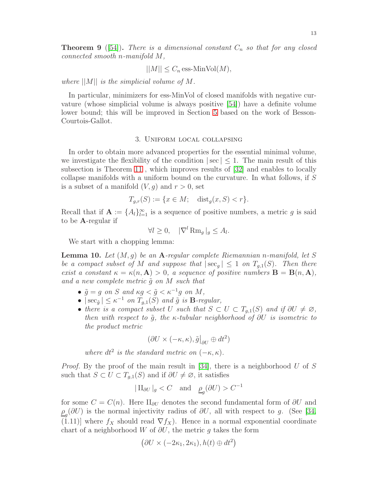$$
||M|| \leq C_n \operatorname{ess-MinVol}(M),
$$

where  $||M||$  is the simplicial volume of M.

In particular, minimizers for ess-MinVol of closed manifolds with negative curvature (whose simplicial volume is always positive [\[54\]](#page-56-5)) have a definite volume lower bound; this will be improved in Section [5](#page-28-0) based on the work of Besson-Courtois-Gallot.

## 3. Uniform local collapsing

<span id="page-12-0"></span>In order to obtain more advanced properties for the essential minimal volume, we investigate the flexibility of the condition  $|\sec| \leq 1$ . The main result of this subsection is Theorem [11](#page-13-0) , which improves results of [\[32\]](#page-55-2) and enables to locally collapse manifolds with a uniform bound on the curvature. In what follows, if S is a subset of a manifold  $(V, g)$  and  $r > 0$ , set

$$
T_{g,r}(S) := \{ x \in M; \text{ dist}_g(x, S) < r \}.
$$

Recall that if  $\mathbf{A} := \{A_l\}_{l=1}^{\infty}$  is a sequence of positive numbers, a metric g is said to be A-regular if

$$
\forall l \geq 0, \quad |\nabla^l \operatorname{Rm}_g|_g \leq A_l.
$$

We start with a chopping lemma:

<span id="page-12-1"></span>**Lemma 10.** Let  $(M, q)$  be an A-regular complete Riemannian n-manifold, let S be a compact subset of M and suppose that  $|\sec_q| \leq 1$  on  $T_{g,1}(S)$ . Then there exist a constant  $\kappa = \kappa(n, A) > 0$ , a sequence of positive numbers  $B = B(n, A)$ , and a new complete metric  $\tilde{q}$  on M such that

- $\tilde{g} = g$  on S and  $\kappa g < \tilde{g} < \kappa^{-1} g$  on M,
- $|\sec_{\tilde{g}}| \leq \kappa^{-1}$  on  $T_{g,1}(S)$  and  $\tilde{g}$  is **B**-regular,
- there is a compact subset U such that  $S \subset U \subset T_{q,1}(S)$  and if  $\partial U \neq \emptyset$ , then with respect to  $\tilde{g}$ , the  $\kappa$ -tubular neighborhood of  $\partial U$  is isometric to the product metric

$$
(\partial U \times (-\kappa, \kappa), \tilde{g}\big|_{\partial U} \oplus dt^2)
$$

where  $dt^2$  is the standard metric on  $(-\kappa, \kappa)$ .

*Proof.* By the proof of the main result in [\[34\]](#page-55-12), there is a neighborhood  $U$  of  $S$ such that  $S \subset U \subset T_{g,1}(S)$  and if  $\partial U \neq \emptyset$ , it satisfies

$$
|\Pi_{\partial U}|_g < C
$$
 and  $\underline{\rho}_g(\partial U) > C^{-1}$ 

for some  $C = C(n)$ . Here II<sub>∂U</sub> denotes the second fundamental form of  $\partial U$  and  $\rho_{g}(\partial U)$  is the normal injectivity radius of  $\partial U$ , all with respect to g. (See [\[34,](#page-55-12)  $(1.11)$ ] where  $f_X$  should read  $\nabla f_X$ ). Hence in a normal exponential coordinate chart of a neighborhood W of  $\partial U$ , the metric g takes the form

$$
(\partial U \times (-2\kappa_1, 2\kappa_1), h(t) \oplus dt^2)
$$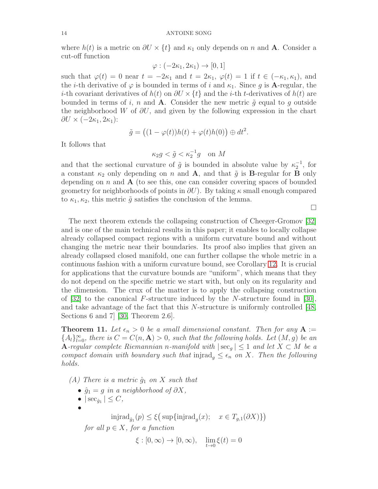where  $h(t)$  is a metric on  $\partial U \times \{t\}$  and  $\kappa_1$  only depends on n and **A**. Consider a cut-off function

$$
\varphi: (-2\kappa_1, 2\kappa_1) \to [0, 1]
$$

such that  $\varphi(t) = 0$  near  $t = -2\kappa_1$  and  $t = 2\kappa_1$ ,  $\varphi(t) = 1$  if  $t \in (-\kappa_1, \kappa_1)$ , and the *i*-th derivative of  $\varphi$  is bounded in terms of *i* and  $\kappa_1$ . Since g is **A**-regular, the *i*-th covariant derivatives of  $h(t)$  on  $\partial U \times \{t\}$  and the *i*-th *t*-derivatives of  $h(t)$  are bounded in terms of i, n and **A**. Consider the new metric  $\tilde{g}$  equal to g outside the neighborhood W of  $\partial U$ , and given by the following expression in the chart  $\partial U \times (-2\kappa_1, 2\kappa_1)$ :

$$
\tilde{g} = ((1 - \varphi(t))h(t) + \varphi(t)h(0)) \oplus dt^2.
$$

It follows that

$$
\kappa_2 g < \tilde{g} < \kappa_2^{-1} g \quad \text{on } M
$$

and that the sectional curvature of  $\tilde{g}$  is bounded in absolute value by  $\kappa_2^{-1}$ , for a constant  $\kappa_2$  only depending on n and **A**, and that  $\tilde{g}$  is **B**-regular for **B** only depending on n and  $\bf{A}$  (to see this, one can consider covering spaces of bounded geometry for neighborhoods of points in  $\partial U$ ). By taking  $\kappa$  small enough compared to  $\kappa_1, \kappa_2$ , this metric  $\tilde{g}$  satisfies the conclusion of the lemma.

 $\Box$ 

The next theorem extends the collapsing construction of Cheeger-Gromov [\[32\]](#page-55-2) and is one of the main technical results in this paper; it enables to locally collapse already collapsed compact regions with a uniform curvature bound and without changing the metric near their boundaries. Its proof also implies that given an already collapsed closed manifold, one can further collapse the whole metric in a continuous fashion with a uniform curvature bound, see Corollary [12.](#page-21-1) It is crucial for applications that the curvature bounds are "uniform", which means that they do not depend on the specific metric we start with, but only on its regularity and the dimension. The crux of the matter is to apply the collapsing construction of  $[32]$  to the canonical F-structure induced by the N-structure found in  $[30]$ , and take advantage of the fact that this  $N$ -structure is uniformly controlled [\[48,](#page-56-3) Sections 6 and 7 [\[30,](#page-55-4) Theorem 2.6].

<span id="page-13-0"></span>**Theorem 11.** Let  $\epsilon_n > 0$  be a small dimensional constant. Then for any  $A :=$  ${A_l}_{l=0}^{\infty}$ , there is  $C = C(n, \mathbf{A}) > 0$ , such that the following holds. Let  $(M, g)$  be an **A**-regular complete Riemannian n-manifold with  $|\sec_q| \leq 1$  and let  $X \subset M$  be a compact domain with boundary such that injrad<sub>g</sub>  $\leq \epsilon_n$  on X. Then the following holds.

(A) There is a metric  $\hat{g}_1$  on X such that

- $\hat{g}_1 = g$  in a neighborhood of  $\partial X$ ,
- $|\sec_{\hat{g}_1}| \leq C$ ,

•

$$
\mathrm{injrad}_{\hat{g}_1}(p)\leq \xi \big(\sup\{\mathrm{injrad}_g(x);\quad x\in T_{g,1}(\partial X)\}\big)
$$

for all  $p \in X$ , for a function

 $\xi : [0, \infty) \to [0, \infty), \quad \lim_{t \to 0} \xi(t) = 0$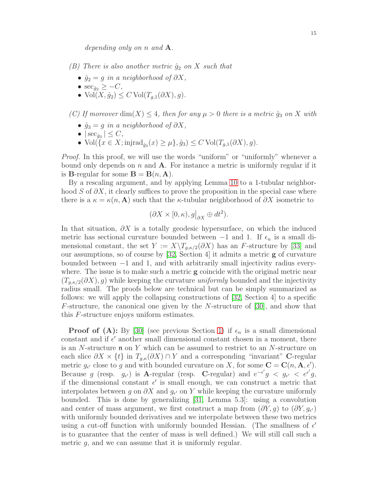depending only on n and **A**.

- (B) There is also another metric  $\hat{g}_2$  on X such that
	- $\hat{g}_2 = g$  in a neighborhood of  $\partial X$ ,
	- $\sec_{\hat{g}_2} \geq -C$ ,
	- Vol $(X, \hat{q}_2) \leq C$  Vol $(T_{q,1}(\partial X), q)$ .

(C) If moreover  $\dim(X) \leq 4$ , then for any  $\mu > 0$  there is a metric  $\hat{g}_3$  on X with

- $\hat{g}_3 = g$  in a neighborhood of  $\partial X$ ,
- $|\sec_{\hat{g}_3}| \leq C$ ,
- Vol $({x \in X; \text{injrad}_{\hat{g}_3}(x) \geq \mu}, \hat{g}_3) \leq C \text{Vol}(T_{g,1}(\partial X), g).$

Proof. In this proof, we will use the words "uniform" or "uniformly" whenever a bound only depends on  $n$  and  $A$ . For instance a metric is uniformly regular if it is **B**-regular for some  $\mathbf{B} = \mathbf{B}(n, \mathbf{A})$ .

By a rescaling argument, and by applying Lemma [10](#page-12-1) to a 1-tubular neighborhood S of  $\partial X$ , it clearly suffices to prove the proposition in the special case where there is a  $\kappa = \kappa(n, A)$  such that the  $\kappa$ -tubular neighborhood of  $\partial X$  isometric to

$$
(\partial X \times [0, \kappa), g|_{\partial X} \oplus dt^2).
$$

In that situation,  $\partial X$  is a totally geodesic hypersurface, on which the induced metric has sectional curvature bounded between  $-1$  and 1. If  $\epsilon_n$  is a small dimensional constant, the set  $Y := X\setminus T_{g,\kappa/2}(\partial X)$  has an F-structure by [\[33\]](#page-55-3) and our assumptions, so of course by [\[32,](#page-55-2) Section 4] it admits a metric g of curvature bounded between −1 and 1, and with arbitrarily small injectivity radius everywhere. The issue is to make such a metric  $g$  coincide with the original metric near  $(T_{a, \kappa/2}(\partial X), g)$  while keeping the curvature *uniformly* bounded and the injectivity radius small. The proofs below are technical but can be simply summarized as follows: we will apply the collapsing constructions of [\[32,](#page-55-2) Section 4] to a specific F-structure, the canonical one given by the N-structure of [\[30\]](#page-55-4), and show that this F-structure enjoys uniform estimates.

**Proof of (A):** By [\[30\]](#page-55-4) (see previous Section [1\)](#page-4-0) if  $\epsilon_n$  is a small dimensional constant and if  $\epsilon'$  another small dimensional constant chosen in a moment, there is an N-structure  $\mathfrak n$  on Y which can be assumed to restrict to an N-structure on each slice  $\partial X \times \{t\}$  in  $T_{g,\kappa}(\partial X) \cap Y$  and a corresponding "invariant" C-regular metric  $g_{\epsilon'}$  close to g and with bounded curvature on X, for some  $\mathbf{C} = \mathbf{C}(n, \mathbf{A}, \epsilon').$ Because g (resp.  $g_{\epsilon'}$ ) is A-regular (resp. C-regular) and  $e^{-\epsilon'}g < g_{\epsilon'} < e^{\epsilon'}g$ , if the dimensional constant  $\epsilon'$  is small enough, we can construct a metric that interpolates between g on  $\partial X$  and  $g_{\epsilon'}$  on Y while keeping the curvature uniformly bounded. This is done by generalizing [\[31,](#page-55-13) Lemma 5.3]: using a convolution and center of mass argument, we first construct a map from  $(\partial Y, g)$  to  $(\partial Y, g_{\epsilon})$ with uniformly bounded derivatives and we interpolate between these two metrics using a cut-off function with uniformly bounded Hessian. (The smallness of  $\epsilon'$ is to guarantee that the center of mass is well defined.) We will still call such a metric  $q$ , and we can assume that it is uniformly regular.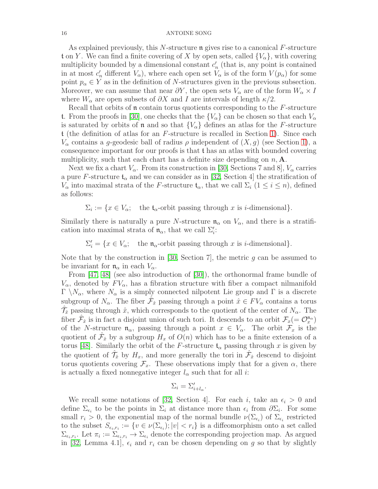As explained previously, this  $N$ -structure  $\mathfrak n$  gives rise to a canonical  $F$ -structure t on Y. We can find a finite covering of X by open sets, called  $\{V_{\alpha}\}\,$ , with covering multiplicity bounded by a dimensional constant  $c'_{n}$  (that is, any point is contained in at most  $c'_n$  different  $V_\alpha$ ), where each open set  $V_\alpha$  is of the form  $V(p_\alpha)$  for some point  $p_{\alpha} \in Y$  as in the definition of N-structures given in the previous subsection. Moreover, we can assume that near  $\partial Y$ , the open sets  $V_{\alpha}$  are of the form  $W_{\alpha} \times I$ where  $W_{\alpha}$  are open subsets of  $\partial X$  and I are intervals of length  $\kappa/2$ .

Recall that orbits of  $\mathfrak n$  contain torus quotients corresponding to the  $F$ -structure t. From the proofs in [\[30\]](#page-55-4), one checks that the  $\{V_{\alpha}\}\$ can be chosen so that each  $V_{\alpha}$ is saturated by orbits of **n** and so that  $\{V_{\alpha}\}\$  defines an atlas for the F-structure t (the definition of atlas for an  $F$ -structure is recalled in Section [1\)](#page-4-0). Since each  $V_{\alpha}$  contains a g-geodesic ball of radius  $\rho$  independent of  $(X, g)$  (see Section [1\)](#page-4-0), a consequence important for our proofs is that t has an atlas with bounded covering multiplicity, such that each chart has a definite size depending on  $n, \mathbf{A}$ .

Next we fix a chart  $V_{\alpha}$ . From its construction in [\[30,](#page-55-4) Sections 7 and 8],  $V_{\alpha}$  carries a pure F-structure  $\mathfrak{t}_{\alpha}$  and we can consider as in [\[32,](#page-55-2) Section 4] the stratification of  $V_{\alpha}$  into maximal strata of the F-structure  $\mathfrak{t}_{\alpha}$ , that we call  $\Sigma_i$   $(1 \leq i \leq n)$ , defined as follows:

 $\Sigma_i := \{x \in V_\alpha; \text{ the } \mathfrak{t}_\alpha\text{-orbit passing through } x \text{ is } i\text{-dimensional}\}.$ 

Similarly there is naturally a pure N-structure  $\mathfrak{n}_{\alpha}$  on  $V_{\alpha}$ , and there is a stratification into maximal strata of  $\mathfrak{n}_{\alpha}$ , that we call  $\Sigma_i'$ :

 $\Sigma'_i = \{x \in V_\alpha; \text{ the } \mathfrak{n}_\alpha\text{-orbit passing through } x \text{ is } i\text{-dimensional}\}.$ 

Note that by the construction in [\[30,](#page-55-4) Section 7], the metric  $g$  can be assumed to be invariant for  $\mathfrak{n}_{\alpha}$  in each  $V_{\alpha}$ .

From [\[47,](#page-56-2) [48\]](#page-56-3) (see also introduction of [\[30\]](#page-55-4)), the orthonormal frame bundle of  $V_{\alpha}$ , denoted by  $FV_{\alpha}$ , has a fibration structure with fiber a compact nilmanifold  $\Gamma \setminus N_\alpha$ , where  $N_\alpha$  is a simply connected nilpotent Lie group and Γ is a discrete subgroup of  $N_{\alpha}$ . The fiber  $\hat{\mathcal{F}}_{\hat{x}}$  passing through a point  $\hat{x} \in FV_{\alpha}$  contains a torus  $\hat{\mathcal{T}}_{\hat{x}}$  passing through  $\hat{x}$ , which corresponds to the quotient of the center of  $N_{\alpha}$ . The fiber  $\hat{\mathcal{F}}_{\hat{x}}$  is in fact a disjoint union of such tori. It descends to an orbit  $\mathcal{F}_x$  (=  $\mathcal{O}_x^{\mathfrak{n}_{\alpha}}$ ) of the N-structure  $\mathfrak{n}_{\alpha}$ , passing through a point  $x \in V_{\alpha}$ . The orbit  $\mathcal{F}_x$  is the quotient of  $\hat{\mathcal{F}}_{\hat{x}}$  by a subgroup  $H_x$  of  $O(n)$  which has to be a finite extension of a torus [\[48\]](#page-56-3). Similarly the orbit of the F-structure  $t_{\alpha}$  passing through x is given by the quotient of  $\hat{\mathcal{T}}_{\hat{x}}$  by  $H_x$ , and more generally the tori in  $\hat{\mathcal{F}}_{\hat{x}}$  descend to disjoint torus quotients covering  $\mathcal{F}_x$ . These observations imply that for a given  $\alpha$ , there is actually a fixed nonnegative integer  $l_{\alpha}$  such that for all *i*:

$$
\Sigma_i = \Sigma'_{i+l_{\alpha}}.
$$

We recall some notations of [\[32,](#page-55-2) Section 4]. For each i, take an  $\epsilon_i > 0$  and define  $\Sigma_{\epsilon_i}$  to be the points in  $\Sigma_i$  at distance more than  $\epsilon_i$  from  $\partial \Sigma_i$ . For some small  $r_i > 0$ , the exponential map of the normal bundle  $\nu(\Sigma_{\epsilon_i})$  of  $\Sigma_{\epsilon_i}$  restricted to the subset  $S_{\epsilon_i,r_i} := \{v \in \nu(\Sigma_{\epsilon_i}); |v| < r_i\}$  is a diffeomorphism onto a set called  $\Sigma_{\epsilon_i,r_i}$ . Let  $\pi_i := \Sigma_{\epsilon_i,r_i} \to \Sigma_{\epsilon_i}$  denote the corresponding projection map. As argued in [\[32,](#page-55-2) Lemma 4.1],  $\epsilon_i$  and  $r_i$  can be chosen depending on g so that by slightly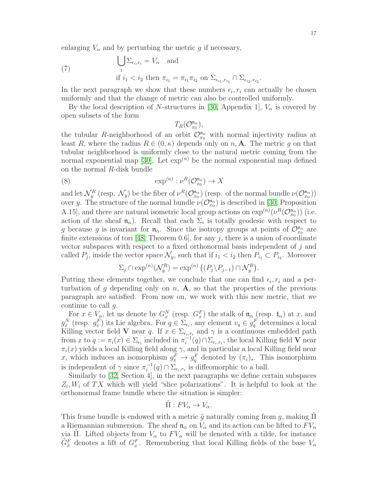enlarging  $V_{\alpha}$  and by perturbing the metric g if necessary,

<span id="page-16-0"></span>(7)

$$
\bigcup_{i} \Sigma_{\epsilon_i, r_i} = V_{\alpha} \text{ and}
$$
  
if  $i_1 < i_2$  then  $\pi_{i_1} = \pi_{i_1} \pi_{i_2}$  on  $\Sigma_{\epsilon_{i_1}, r_{i_1}} \cap \Sigma_{\epsilon_{i_2}, r_{i_2}}$ 

In the next paragraph we show that these numbers  $\epsilon_i$ ,  $r_i$  can actually be chosen uniformly and that the change of metric can also be controlled uniformly.

By the local description of N-structures in [\[30,](#page-55-4) Appendix 1],  $V_{\alpha}$  is covered by open subsets of the form

> <span id="page-16-1"></span> $T_R(\mathcal{O}_{x_0}^{\mathfrak{n}_\alpha}$  $\binom{\mathfrak{n}_{\alpha}}{x_0},$

the tubular R-neighborhood of an orbit  $\mathcal{O}_{x_0}^{\mathfrak{n}_{\alpha}}$  with normal injectivity radius at least R, where the radius  $R \in (0, \kappa)$  depends only on n, A. The metric g on that tubular neighborhood is uniformly close to the natural metric coming from the normal exponential map [\[30\]](#page-55-4). Let  $\exp^{(n)}$  be the normal exponential map defined on the normal R-disk bundle

$$
\exp^{(n)}: \nu^R(\mathcal{O}_{x_0}^{\mathfrak{n}_\alpha}) \to X
$$

and let  $\mathcal{N}_y^R$  (resp.  $\mathcal{N}_y$ ) be the fiber of  $\nu^R(\mathcal{O}_{x_0}^{\mathfrak{n}_{\alpha}})$  (resp. of the normal bundle  $\nu(\mathcal{O}_{x_0}^{\mathfrak{n}_{\alpha}})$ ) over y. The structure of the normal bundle  $\nu(\mathcal{O}_{x_0}^{\mathfrak{n}_{\alpha}})$  is described in [\[30,](#page-55-4) Proposition A.15], and there are natural isometric local group actions on  $\exp^{(n)}(\nu^R(\mathcal{O}_{x_0}^{\mathfrak{n}_{\alpha}}))$  (i.e. action of the sheaf  $\mathfrak{n}_{\alpha}$ ). Recall that each  $\Sigma_i$  is totally geodesic with respect to g because g is invariant for  $\mathfrak{n}_{\alpha}$ . Since the isotropy groups at points of  $\mathcal{O}_{x_0}^{\mathfrak{n}_{\alpha}}$  are finite extensions of tori [\[48,](#page-56-3) Theorem 0.6], for any  $j$ , there is a union of coordinate vector subspaces with respect to a fixed orthonormal basis independent of j and called  $P_j$ , inside the vector space  $\mathcal{N}_y$ , such that if  $i_1 < i_2$  then  $P_{i_1} \subset P_{i_2}$ . Moreover

$$
\Sigma_j \cap \exp^{(n)}(\mathcal{N}_y^R) = \exp^{(n)}\left((P_j \backslash P_{j-1}) \cap \mathcal{N}_y^R\right).
$$

Putting these elements together, we conclude that one can find  $\epsilon_i$ ,  $r_i$  and a perturbation of g depending only on  $n$ ,  $A$ , so that the properties of the previous paragraph are satisfied. From now on, we work with this new metric, that we continue to call g.

For  $x \in V_\alpha$ , let us denote by  $G_x^N$  (resp.  $G_x^F$ ) the stalk of  $\mathfrak{n}_\alpha$  (resp.  $\mathfrak{t}_\alpha$ ) at x, and  $g_x^N$  (resp.  $g_x^F$ ) its Lie algebra. For  $q \in \sum_{\epsilon_i}$ , any element  $v_q \in g_q^F$  determines a local Killing vector field **V** near q. If  $x \in \Sigma_{\epsilon_i, r_i}$  and  $\gamma$  is a continuous embedded path from x to  $q := \pi_i(x) \in \Sigma_{\epsilon_i}$  included in  $\pi_i^{-1}$  $i^{-1}(q) \cap \Sigma_{\epsilon_i,r_i}$ , the local Killing field **V** near  $\pi_i(x)$  yields a local Killing field along  $\gamma$ , and in particular a local Killing field near x, which induces an isomorphism  $g_x^F \to g_q^F$  denoted by  $(\pi_i)_*.$  This isomorphism is independent of  $\gamma$  since  $\pi_i^{-1}$  $\overline{i}^{-1}(q) \cap \Sigma_{\epsilon_i,r_i}$  is diffeomorphic to a ball.

Similarly to [\[32,](#page-55-2) Section 4], in the next paragraphs we define certain subspaces  $Z_i, W_i$  of TX which will yield "slice polarizations". It is helpful to look at the orthonormal frame bundle where the situation is simpler:

$$
\tilde{\Pi}: FV_{\alpha} \to V_{\alpha}.
$$

This frame bundle is endowed with a metric  $\tilde{g}$  naturally coming from g, making  $\Pi$ a Riemannian submersion. The sheaf  $\mathfrak{n}_{\alpha}$  on  $V_{\alpha}$  and its action can be lifted to  $F V_{\alpha}$ via Π. Lifted objects from  $V_{\alpha}$  to  $F V_{\alpha}$  will be denoted with a tilde, for instance  $\tilde{G}_{\tilde{x}}^F$  denotes a lift of  $G_x^F$ . Remembering that local Killing fields of the base  $V_{\alpha}$ 

.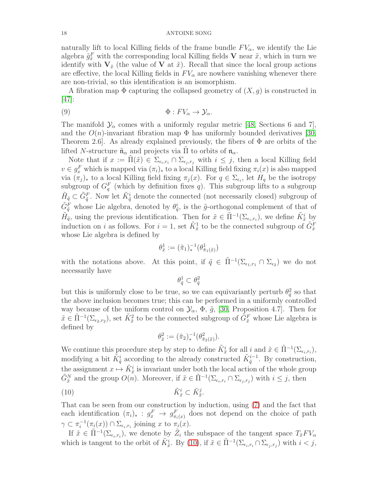naturally lift to local Killing fields of the frame bundle  $FV_\alpha$ , we identify the Lie algebra  $\tilde{g}^F_{\tilde{x}}$  with the corresponding local Killing fields **V** near  $\tilde{x}$ , which in turn we identify with  $V_{\tilde{x}}$  (the value of V at  $\tilde{x}$ ). Recall that since the local group actions are effective, the local Killing fields in  $F_{\alpha}$  are nowhere vanishing whenever there are non-trivial, so this identification is an isomorphism.

A fibration map  $\Phi$  capturing the collapsed geometry of  $(X, g)$  is constructed in [\[47\]](#page-56-2):

<span id="page-17-1"></span>
$$
\Phi: FV_{\alpha} \to \mathcal{Y}_{\alpha}.
$$

The manifold  $\mathcal{Y}_{\alpha}$  comes with a uniformly regular metric [\[48,](#page-56-3) Sections 6 and 7], and the  $O(n)$ -invariant fibration map  $\Phi$  has uniformly bounded derivatives [\[30,](#page-55-4) Theorem 2.6. As already explained previously, the fibers of  $\Phi$  are orbits of the lifted N-structure  $\tilde{\mathfrak{n}}_{\alpha}$  and projects via  $\Pi$  to orbits of  $\mathfrak{n}_{\alpha}$ .

Note that if  $x := \tilde{\Pi}(\tilde{x}) \in \Sigma_{\epsilon_i, r_i} \cap \Sigma_{\epsilon_j, r_j}$  with  $i \leq j$ , then a local Killing field  $v \in g_x^F$  which is mapped via  $(\pi_i)_*$  to a local Killing field fixing  $\pi_i(x)$  is also mapped via  $(\pi_j)_*$  to a local Killing field fixing  $\pi_j(x)$ . For  $q \in \Sigma_{\epsilon_i}$ , let  $H_q$  be the isotropy subgroup of  $G_q^F$  (which by definition fixes q). This subgroup lifts to a subgroup  $\tilde{H}_{\tilde{q}} \subset \tilde{G}_{\tilde{q}}^F$ . Now let  $\tilde{K}_{\tilde{q}}^i$  denote the connected (not necessarily closed) subgroup of  $\tilde{G}_{\tilde{q}}^F$  whose Lie algebra, denoted by  $\theta_{\tilde{q}}^i$ , is the  $\tilde{g}$ -orthogonal complement of that of  $\tilde{H}_{\tilde{q}}$ , using the previous identification. Then for  $\tilde{x} \in \tilde{\Pi}^{-1}(\Sigma_{\epsilon_i,r_i})$ , we define  $\tilde{K}^i_{\tilde{x}}$  by induction on *i* as follows. For  $i = 1$ , set  $\tilde{K}^1_{\tilde{x}}$  to be the connected subgroup of  $\tilde{G}^F_{\tilde{x}}$ whose Lie algebra is defined by

$$
\theta_{\tilde{x}}^1 := (\tilde{\pi}_1)_*^{-1}(\theta_{\tilde{\pi}_1(\tilde{x})}^1)
$$

with the notations above. At this point, if  $\tilde{q} \in \tilde{\Pi}^{-1}(\Sigma_{\epsilon_1,r_1} \cap \Sigma_{\epsilon_2})$  we do not necessarily have

$$
\theta^1_{\tilde q}\subset \theta^2_{\tilde q}
$$

but this is uniformly close to be true, so we can equivariantly perturb  $\theta_{\tilde{q}}^2$  so that the above inclusion becomes true; this can be performed in a uniformly controlled way because of the uniform control on  $\mathcal{Y}_{\alpha}$ ,  $\Phi$ ,  $\tilde{g}$ , [\[30,](#page-55-4) Proposition 4.7]. Then for  $\tilde{x} \in \tilde{\Pi}^{-1}(\Sigma_{\epsilon_2,r_2})$ , set  $\tilde{K}^2_{\tilde{x}}$  to be the connected subgroup of  $\tilde{G}^F_{\tilde{x}}$  whose Lie algebra is defined by

<span id="page-17-0"></span>
$$
\theta_{\tilde{x}}^2 := (\tilde{\pi}_2)^{-1}_* (\theta_{\tilde{\pi}_2(\tilde{x})}^2).
$$

We continue this procedure step by step to define  $\tilde{K}^i_{\tilde{x}}$  for all  $i$  and  $\tilde{x} \in \tilde{\Pi}^{-1}(\Sigma_{\epsilon_i,r_i}),$ modifying a bit  $\tilde{K}^i_{\tilde{q}}$  according to the already constructed  $\tilde{K}^{i-1}_{\tilde{q}}$ . By construction, the assignment  $x \mapsto \tilde{K}^i_{\tilde{x}}$  is invariant under both the local action of the whole group  $\tilde{G}_{\tilde{x}}^N$  and the group  $O(n)$ . Moreover, if  $\tilde{x} \in \tilde{\Pi}^{-1}(\Sigma_{\epsilon_i,r_i} \cap \Sigma_{\epsilon_j,r_j})$  with  $i \leq j$ , then

$$
(10) \qquad \qquad \tilde{K}^i_{\tilde{x}} \subset \tilde{K}^j_{\tilde{x}}.
$$

That can be seen from our construction by induction, using [\(7\)](#page-16-0) and the fact that each identification  $(\pi_i)_*: g^F_x \to g^F_{\pi_i(x)}$  does not depend on the choice of path  $\gamma \subset \pi_i^{-1}$  $\overline{C}_i^{-1}(\pi_i(x)) \cap \Sigma_{\epsilon_i,r_i}$  joining x to  $\pi_i(x)$ .

If  $\tilde{x} \in \tilde{\Pi}^{-1}(\Sigma_{\epsilon_i,r_i})$ , we denote by  $\tilde{Z}_i$  the subspace of the tangent space  $T_{\tilde{x}}FV_{\alpha}$ which is tangent to the orbit of  $\tilde{K}_{\tilde{x}}^i$ . By [\(10\)](#page-17-0), if  $\tilde{x} \in \tilde{\Pi}^{-1}(\Sigma_{\epsilon_i,r_i} \cap \Sigma_{\epsilon_j,r_j})$  with  $i < j$ ,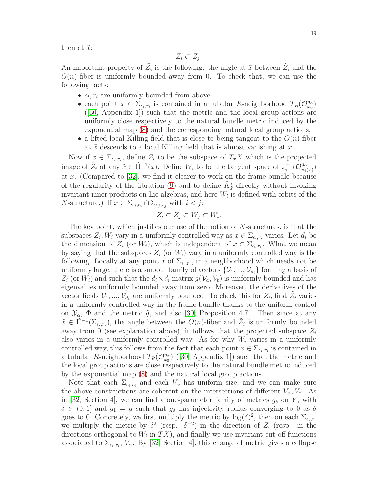then at  $\tilde{x}$ :

$$
\tilde{Z}_i\subset \tilde{Z}_j.
$$

An important property of  $\tilde{Z}_i$  is the following: the angle at  $\tilde{x}$  between  $\tilde{Z}_i$  and the  $O(n)$ -fiber is uniformly bounded away from 0. To check that, we can use the following facts:

- $\epsilon_i$ ,  $r_i$  are uniformly bounded from above,
- each point  $x \in \Sigma_{\epsilon_i, r_i}$  is contained in a tubular R-neighborhood  $T_R(\mathcal{O}_{x_0}^{\mathfrak{n}_{\alpha}})$ ([\[30,](#page-55-4) Appendix 1]) such that the metric and the local group actions are uniformly close respectively to the natural bundle metric induced by the exponential map [\(8\)](#page-16-1) and the corresponding natural local group actions,
- a lifted local Killing field that is close to being tangent to the  $O(n)$ -fiber at  $\tilde{x}$  descends to a local Killing field that is almost vanishing at x.

Now if  $x \in \Sigma_{\epsilon_i, r_i}$ , define  $Z_i$  to be the subspace of  $T_xX$  which is the projected image of  $\tilde{Z}_i$  at any  $\tilde{x} \in \tilde{\Pi}^{-1}(x)$ . Define  $W_i$  to be the tangent space of  $\pi_i^{-1}(\mathcal{O}_{\pi_i}^{\mathfrak{n}_{\alpha}})$  $\frac{\mathfrak{n}_\alpha}{\pi_i(x)}$ at x. (Compared to [\[32\]](#page-55-2), we find it clearer to work on the frame bundle because of the regularity of the fibration [\(9\)](#page-17-1) and to define  $\tilde{K}^i_{\tilde{x}}$  directly without invoking invariant inner products on Lie algebras, and here  $W_i$  is defined with orbits of the *N*-structure.) If  $x \in \sum_{\epsilon_i, r_i} \cap \sum_{\epsilon_i, r_j}$  with  $i < j$ :

$$
Z_i \subset Z_j \subset W_j \subset W_i.
$$

The key point, which justifies our use of the notion of  $N$ -structures, is that the subspaces  $Z_i, W_i$  vary in a uniformly controlled way as  $x \in \sum_{\epsilon_i, r_i}$  varies. Let  $d_i$  be the dimension of  $Z_i$  (or  $W_i$ ), which is independent of  $x \in \Sigma_{\epsilon_i, r_i}$ . What we mean by saying that the subspaces  $Z_i$  (or  $W_i$ ) vary in a uniformly controlled way is the following. Locally at any point x of  $\Sigma_{\epsilon_i,r_i}$ , in a neighborhood which needs not be uniformly large, there is a smooth family of vectors  $\{\mathcal{V}_1, ..., \mathcal{V}_{d_i}\}$  forming a basis of  $Z_i$  (or  $W_i$ ) and such that the  $d_i \times d_i$  matrix  $g(V_a, V_b)$  is uniformly bounded and has eigenvalues uniformly bounded away from zero. Moreover, the derivatives of the vector fields  $\mathcal{V}_1, ..., \mathcal{V}_{d_i}$  are uniformly bounded. To check this for  $Z_i$ , first  $\tilde{Z}_i$  varies in a uniformly controlled way in the frame bundle thanks to the uniform control on  $\mathcal{Y}_{\alpha}$ ,  $\Phi$  and the metric  $\tilde{g}$ , and also [\[30,](#page-55-4) Proposition 4.7]. Then since at any  $\tilde{x} \in \tilde{\Pi}^{-1}(\Sigma_{\epsilon_i,r_i})$ , the angle between the  $O(n)$ -fiber and  $\tilde{Z}_i$  is uniformly bounded away from 0 (see explanation above), it follows that the projected subspace  $Z_i$ also varies in a uniformly controlled way. As for why  $W_i$  varies in a uniformly controlled way, this follows from the fact that each point  $x \in \Sigma_{\epsilon_i, r_i}$  is contained in atubular R-neighborhood  $T_R(\mathcal{O}_{x_0}^{\mathfrak{n}_{\alpha}})$  ([\[30,](#page-55-4) Appendix 1]) such that the metric and the local group actions are close respectively to the natural bundle metric induced by the exponential map [\(8\)](#page-16-1) and the natural local group actions.

Note that each  $\Sigma_{\epsilon_i,r_i}$  and each  $V_\alpha$  has uniform size, and we can make sure the above constructions are coherent on the intersections of different  $V_{\alpha}$ ,  $V_{\beta}$ . As in [\[32,](#page-55-2) Section 4], we can find a one-parameter family of metrics  $g_{\delta}$  on Y, with  $\delta \in (0,1]$  and  $g_1 = g$  such that  $g_\delta$  has injectivity radius converging to 0 as  $\delta$ goes to 0. Concretely, we first multiply the metric by  $\log(\delta)^2$ , then on each  $\Sigma_{\epsilon_i,r_i}$ we multiply the metric by  $\delta^2$  (resp.  $\delta^{-2}$ ) in the direction of  $Z_i$  (resp. in the directions orthogonal to  $W_i$  in  $TX$ ), and finally we use invariant cut-off functions associated to  $\Sigma_{\epsilon_i,r_i}$ ,  $V_\alpha$ . By [\[32,](#page-55-2) Section 4], this change of metric gives a collapse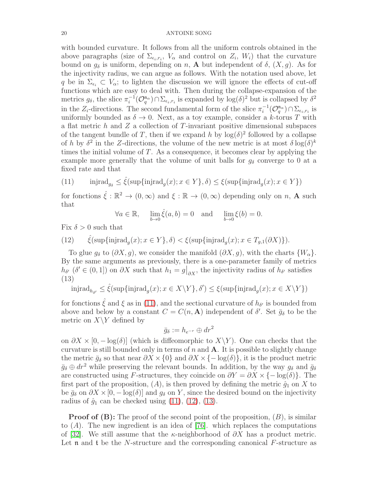with bounded curvature. It follows from all the uniform controls obtained in the above paragraphs (size of  $\Sigma_{\epsilon_i,r_i}$ ,  $V_\alpha$  and control on  $Z_i$ ,  $W_i$ ) that the curvature bound on  $g_{\delta}$  is uniform, depending on n, A but independent of  $\delta$ ,  $(X, g)$ . As for the injectivity radius, we can argue as follows. With the notation used above, let q be in  $\Sigma_{\epsilon_i} \subset V_\alpha$ ; to lighten the discussion we will ignore the effects of cut-off functions which are easy to deal with. Then during the collapse-expansion of the metrics  $g_\delta$ , the slice  $\pi_i^{-1}(\mathcal{O}_q^{\mathfrak{n}_{\alpha}}) \cap \Sigma_{\epsilon_i,r_i}$  is expanded by  $\log(\delta)^2$  but is collapsed by  $\delta^2$ in the  $Z_i$ -directions. The second fundamental form of the slice  $\pi_i^{-1}(\mathcal{O}_q^{\mathfrak{n}_{\alpha}}) \cap \Sigma_{\epsilon_i,r_i}$  is uniformly bounded as  $\delta \to 0$ . Next, as a toy example, consider a k-torus T with a flat metric  $h$  and  $Z$  a collection of  $T$ -invariant positive dimensional subspaces of the tangent bundle of T, then if we expand h by  $log(\delta)^2$  followed by a collapse of h by  $\delta^2$  in the Z-directions, the volume of the new metric is at most  $\delta \log(\delta)^k$ times the initial volume of  $T$ . As a consequence, it becomes clear by applying the example more generally that the volume of unit balls for  $g_{\delta}$  converge to 0 at a fixed rate and that

<span id="page-19-0"></span>(11) 
$$
\text{injrad}_{g_{\delta}} \le \hat{\xi}(\text{sup}\{\text{injrad}_g(x); x \in Y\}, \delta) \le \xi(\text{sup}\{\text{injrad}_g(x); x \in Y\})
$$

for fonctions  $\hat{\xi}: \mathbb{R}^2 \to (0, \infty)$  and  $\xi: \mathbb{R} \to (0, \infty)$  depending only on n, **A** such that

$$
\forall a \in \mathbb{R}, \quad \lim_{b \to 0} \hat{\xi}(a, b) = 0 \quad \text{and} \quad \lim_{b \to 0} \xi(b) = 0.
$$

Fix  $\delta > 0$  such that

<span id="page-19-1"></span>(12)  $\hat{\xi}(\sup\{\text{injrad}_g(x); x \in Y\}, \delta) < \xi(\sup\{\text{injrad}_g(x); x \in T_{g,1}(\partial X)\}).$ 

To glue  $g_\delta$  to  $(\partial X, g)$ , we consider the manifold  $(\partial X, g)$ , with the charts  $\{W_\alpha\}.$ By the same arguments as previously, there is a one-parameter family of metrics  $h_{\delta'}(\delta' \in (0,1])$  on  $\partial X$  such that  $h_1 = g|_{\partial X}$ , the injectivity radius of  $h_{\delta'}$  satisfies (13)

<span id="page-19-2"></span> $\mathrm{injrad}_{h_{\delta'}} \leq \hat{\xi}(\sup\{\mathrm{injrad}_g(x); x \in X \setminus Y\}, \delta') \leq \xi(\sup\{\mathrm{injrad}_g(x); x \in X \setminus Y\})$ 

for fonctions  $\hat{\xi}$  and  $\xi$  as in [\(11\)](#page-19-0), and the sectional curvature of  $h_{\delta'}$  is bounded from above and below by a constant  $C = C(n, \mathbf{A})$  independent of  $\delta'$ . Set  $\bar{g}_{\delta}$  to be the metric on  $X\Y$  defined by

$$
\bar{g}_\delta := h_{e^{-r}} \oplus dr^2
$$

on  $\partial X \times [0, -\log(\delta)]$  (which is diffeomorphic to  $X \backslash Y$ ). One can checks that the curvature is still bounded only in terms of  $n$  and  $A$ . It is possible to slightly change the metric  $\bar{g}_{\delta}$  so that near  $\partial X \times \{0\}$  and  $\partial X \times \{-\log(\delta)\}\,$ , it is the product metric  $\bar{g}_{\delta} \oplus dr^2$  while preserving the relevant bounds. In addition, by the way  $g_{\delta}$  and  $\bar{g}_{\delta}$ are constructed using F-structures, they coincide on  $\partial Y = \partial X \times \{-\log(\delta)\}\.$  The first part of the proposition,  $(A)$ , is then proved by defining the metric  $\hat{g}_1$  on X to be  $\bar{g}_{\delta}$  on  $\partial X \times [0, -\log(\delta)]$  and  $g_{\delta}$  on Y, since the desired bound on the injectivity radius of  $\hat{g}_1$  can be checked using [\(11\)](#page-19-0), [\(12\)](#page-19-1), [\(13\)](#page-19-2).

**Proof of (B):** The proof of the second point of the proposition,  $(B)$ , is similar to  $(A)$ . The new ingredient is an idea of [\[76\]](#page-57-7), which replaces the computations of [\[32\]](#page-55-2). We still assume that the  $\kappa$ -neighborhood of  $\partial X$  has a product metric. Let  $\mathfrak n$  and  $\mathfrak t$  be the N-structure and the corresponding canonical F-structure as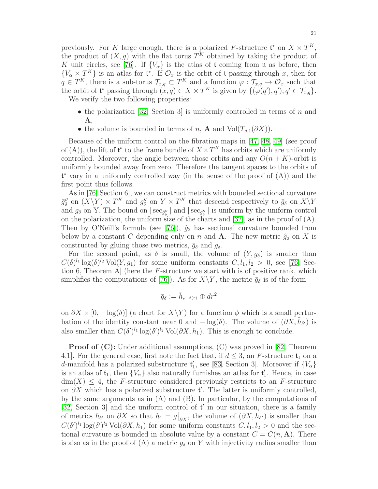previously. For K large enough, there is a polarized F-structure  $\mathfrak{t}^*$  on  $X \times T^K$ , the product of  $(X, g)$  with the flat torus  $T^K$  obtained by taking the product of K unit circles, see [\[76\]](#page-57-7). If  $\{V_{\alpha}\}\$ is the atlas of t coming from n as before, then  $\{V_\alpha \times T^K\}$  is an atlas for  $\mathfrak{t}^*$ . If  $\mathcal{O}_x$  is the orbit of  $\mathfrak{t}$  passing through x, then for  $q \in T^K$ , there is a sub-torus  $\mathcal{T}_{x,q} \subset T^K$  and a function  $\varphi : \mathcal{T}_{x,q} \to \mathcal{O}_x$  such that the orbit of  $\mathfrak{t}^*$  passing through  $(x, q) \in X \times T^K$  is given by  $\{(\varphi(q'), q'); q' \in \mathcal{T}_{x,q}\}.$ 

We verify the two following properties:

- the polarization [\[32,](#page-55-2) Section 3] is uniformly controlled in terms of n and A,
- the volume is bounded in terms of n, **A** and  $Vol(T_{q,1}(\partial X)).$

Because of the uniform control on the fibration maps in [\[47,](#page-56-2) [48,](#page-56-3) [49\]](#page-56-4) (see proof of (A)), the lift of  $\mathfrak{t}^*$  to the frame bundle of  $X \times T^K$  has orbits which are uniformly controlled. Moreover, the angle between those orbits and any  $O(n+K)$ -orbit is uniformly bounded away from zero. Therefore the tangent spaces to the orbits of t <sup>∗</sup> vary in a uniformly controlled way (in the sense of the proof of (A)) and the first point thus follows.

As in [\[76,](#page-57-7) Section 6], we can construct metrics with bounded sectional curvature  $\bar{g}''_{\delta}$  on  $(X \ Y) \times T^K$  and  $g''_{\delta}$  on  $Y \times T^K$  that descend respectively to  $\bar{g}_{\delta}$  on  $X \ Y$ and  $g_{\delta}$  on Y. The bound on  $|\sec_{g''_{\delta}}|$  and  $|\sec_{g''_{\delta}}|$  is uniform by the uniform control on the polarization, the uniform size of the charts and [\[32\]](#page-55-2), as in the proof of (A). Then by O'Neill's formula (see [\[76\]](#page-57-7)),  $\hat{g}_2$  has sectional curvature bounded from below by a constant C depending only on n and **A**. The new metric  $\hat{g}_2$  on X is constructed by gluing those two metrics,  $\bar{q}_\delta$  and  $q_\delta$ .

For the second point, as  $\delta$  is small, the volume of  $(Y, g_{\delta})$  is smaller than  $C(\delta)^{l_1} \log(\delta)^{l_2} \text{Vol}(Y,g_1)$  for some uniform constants  $C, l_1, l_2 > 0$ , see [\[76,](#page-57-7) Section 6, Theorem A] (here the F-structure we start with is of positive rank, which simplifies the computations of [\[76\]](#page-57-7)). As for  $X\Y$ , the metric  $\bar{g}_\delta$  is of the form

$$
\bar{g}_{\delta} := \tilde{h}_{e^{-\phi(r)}} \oplus dr^2
$$

on  $\partial X \times [0, -\log(\delta)]$  (a chart for  $X\Y$ ) for a function  $\phi$  which is a small perturbation of the identity constant near 0 and  $-\log(\delta)$ . The volume of  $(\partial X, \tilde{h}_{\delta})$  is also smaller than  $C(\delta')^{l_1} \log(\delta')^{l_2}$  Vol $(\partial X, \tilde{h}_1)$ . This is enough to conclude.

**Proof of (C):** Under additional assumptions, (C) was proved in [\[82,](#page-57-8) Theorem 4.1. For the general case, first note the fact that, if  $d \leq 3$ , an F-structure  $\mathfrak{t}_1$  on a d-manifold has a polarized substructure  $\mathfrak{t}'_1$ , see [\[83,](#page-57-13) Section 3]. Moreover if  $\{V_\alpha\}$ is an atlas of  $\mathfrak{t}_1$ , then  $\{V_\alpha\}$  also naturally furnishes an atlas for  $\mathfrak{t}'_1$ . Hence, in case  $\dim(X) \leq 4$ , the F-structure considered previously restricts to an F-structure on  $\partial X$  which has a polarized substructure t'. The latter is uniformly controlled, by the same arguments as in (A) and (B). In particular, by the computations of [\[32,](#page-55-2) Section 3] and the uniform control of  $t'$  in our situation, there is a family of metrics  $h_{\delta'}$  on  $\partial X$  so that  $h_1 = g|_{\partial X}$ , the volume of  $(\partial X, h_{\delta'})$  is smaller than  $C(\delta')^{l_1} \log(\delta')^{l_2} \text{Vol}(\partial X, h_1)$  for some uniform constants  $C, l_1, l_2 > 0$  and the sectional curvature is bounded in absolute value by a constant  $C = C(n, \mathbf{A})$ . There is also as in the proof of (A) a metric  $g_{\delta}$  on Y with injectivity radius smaller than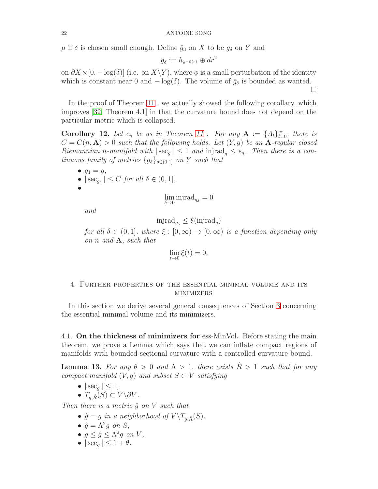$\mu$  if  $\delta$  is chosen small enough. Define  $\hat{q}_3$  on X to be  $q_\delta$  on Y and

$$
\bar{g}_{\delta} := h_{e^{-\phi(r)}} \oplus dr^2
$$

on  $\partial X \times [0, -\log(\delta)]$  (i.e. on  $X \ Y)$ , where  $\phi$  is a small perturbation of the identity which is constant near 0 and  $-\log(\delta)$ . The volume of  $\bar{g}_{\delta}$  is bounded as wanted. □

In the proof of Theorem [11](#page-13-0), we actually showed the following corollary, which improves [\[32,](#page-55-2) Theorem 4.1] in that the curvature bound does not depend on the particular metric which is collapsed.

<span id="page-21-1"></span>**Corollary 12.** Let  $\epsilon_n$  be as in Theorem [11](#page-13-0) . For any  $\mathbf{A} := \{A_l\}_{l=0}^{\infty}$ , there is  $C = C(n, \mathbf{A}) > 0$  such that the following holds. Let  $(Y, g)$  be an **A**-regular closed Riemannian n-manifold with  $|\sec_g| \leq 1$  and injrad<sub> $g \leq \epsilon_n$ . Then there is a con-</sub> tinuous family of metrics  $\{g_\delta\}_{\delta \in (0,1]}$  on Y such that

\n- $$
g_1 = g
$$
,
\n- $|\sec_{g_\delta}| \leq C$  for all  $\delta \in (0, 1]$ ,
\n- $\lim_{\delta \to 0} \text{injrad}_{g_\delta} = 0$
\n

and

$$
\text{injrad}_{g_\delta} \le \xi(\text{injrad}_g)
$$

for all  $\delta \in (0,1]$ , where  $\xi : [0,\infty) \to [0,\infty)$  is a function depending only on  $n$  and  $A$ , such that

$$
\lim_{t \to 0} \xi(t) = 0.
$$

# <span id="page-21-0"></span>4. Further properties of the essential minimal volume and its minimizers

In this section we derive several general consequences of Section [3](#page-12-0) concerning the essential minimal volume and its minimizers.

4.1. On the thickness of minimizers for ess-MinVol. Before stating the main theorem, we prove a Lemma which says that we can inflate compact regions of manifolds with bounded sectional curvature with a controlled curvature bound.

<span id="page-21-2"></span>**Lemma 13.** For any  $\theta > 0$  and  $\Lambda > 1$ , there exists  $\ddot{R} > 1$  such that for any compact manifold  $(V, g)$  and subset  $S \subset V$  satisfying

- $|\sec_q| \leq 1$ ,
- $T_{q,\hat{R}}(S) \subset V \backslash \partial V$ .

Then there is a metric  $\hat{g}$  on V such that

- $\hat{g} = g$  in a neighborhood of  $V \backslash T_{g,\hat{R}}(S)$ ,
- $\hat{g} = \Lambda^2 g$  on  $S$ ,
- $g \le \hat{g} \le \Lambda^2 g$  on V,
- $|\sec_{\hat{a}}| \leq 1 + \theta$ .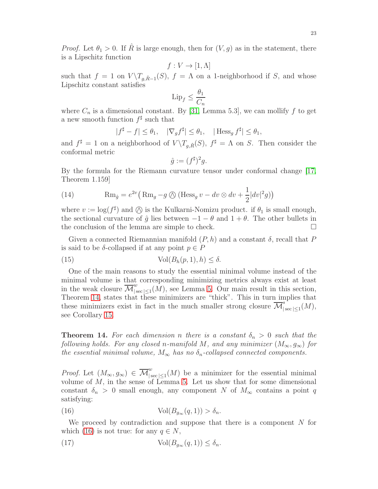*Proof.* Let  $\theta_1 > 0$ . If R is large enough, then for  $(V, g)$  as in the statement, there is a Lipschitz function

$$
f: V \to [1, \Lambda]
$$

such that  $f = 1$  on  $V \setminus T_{g,\hat{R}-1}(S)$ ,  $f = \Lambda$  on a 1-neighborhood if S, and whose Lipschitz constant satisfies

$$
\mathrm{Lip}_f \le \frac{\theta_1}{C_n}
$$

where  $C_n$  is a dimensional constant. By [\[31,](#page-55-13) Lemma 5.3], we can mollify f to get a new smooth function  $f^{\sharp}$  such that

$$
|f^{\sharp} - f| \le \theta_1, \quad |\nabla_g f^{\sharp}| \le \theta_1, \quad |\text{Hess}_g f^{\sharp}| \le \theta_1,
$$

and  $f^{\sharp} = 1$  on a neighborhood of  $V \setminus T_{g,\hat{R}}(S)$ ,  $f^{\sharp} = \Lambda$  on S. Then consider the conformal metric

$$
\hat{g} := (f^{\sharp})^2 g.
$$

By the formula for the Riemann curvature tensor under conformal change [\[17,](#page-55-14) Theorem 1.159]

<span id="page-22-3"></span>(14) 
$$
\operatorname{Rm}_{\hat{g}} = e^{2v} \left( \operatorname{Rm}_g - g \oslash (\operatorname{Hess}_g v - dv \otimes dv + \frac{1}{2} |dv|^2 g) \right)
$$

where  $v := \log(f^{\sharp})$  and  $\oslash$  is the Kulkarni-Nomizu product. if  $\theta_1$  is small enough, the sectional curvature of  $\hat{g}$  lies between  $-1 - \theta$  and  $1 + \theta$ . The other bullets in the conclusion of the lemma are simple to check. the conclusion of the lemma are simple to check.

Given a connected Riemannian manifold  $(P, h)$  and a constant  $\delta$ , recall that P is said to be  $\delta$ -collapsed if at any point  $p \in P$ 

(15) 
$$
\text{Vol}(B_h(p,1),h) \leq \delta.
$$

One of the main reasons to study the essential minimal volume instead of the minimal volume is that corresponding minimizing metrics always exist at least in the weak closure  $\overline{\mathcal{M}}_{|s}^w$  $\int_{|\sec|\leq 1}(M)$ , see Lemma [5.](#page-9-1) Our main result in this section, Theorem [14,](#page-22-0) states that these minimizers are "thick". This in turn implies that these minimizers exist in fact in the much smaller strong closure  $\overline{\mathcal{M}}_{\vert}^s$  $\int_{|\sec |\leq 1}(M),$ see Corollary [15.](#page-24-0)

<span id="page-22-0"></span>**Theorem 14.** For each dimension n there is a constant  $\delta_n > 0$  such that the following holds. For any closed n-manifold M, and any minimizer  $(M_{\infty}, g_{\infty})$  for the essential minimal volume,  $M_{\infty}$  has no  $\delta_n$ -collapsed connected components.

*Proof.* Let  $(M_{\infty}, g_{\infty}) \in \overline{\mathcal{M}}_{|s}^{w}$  $\int_{|\sec|\leq 1}(M)$  be a minimizer for the essential minimal volume of  $M$ , in the sense of Lemma [5.](#page-9-1) Let us show that for some dimensional constant  $\delta_n > 0$  small enough, any component N of  $M_\infty$  contains a point q satisfying:

<span id="page-22-1"></span>(16) 
$$
\text{Vol}(B_{g_{\infty}}(q,1)) > \delta_n.
$$

We proceed by contradiction and suppose that there is a component  $N$  for which [\(16\)](#page-22-1) is not true: for any  $q \in N$ ,

<span id="page-22-2"></span>(17) 
$$
\operatorname{Vol}(B_{g_{\infty}}(q,1)) \leq \delta_n.
$$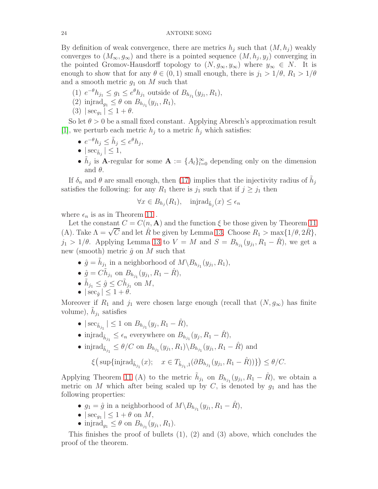By definition of weak convergence, there are metrics  $h_i$  such that  $(M, h_i)$  weakly converges to  $(M_{\infty}, g_{\infty})$  and there is a pointed sequence  $(M, h_j, y_j)$  converging in the pointed Gromov-Hausdorff topology to  $(N, g_{\infty}, y_{\infty})$  where  $y_{\infty} \in N$ . It is enough to show that for any  $\theta \in (0,1)$  small enough, there is  $j_1 > 1/\theta$ ,  $R_1 > 1/\theta$ and a smooth metric  $q_1$  on M such that

- (1)  $e^{-\theta}h_{j_1} \leq g_1 \leq e^{\theta}h_{j_1}$  outside of  $B_{h_{j_1}}(y_{j_1}, R_1)$ ,
- (2) injrad<sub>g<sub>1</sub></sub>  $\leq \theta$  on  $B_{h_{j_1}}(y_{j_1}, R_1)$ ,
- (3)  $|\sec_{g_1}| \leq 1 + \theta$ .

So let  $\theta > 0$  be a small fixed constant. Applying Abresch's approximation result [\[1\]](#page-54-7), we perturb each metric  $h_j$  to a metric  $\tilde{h}_j$  which satisfies:

- $e^{-\theta}h_j \leq \tilde{h}_j \leq e^{\theta}h_j$ ,
- $|\sec_{\tilde{h}_j}| \leq 1$ ,
- $\tilde{h}_j$  is **A**-regular for some  $\mathbf{A} := \{A_l\}_{l=0}^{\infty}$  depending only on the dimension and  $\theta$ .

If  $\delta_n$  and  $\theta$  are small enough, then [\(17\)](#page-22-2) implies that the injectivity radius of  $\tilde{h}_j$ satisfies the following: for any  $R_1$  there is  $j_1$  such that if  $j \geq j_1$  then

$$
\forall x \in B_{h_j}(R_1), \quad \text{injrad}_{\tilde{h}_j}(x) \le \epsilon_n
$$

where  $\epsilon_n$  is as in Theorem [11](#page-13-0).

Let the constant  $C = C(n, \mathbf{A})$  and the function  $\xi$  be those given by Theorem [11](#page-13-0) (A). Take  $\Lambda = \sqrt{C}$  and let  $\hat{R}$  be given by Lemma [13.](#page-21-2) Choose  $R_1 > \max_{\alpha} \{1/\theta, 2\hat{R}\},$  $j_1 > 1/\theta$ . Applying Lemma [13](#page-21-2) to  $V = M$  and  $S = B_{h_{j_1}}(y_{j_1}, R_1 - \hat{R})$ , we get a new (smooth) metric  $\hat{g}$  on M such that

- $\hat{g} = \tilde{h}_{j_1}$  in a neighborhood of  $M \backslash B_{h_{j_1}}(y_{j_1}, R_1)$ ,
- $\hat{g} = C\tilde{h}_{j_1}$  on  $B_{h_{j_1}}(y_{j_1}, R_1 \hat{R}),$
- $\tilde{h}_{j_1} \leq \hat{g} \leq C \tilde{h}_{j_1}$  on  $M$ ,
- $|\sec_{\hat{\theta}}| \leq 1 + \theta$ .

Moreover if  $R_1$  and  $j_1$  were chosen large enough (recall that  $(N, g_{\infty})$  has finite volume),  $\tilde{h}_{j_1}$  satisfies

- $|\sec_{\tilde{h}_{j_1}}| \le 1$  on  $B_{h_{j_1}}(y_j, R_1 \hat{R}),$
- injrad $_{\tilde{h}_{j_1}} \leq \epsilon_n$  everywhere on  $B_{h_{j_1}}(y_j, R_1 \hat{R}),$
- injrad $\delta_{\tilde{h}_{j_1}} \leq \theta/C$  on  $B_{h_{j_1}}(y_{j_1}, R_1) \backslash B_{h_{j_1}}(y_{j_1}, R_1 \hat{R})$  and

$$
\xi\big(\sup\{\text{injrad}_{\tilde{h}_{j_1}}(x); \quad x \in T_{\tilde{h}_{j_1},1}(\partial B_{h_{j_1}}(y_{j_1}, R_1 - \hat{R}))\big\}\big) \le \theta/C.
$$

Applying Theorem [11](#page-13-0) (A) to the metric  $\tilde{h}_{j_1}$  on  $B_{h_{j_1}}(y_{j_1}, R_1 - \hat{R})$ , we obtain a metric on M which after being scaled up by C, is denoted by  $g_1$  and has the following properties:

- $g_1 = \hat{g}$  in a neighborhood of  $M \backslash B_{h_{j_1}}(y_{j_1}, R_1 \hat{R})$ ,
- $\bullet \, |\sec_{g_1}| \leq 1 + \theta \text{ on } M,$
- injrad<sub>g<sub>1</sub></sub>  $\leq \theta$  on  $B_{h_{j_1}}(y_{j_1}, R_1)$ .

This finishes the proof of bullets (1), (2) and (3) above, which concludes the proof of the theorem.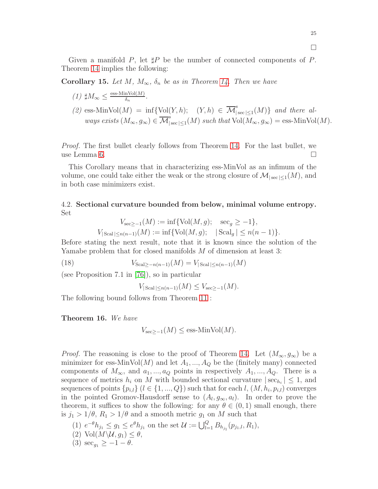Given a manifold P, let  $\sharp P$  be the number of connected components of P. Theorem [14](#page-22-0) implies the following:

<span id="page-24-0"></span>Corollary 15. Let M,  $M_{\infty}$ ,  $\delta_n$  be as in Theorem [14.](#page-22-0) Then we have

- $(1)$   $\sharp M_{\infty} \leq \frac{\text{ess-MinVol}(M)}{\delta_n}$  $\frac{\ln \text{Vol}(M)}{\delta_n}$ .
- (2) ess-MinVol(M) = inf{Vol(Y, h); (Y, h)  $\in \overline{\mathcal{M}}_{\vert}^{s}$  $\int_{|\sec|\leq 1}(M)\$  and there always exists  $(M_{\infty}, g_{\infty}) \in \overline{\mathcal{M}}_{\vert}^{s}$  $\int_{|\sec|\leq 1}(M)$  such that  $Vol(M_{\infty}, g_{\infty}) = \text{ess-MinVol}(M).$

Proof. The first bullet clearly follows from Theorem [14.](#page-22-0) For the last bullet, we use Lemma [6.](#page-10-0)

This Corollary means that in characterizing ess-MinVol as an infimum of the volume, one could take either the weak or the strong closure of  $\mathcal{M}_{|\sec|\leq 1}(M)$ , and in both case minimizers exist.

# 4.2. Sectional curvature bounded from below, minimal volume entropy. Set

$$
V_{\sec \ge -1}(M) := \inf \{ Vol(M, g); \sec_g \ge -1 \},
$$
  

$$
V_{|\text{Scal}|\le n(n-1)}(M) := \inf \{ Vol(M, g); \ | \text{Scal}_g | \le n(n-1) \}.
$$

Before stating the next result, note that it is known since the solution of the Yamabe problem that for closed manifolds M of dimension at least 3:

(18)  $V_{\text{Scal}>-n(n-1)}(M) = V_{\text{Scal}|\leq n(n-1)}(M)$ 

(see Proposition 7.1 in [\[76\]](#page-57-7)), so in particular

 $V_{|{\rm Scal}| \leq n(n-1)}(M) \leq V_{\rm sec>-1}(M).$ 

The following bound follows from Theorem [11](#page-13-0) :

<span id="page-24-1"></span>Theorem 16. We have

$$
V_{\text{sec}\geq -1}(M) \leq \text{ess-MinVol}(M).
$$

*Proof.* The reasoning is close to the proof of Theorem [14.](#page-22-0) Let  $(M_{\infty}, g_{\infty})$  be a minimizer for ess-MinVol(M) and let  $A_1, ..., A_Q$  be the (finitely many) connected components of  $M_{\infty}$ , and  $a_1, ..., a_Q$  points in respectively  $A_1, ..., A_Q$ . There is a sequence of metrics  $h_i$  on M with bounded sectional curvature  $|\sec_{h_i}| \leq 1$ , and sequences of points  $\{p_{i,l}\}\ (l \in \{1, ..., Q\})$  such that for each  $l, (M, h_i, p_{i,l})$  converges in the pointed Gromov-Hausdorff sense to  $(A_l, g_\infty, a_l)$ . In order to prove the theorem, it suffices to show the following: for any  $\theta \in (0,1)$  small enough, there is  $j_1 > 1/\theta$ ,  $R_1 > 1/\theta$  and a smooth metric  $g_1$  on M such that

- (1)  $e^{-\theta}h_{j_1} \leq g_1 \leq e^{\theta}h_{j_1}$  on the set  $\mathcal{U} := \bigcup_{l=1}^Q B_{h_{j_1}}(p_{j_1,l}, R_1)$ ,
- (2) Vol $(M \backslash U, g_1) \leq \theta$ ,
- (3)  $\sec_{q_1} \geq -1-\theta$ .

 $\Box$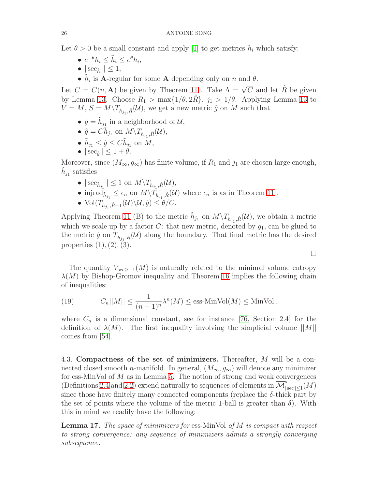Let  $\theta > 0$  be a small constant and apply [\[1\]](#page-54-7) to get metrics  $\tilde{h}_i$  which satisfy:

- $e^{-\theta}h_i \leq \tilde{h}_i \leq e^{\theta}h_i$ ,
- $|\sec_{\tilde{h}_i}| \leq 1$ ,
- $\tilde{h}_i$  is **A**-regular for some **A** depending only on n and  $\theta$ .

Let  $C = C(n, \mathbf{A})$  be given by Theorem [11](#page-13-0). Take  $\Lambda = \sqrt{C}$  and let  $\hat{R}$  be given by Lemma [13.](#page-21-2) Choose  $R_1 > \max\{1/\theta, 2\hat{R}\}, j_1 > 1/\theta$ . Applying Lemma [13](#page-21-2) to  $V = M, S = M \backslash T_{h_{j_1}, \hat{R}}(\mathcal{U}),$  we get a new metric  $\hat{g}$  on M such that

- $\hat{g} = \tilde{h}_{j_{\underline{1}}}$  in a neighborhood of  $\mathcal{U}$ ,
- $\hat{g} = C\tilde{h}_{j_1}$  on  $M \backslash T_{h_{j_1}, R}(\mathcal{U}),$
- $\tilde{h}_{j_1} \leq \hat{g} \leq C \tilde{h}_{j_1}$  on  $M$ ,
- $|\sec_{\hat{\theta}}| \leq 1 + \theta$ .

Moreover, since  $(M_{\infty}, g_{\infty})$  has finite volume, if  $R_1$  and  $j_1$  are chosen large enough,  $\tilde{h}_{j_1}$  satisfies

- $|\sec_{\tilde{h}_{j_1}}| \leq 1$  on  $M \setminus T_{h_{j_1}, \hat{R}}(\mathcal{U}),$
- injrad $_{\tilde{h}_{j_1}} \leq \epsilon_n$  on  $M \backslash T_{h_{j_1}, R}(\mathcal{U})$  where  $\epsilon_n$  is as in Theorem [11](#page-13-0),
- $Vol(T_{h_{j_1}, \hat{R}+1}(\mathcal{U})\backslash \mathcal{U}, \hat{g}) \leq \theta/C.$

Applying Theorem [11](#page-13-0) (B) to the metric  $\tilde{h}_{j_1}$  on  $M \setminus T_{h_{j_1}, \hat{R}}(\mathcal{U})$ , we obtain a metric which we scale up by a factor C: that new metric, denoted by  $g_1$ , can be glued to the metric  $\hat{g}$  on  $T_{h_{j_1}, \hat{R}}(\mathcal{U})$  along the boundary. That final metric has the desired properties  $(1), (2), (3)$ .

The quantity  $V_{\text{sec}>-1}(M)$  is naturally related to the minimal volume entropy  $\lambda(M)$  by Bishop-Gromov inequality and Theorem [16](#page-24-1) implies the following chain of inequalities:

 $\Box$ 

(19) 
$$
C_n||M|| \leq \frac{1}{(n-1)^n} \lambda^n(M) \leq \text{ess-MinVol}(M) \leq \text{MinVol}.
$$

where  $C_n$  is a dimensional constant, see for instance [\[76,](#page-57-7) Section 2.4] for the definition of  $\lambda(M)$ . The first inequality involving the simplicial volume  $||M||$ comes from [\[54\]](#page-56-5).

4.3. Compactness of the set of minimizers. Thereafter, M will be a connected closed smooth *n*-manifold. In general,  $(M_{\infty}, g_{\infty})$  will denote any minimizer for ess-MinVol of  $M$  as in Lemma [5.](#page-9-1) The notion of strong and weak convergences (Definitions [2.4](#page-9-3) and [2.2\)](#page-8-1) extend naturally to sequences of elements in  $\overline{\mathcal{M}}_{1}^{s}$  $\int_{|\sec |\leq 1}(M)$ since those have finitely many connected components (replace the δ-thick part by the set of points where the volume of the metric 1-ball is greater than  $\delta$ ). With this in mind we readily have the following:

Lemma 17. The space of minimizers for ess-MinVol of M is compact with respect to strong convergence: any sequence of minimizers admits a strongly converging subsequence.

$$
26\,
$$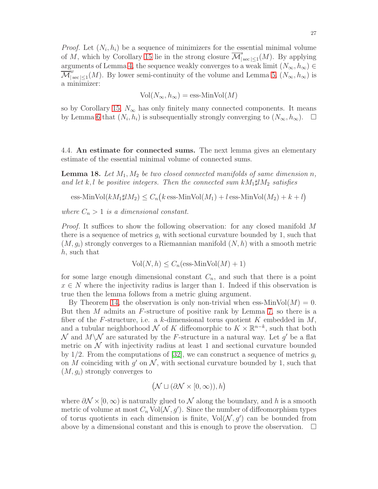*Proof.* Let  $(N_i, h_i)$  be a sequence of minimizers for the essential minimal volume of M, which by Corollary [15](#page-24-0) lie in the strong closure  $\overline{\mathcal{M}}_{\vert}^s$  $\int_{|\sec|\leq 1}(M)$ . By applying arguments of Lemma [4,](#page-8-0) the sequence weakly converges to a weak limit  $(N_{\infty}, h_{\infty}) \in$  $\mathcal{M}$ w  $\int_{|\sec|\leq 1}^{\omega}(M)$ . By lower semi-continuity of the volume and Lemma [5,](#page-9-1)  $(N_{\infty}, h_{\infty})$  is a minimizer:

$$
Vol(N_{\infty}, h_{\infty}) = \text{ess-Min}Vol(M)
$$

so by Corollary [15,](#page-24-0)  $N_{\infty}$  has only finitely many connected components. It means by Lemma [6](#page-10-0) that  $(N_i, h_i)$  is subsequentially strongly converging to  $(N_\infty, h_\infty)$ .  $\Box$ 

4.4. An estimate for connected sums. The next lemma gives an elementary estimate of the essential minimal volume of connected sums.

<span id="page-26-0"></span>**Lemma 18.** Let  $M_1, M_2$  be two closed connected manifolds of same dimension n, and let k, l be positive integers. Then the connected sum  $kM_1\sharp lM_2$  satisfies

ess-MinVol
$$
(kM_1\sharp lM_2) \leq C_n(k \text{ ess-MinVol}(M_1) + l \text{ ess-MinVol}(M_2) + k + l)
$$

where  $C_n > 1$  is a dimensional constant.

Proof. It suffices to show the following observation: for any closed manifold M there is a sequence of metrics  $g_i$  with sectional curvature bounded by 1, such that  $(M, g_i)$  strongly converges to a Riemannian manifold  $(N, h)$  with a smooth metric h, such that

$$
Vol(N, h) \le C_n(\text{ess-MinVol}(M) + 1)
$$

for some large enough dimensional constant  $C_n$ , and such that there is a point  $x \in N$  where the injectivity radius is larger than 1. Indeed if this observation is true then the lemma follows from a metric gluing argument.

By Theorem [14,](#page-22-0) the observation is only non-trivial when ess-MinVol $(M) = 0$ . But then M admits an  $F$ -structure of positive rank by Lemma [7,](#page-11-0) so there is a fiber of the F-structure, i.e. a k-dimensional torus quotient K embedded in  $M$ , and a tubular neighborhood  $\mathcal N$  of K diffeomorphic to  $K \times \mathbb R^{n-k}$ , such that both N and  $M\setminus\mathcal{N}$  are saturated by the F-structure in a natural way. Let g' be a flat metric on  $\mathcal N$  with injectivity radius at least 1 and sectional curvature bounded by 1/2. From the computations of [\[32\]](#page-55-2), we can construct a sequence of metrics  $q_i$ on M coinciding with  $g'$  on  $\mathcal N$ , with sectional curvature bounded by 1, such that  $(M, g_i)$  strongly converges to

$$
(\mathcal{N} \sqcup (\partial \mathcal{N} \times [0, \infty)), h)
$$

where  $\partial \mathcal{N} \times [0, \infty)$  is naturally glued to  $\mathcal N$  along the boundary, and h is a smooth metric of volume at most  $C_n$  Vol $(\mathcal{N}, g')$ . Since the number of diffeomorphism types of torus quotients in each dimension is finite,  $Vol(N, g')$  can be bounded from above by a dimensional constant and this is enough to prove the observation.  $\Box$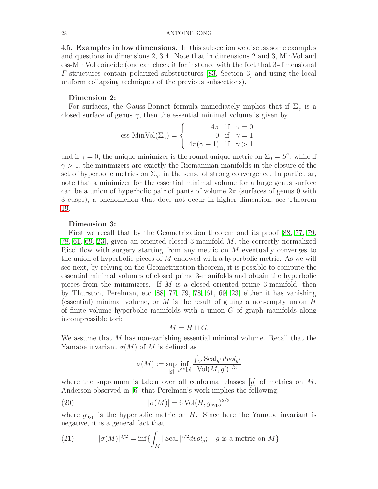<span id="page-27-0"></span>4.5. Examples in low dimensions. In this subsection we discuss some examples and questions in dimensions 2, 3 4. Note that in dimensions 2 and 3, MinVol and ess-MinVol coincide (one can check it for instance with the fact that 3-dimensional F-structures contain polarized substructures [\[83,](#page-57-13) Section 3] and using the local uniform collapsing techniques of the previous subsections).

## Dimension 2:

For surfaces, the Gauss-Bonnet formula immediately implies that if  $\Sigma_{\gamma}$  is a closed surface of genus  $\gamma$ , then the essential minimal volume is given by

ess-MinVol(
$$
\Sigma_{\gamma}
$$
) = 
$$
\begin{cases} 4\pi & \text{if } \gamma = 0\\ 0 & \text{if } \gamma = 1\\ 4\pi(\gamma - 1) & \text{if } \gamma > 1 \end{cases}
$$

and if  $\gamma = 0$ , the unique minimizer is the round unique metric on  $\Sigma_0 = S^2$ , while if  $\gamma > 1$ , the minimizers are exactly the Riemannian manifolds in the closure of the set of hyperbolic metrics on  $\Sigma_{\gamma}$ , in the sense of strong convergence. In particular, note that a minimizer for the essential minimal volume for a large genus surface can be a union of hyperbolic pair of pants of volume  $2\pi$  (surfaces of genus 0 with 3 cusps), a phenomenon that does not occur in higher dimension, see Theorem [19.](#page-29-0)

# Dimension 3:

First we recall that by the Geometrization theorem and its proof [\[88,](#page-57-9) [77,](#page-57-10) [79,](#page-57-11) [78,](#page-57-12) [61,](#page-56-11) [69,](#page-57-14) [23\]](#page-55-15), given an oriented closed 3-manifold M, the correctly normalized Ricci flow with surgery starting from any metric on M eventually converges to the union of hyperbolic pieces of M endowed with a hyperbolic metric. As we will see next, by relying on the Geometrization theorem, it is possible to compute the essential minimal volumes of closed prime 3-manifolds and obtain the hyperbolic pieces from the minimizers. If  $M$  is a closed oriented prime 3-manifold, then by Thurston, Perelman, etc [\[88,](#page-57-9) [77,](#page-57-10) [79,](#page-57-11) [78,](#page-57-12) [61,](#page-56-11) [69,](#page-57-14) [23\]](#page-55-15) either it has vanishing (essential) minimal volume, or  $M$  is the result of gluing a non-empty union  $H$ of finite volume hyperbolic manifolds with a union  $G$  of graph manifolds along incompressible tori:

$$
M = H \sqcup G.
$$

We assume that  $M$  has non-vanishing essential minimal volume. Recall that the Yamabe invariant  $\sigma(M)$  of M is defined as

<span id="page-27-2"></span>
$$
\sigma(M) := \sup_{[g]} \inf_{g' \in [g]} \frac{\int_M \text{Scal}_{g'} dvol_{g'}}{\text{Vol}(M, g')^{1/3}}
$$

where the supremum is taken over all conformal classes  $[q]$  of metrics on M. Anderson observed in [\[6\]](#page-54-0) that Perelman's work implies the following:

(20) 
$$
|\sigma(M)| = 6 \operatorname{Vol}(H, g_{\text{hyp}})^{2/3}
$$

where  $g_{\text{hyp}}$  is the hyperbolic metric on H. Since here the Yamabe invariant is negative, it is a general fact that

<span id="page-27-1"></span>(21) 
$$
|\sigma(M)|^{3/2} = \inf \{ \int_M |\text{Scal}|^{3/2} dvol_g; \quad g \text{ is a metric on } M \}
$$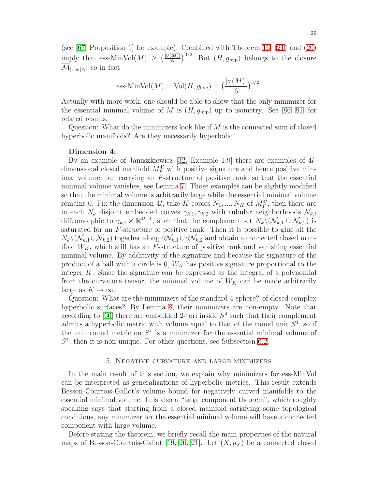(see [\[67,](#page-57-5) Proposition 1] for example). Combined with Theorem [16,](#page-24-1) [\(21\)](#page-27-1) and [\(20\)](#page-27-2) imply that ess-MinVol(M)  $\geq \left(\frac{|\sigma(M)|}{6}\right)^{3/2}$ . But  $(H, g_{hyp})$  belongs to the closure  $\overline{\mathcal{M}}_{|{\rm sec}| \leq 1}$  so in fact

ess-MinVol(M) = Vol(H, g<sub>hyp</sub>) = 
$$
\left(\frac{|\sigma(M)|}{6}\right)^{3/2}
$$
.

Actually with more work, one should be able to show that the only minimizer for the essential minimal volume of M is  $(H, g_{\text{hvp}})$  up to isometry. See [\[86,](#page-57-15) [81\]](#page-57-16) for related results.

Question: What do the minimizers look like if  $M$  is the connected sum of closed hyperbolic manifolds? Are they necessarily hyperbolic?

## Dimension 4:

By an example of Januszkiewicz [\[32,](#page-55-2) Example 1.9] there are examples of 4ldimensional closed manifold  $M_F^{4l}$  with positive signature and hence positive minimal volume, but carrying an  $F$ -structure of positive rank, so that the essential minimal volume vanishes, see Lemma [7.](#page-11-0) Those examples can be slightly modified so that the minimal volume is arbitrarily large while the essential minimal volume remains 0. Fix the dimension 4l, take K copies  $N_1, ..., N_K$  of  $M_F^{4l}$ , then there are in each  $N_k$  disjoint embedded curves  $\gamma_{k,1}, \gamma_{k,2}$  with tubular neighborhoods  $\mathcal{N}_{k,i}$ diffeomorphic to  $\gamma_{k,i} \times \mathbb{R}^{4l-1}$ , such that the complement set  $N_k \setminus (\mathcal{N}_{k,1} \cup \mathcal{N}_{k,2})$  is saturated for an F-structure of positive rank. Then it is possible to glue all the  $N_k\setminus(\mathcal{N}_{k,1}\cup\mathcal{N}_{k,2})$  together along  $\partial\mathcal{N}_{k,1}\cup\partial\mathcal{N}_{k,2}$  and obtain a connected closed manifold  $W_K$ , which still has an F-structure of positive rank and vanishing essential minimal volume. By additivity of the signature and because the signature of the product of a ball with a circle is  $0, W_K$  has positive signature proportional to the integer  $K$ . Since the signature can be expressed as the integral of a polynomial from the curvature tensor, the minimal volume of  $W_K$  can be made arbitrarily large as  $K \to \infty$ .

Question: What are the minimizers of the standard 4-sphere? of closed complex hyperbolic surfaces? By Lemma [8,](#page-11-1) their minimizers are non-empty. Note that according to  $[60]$  there are embedded 2-tori inside  $S<sup>4</sup>$  such that their complement admits a hyperbolic metric with volume equal to that of the round unit  $S<sup>4</sup>$ , so if the unit round metric on  $S<sup>4</sup>$  is a minimizer for the essential minimal volume of  $S<sup>4</sup>$ , then it is non-unique. For other questions, see Subsection [6.2.](#page-34-0)

## 5. Negative curvature and large minimizers

<span id="page-28-0"></span>In the main result of this section, we explain why minimizers for ess-MinVol can be interpreted as generalizations of hyperbolic metrics. This result extends Besson-Courtois-Gallot's volume bound for negatively curved manifolds to the essential minimal volume. It is also a "large component theorem", which roughly speaking says that starting from a closed manifold satisfying some topological conditions, any minimizer for the essential minimal volume will have a connected component with large volume.

Before stating the theorem, we briefly recall the main properties of the natural maps of Besson-Courtois-Gallot [\[19,](#page-55-5) [20,](#page-55-6) [21\]](#page-55-8). Let  $(X, g_X)$  be a connected closed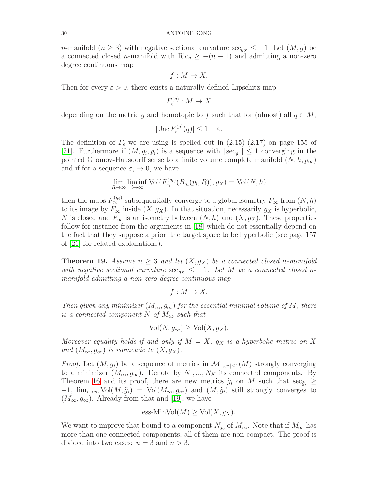n-manifold  $(n \geq 3)$  with negative sectional curvature sec<sub>gx</sub>  $\leq -1$ . Let  $(M, g)$  be a connected closed n-manifold with Ric<sub>g</sub>  $\geq -(n-1)$  and admitting a non-zero degree continuous map

$$
f: M \to X.
$$

Then for every  $\varepsilon > 0$ , there exists a naturally defined Lipschitz map

$$
F_{\varepsilon}^{(g)}: M \to X
$$

depending on the metric g and homotopic to f such that for (almost) all  $q \in M$ ,

$$
|\operatorname{Jac} F_{\varepsilon}^{(g)}(q)| \le 1 + \varepsilon.
$$

The definition of  $F_{\epsilon}$  we are using is spelled out in (2.15)-(2.17) on page 155 of [\[21\]](#page-55-8). Furthermore if  $(M, g_i, p_i)$  is a sequence with  $|\sec_{g_i}| \leq 1$  converging in the pointed Gromov-Hausdorff sense to a finite volume complete manifold  $(N, h, p_{\infty})$ and if for a sequence  $\varepsilon_i \to 0$ , we have

$$
\lim_{R \to \infty} \liminf_{i \to \infty} \text{Vol}(F_{\varepsilon_i}^{(g_i)}(B_{g_i}(p_i, R)), g_X) = \text{Vol}(N, h)
$$

then the maps  $F_{\varepsilon_i}^{(g_i)}$  subsequentially converge to a global isometry  $F_{\infty}$  from  $(N, h)$ to its image by  $F_{\infty}$  inside  $(X, g_X)$ . In that situation, necessarily  $g_X$  is hyperbolic, N is closed and  $F_{\infty}$  is an isometry between  $(N, h)$  and  $(X, g_X)$ . These properties follow for instance from the arguments in [\[18\]](#page-55-16) which do not essentially depend on the fact that they suppose a priori the target space to be hyperbolic (see page 157 of [\[21\]](#page-55-8) for related explanations).

<span id="page-29-0"></span>**Theorem 19.** Assume  $n \geq 3$  and let  $(X, g_X)$  be a connected closed n-manifold with negative sectional curvature  $\sec_{g_X} \leq -1$ . Let M be a connected closed nmanifold admitting a non-zero degree continuous map

$$
f: M \to X.
$$

Then given any minimizer  $(M_{\infty}, g_{\infty})$  for the essential minimal volume of M, there is a connected component N of  $M_{\infty}$  such that

$$
\text{Vol}(N, g_{\infty}) \ge \text{Vol}(X, g_X).
$$

Moreover equality holds if and only if  $M = X$ ,  $g_X$  is a hyperbolic metric on X and  $(M_{\infty}, g_{\infty})$  is isometric to  $(X, g_X)$ .

*Proof.* Let  $(M, g_i)$  be a sequence of metrics in  $\mathcal{M}_{|sec| \leq 1}(M)$  strongly converging to a minimizer  $(M_{\infty}, g_{\infty})$ . Denote by  $N_1, ..., N_K$  its connected components. By Theorem [16](#page-24-1) and its proof, there are new metrics  $\tilde{g}_i$  on M such that  $\sec_{\tilde{g}_i} \geq$  $-1$ ,  $\lim_{i\to\infty}$  Vol $(M, \tilde{g}_i)$  = Vol $(M_{\infty}, g_{\infty})$  and  $(M, \tilde{g}_i)$  still strongly converges to  $(M_{\infty}, g_{\infty})$ . Already from that and [\[19\]](#page-55-5), we have

$$
\text{ess-MinVol}(M) \ge \text{Vol}(X, g_X).
$$

We want to improve that bound to a component  $N_{j_0}$  of  $M_{\infty}$ . Note that if  $M_{\infty}$  has more than one connected components, all of them are non-compact. The proof is divided into two cases:  $n = 3$  and  $n > 3$ .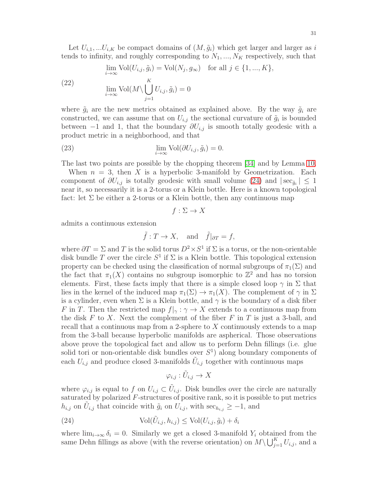Let  $U_{i,1},...U_{i,K}$  be compact domains of  $(M, \tilde{g}_i)$  which get larger and larger as i tends to infinity, and roughly corresponding to  $N_1, ..., N_K$  respectively, such that

<span id="page-30-1"></span>(22) 
$$
\lim_{i \to \infty} \text{Vol}(U_{i,j}, \tilde{g}_i) = \text{Vol}(N_j, g_{\infty}) \text{ for all } j \in \{1, ..., K\},
$$

$$
\lim_{i \to \infty} \text{Vol}(M \setminus \bigcup_{j=1}^K U_{i,j}, \tilde{g}_i) = 0
$$

where  $\tilde{g}_i$  are the new metrics obtained as explained above. By the way  $\tilde{g}_i$  are constructed, we can assume that on  $U_{i,j}$  the sectional curvature of  $\tilde{g}_i$  is bounded between  $-1$  and 1, that the boundary  $\partial U_{i,j}$  is smooth totally geodesic with a product metric in a neighborhood, and that

(23) 
$$
\lim_{i \to \infty} \text{Vol}(\partial U_{i,j}, \tilde{g}_i) = 0.
$$

The last two points are possible by the chopping theorem [\[34\]](#page-55-12) and by Lemma [10.](#page-12-1)

When  $n = 3$ , then X is a hyperbolic 3-manifold by Geometrization. Each component of  $\partial U_{i,j}$  is totally geodesic with small volume [\(24\)](#page-30-0) and  $|\sec_{\tilde{g}_i}| \leq 1$ near it, so necessarily it is a 2-torus or a Klein bottle. Here is a known topological fact: let  $\Sigma$  be either a 2-torus or a Klein bottle, then any continuous map

$$
f: \Sigma \to X
$$

admits a continuous extension

$$
\tilde{f}: T \to X
$$
, and  $\tilde{f}|_{\partial T} = f$ ,

where  $\partial T = \Sigma$  and T is the solid torus  $D^2 \times S^1$  if  $\Sigma$  is a torus, or the non-orientable disk bundle T over the circle  $S^1$  if  $\Sigma$  is a Klein bottle. This topological extension property can be checked using the classification of normal subgroups of  $\pi_1(\Sigma)$  and the fact that  $\pi_1(X)$  contains no subgroup isomorphic to  $\mathbb{Z}^2$  and has no torsion elements. First, these facts imply that there is a simple closed loop  $\gamma$  in  $\Sigma$  that lies in the kernel of the induced map  $\pi_1(\Sigma) \to \pi_1(X)$ . The complement of  $\gamma$  in  $\Sigma$ is a cylinder, even when  $\Sigma$  is a Klein bottle, and  $\gamma$  is the boundary of a disk fiber F in T. Then the restricted map  $f|_{\gamma}: \gamma \to X$  extends to a continuous map from the disk  $F$  to  $X$ . Next the complement of the fiber  $F$  in  $T$  is just a 3-ball, and recall that a continuous map from a 2-sphere to  $X$  continuously extends to a map from the 3-ball because hyperbolic manifolds are aspherical. Those observations above prove the topological fact and allow us to perform Dehn fillings (i.e. glue solid tori or non-orientable disk bundles over  $S<sup>1</sup>$  along boundary components of each  $U_{i,j}$  and produce closed 3-manifolds  $\tilde{U}_{i,j}$  together with continuous maps

<span id="page-30-0"></span>
$$
\varphi_{i,j} : \tilde{U}_{i,j} \to X
$$

where  $\varphi_{i,j}$  is equal to f on  $U_{i,j} \subset \tilde{U}_{i,j}$ . Disk bundles over the circle are naturally saturated by polarized  $F$ -structures of positive rank, so it is possible to put metrics  $h_{i,j}$  on  $\tilde{U}_{i,j}$  that coincide with  $\tilde{g}_i$  on  $U_{i,j}$ , with  $\sec_{h_{i,j}} \geq -1$ , and

(24) 
$$
\text{Vol}(\tilde{U}_{i,j}, h_{i,j}) \leq \text{Vol}(U_{i,j}, \tilde{g}_i) + \delta_i
$$

where  $\lim_{i\to\infty} \delta_i = 0$ . Similarly we get a closed 3-manifold  $Y_i$  obtained from the same Dehn fillings as above (with the reverse orientation) on  $M \setminus \bigcup_{j=1}^K U_{i,j}$ , and a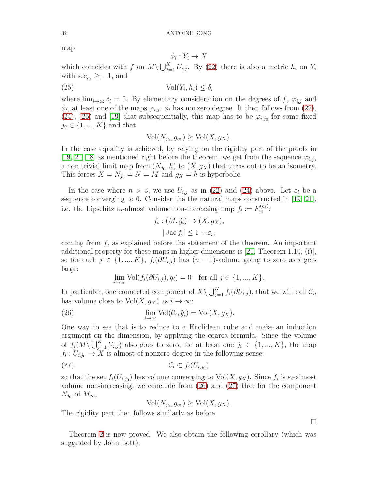map

<span id="page-31-0"></span>
$$
\phi_i: Y_i \to X
$$

which coincides with f on  $M \setminus \bigcup_{j=1}^K U_{i,j}$ . By [\(22\)](#page-30-1) there is also a metric  $h_i$  on  $Y_i$ with  $\sec_{h_i} \geq -1$ , and

$$
(25) \t\t\t Vol(Y_i, h_i) \le \delta_i
$$

where  $\lim_{i\to\infty} \delta_i = 0$ . By elementary consideration on the degrees of f,  $\varphi_{i,j}$  and  $\phi_i$ , at least one of the maps  $\varphi_{i,j}$ ,  $\phi_i$  has nonzero degree. It then follows from [\(22\)](#page-30-1), [\(24\)](#page-30-0), [\(25\)](#page-31-0) and [\[19\]](#page-55-5) that subsequentially, this map has to be  $\varphi_{i,j_0}$  for some fixed  $j_0 \in \{1, ..., K\}$  and that

$$
\text{Vol}(N_{j_0}, g_{\infty}) \geq \text{Vol}(X, g_X).
$$

In the case equality is achieved, by relying on the rigidity part of the proofs in [\[19,](#page-55-5) [21,](#page-55-8) [18\]](#page-55-16) as mentioned right before the theorem, we get from the sequence  $\varphi_{i,j_0}$ a non trivial limit map from  $(N_{j_0}, h)$  to  $(X, g_X)$  that turns out to be an isometry. This forces  $X = N_{j_0} = N = M$  and  $g_X = h$  is hyperbolic.

In the case where  $n > 3$ , we use  $U_{i,j}$  as in [\(22\)](#page-30-1) and [\(24\)](#page-30-0) above. Let  $\varepsilon_i$  be a sequence converging to 0. Consider the the natural maps constructed in [\[19,](#page-55-5) [21\]](#page-55-8), i.e. the Lipschitz  $\varepsilon_i$ -almost volume non-increasing map  $f_i := F_{\varepsilon_i}^{(g_i)}$ :

$$
f_i: (M, \tilde{g}_i) \to (X, g_X),
$$

$$
|\operatorname{Jac} f_i| \le 1 + \varepsilon_i,
$$

coming from  $f$ , as explained before the statement of the theorem. An important additional property for these maps in higher dimensions is  $[21,$  Theorem 1.10, (i)], so for each  $j \in \{1, ..., K\}$ ,  $f_i(\partial U_{i,j})$  has  $(n-1)$ -volume going to zero as i gets large:

<span id="page-31-1"></span>
$$
\lim_{i \to \infty} \text{Vol}(f_i(\partial U_{i,j}), \tilde{g}_i) = 0 \quad \text{for all } j \in \{1, ..., K\}.
$$

In particular, one connected component of  $X\setminus\bigcup_{j=1}^K f_i(\partial U_{i,j})$ , that we will call  $\mathcal{C}_i$ , has volume close to  $Vol(X, g_X)$  as  $i \to \infty$ :

(26) 
$$
\lim_{i \to \infty} \text{Vol}(\mathcal{C}_i, \tilde{g}_i) = \text{Vol}(X, g_X).
$$

One way to see that is to reduce to a Euclidean cube and make an induction argument on the dimension, by applying the coarea formula. Since the volume of  $f_i(M\setminus\bigcup_{j=1}^K U_{i,j})$  also goes to zero, for at least one  $j_0 \in \{1, ..., K\}$ , the map  $f_i: U_{i,j_0} \to X$  is almost of nonzero degree in the following sense:

$$
C_i \subset f_i(U_{i,j_0})
$$

so that the set  $f_i(U_{i,j_0})$  has volume converging to  $Vol(X, g_X)$ . Since  $f_i$  is  $\varepsilon_i$ -almost volume non-increasing, we conclude from [\(26\)](#page-31-1) and [\(27\)](#page-31-2) that for the component  $N_{j_0}$  of  $M_{\infty}$ ,

<span id="page-31-2"></span> $\text{Vol}(N_{j_0}, g_{\infty}) \geq \text{Vol}(X, g_X).$ 

The rigidity part then follows similarly as before.

Theorem [2](#page-1-0) is now proved. We also obtain the following corollary (which was suggested by John Lott):

$$
^{32}
$$

 $\Box$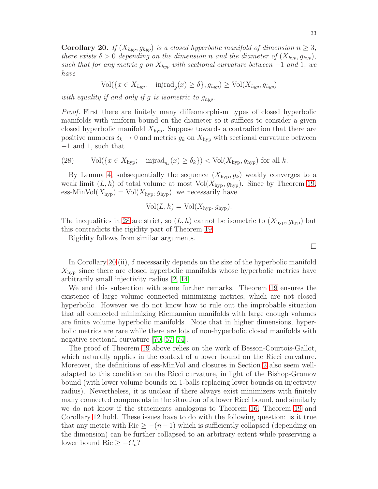<span id="page-32-1"></span>**Corollary 20.** If  $(X_{hyp}, g_{hyp})$  is a closed hyperbolic manifold of dimension  $n \geq 3$ , there exists  $\delta > 0$  depending on the dimension n and the diameter of  $(X_{hyp}, g_{hyp})$ , such that for any metric g on  $X_{hyp}$  with sectional curvature between -1 and 1, we have

$$
\text{Vol}(\{x \in X_{hyp}; \text{injrad}_g(x) \ge \delta\}, g_{hyp}) \ge \text{Vol}(X_{hyp}, g_{hyp})
$$

with equality if and only if g is isometric to  $g_{hyp}$ .

Proof. First there are finitely many diffeomorphism types of closed hyperbolic manifolds with uniform bound on the diameter so it suffices to consider a given closed hyperbolic manifold  $X_{\text{hvp}}$ . Suppose towards a contradiction that there are positive numbers  $\delta_k \to 0$  and metrics  $g_k$  on  $X_{\text{hyp}}$  with sectional curvature between −1 and 1, such that

<span id="page-32-0"></span>(28) Vol(
$$
\{x \in X_{\text{hyp}};
$$
 injrad<sub>g<sub>k</sub></sub>(x)  $\ge \delta_k\}$ ) < Vol( $X_{\text{hyp}}$ ,  $g_{\text{hyp}}$ ) for all  $k$ .

By Lemma [4,](#page-8-0) subsequentially the sequence  $(X_{\text{hyp}}, g_k)$  weakly converges to a weak limit  $(L, h)$  of total volume at most  $Vol(X_{hyp}, g_{hyp})$ . Since by Theorem [19,](#page-29-0) ess-MinVol $(X_{\text{hyp}}) = \text{Vol}(X_{\text{hyp}}, g_{\text{hyp}})$ , we necessarily have

$$
Vol(L, h) = Vol(X_{hyp}, g_{hyp}).
$$

The inequalities in [28](#page-32-0) are strict, so  $(L, h)$  cannot be isometric to  $(X_{\text{hyp}}, g_{\text{hyp}})$  but this contradicts the rigidity part of Theorem [19.](#page-29-0)

Rigidity follows from similar arguments.

In Corollary [20](#page-32-1) (ii),  $\delta$  necessarily depends on the size of the hyperbolic manifold  $X_{\text{hvp}}$  since there are closed hyperbolic manifolds whose hyperbolic metrics have arbitrarily small injectivity radius [\[2,](#page-54-8) [14\]](#page-55-17).

We end this subsection with some further remarks. Theorem [19](#page-29-0) ensures the existence of large volume connected minimizing metrics, which are not closed hyperbolic. However we do not know how to rule out the improbable situation that all connected minimizing Riemannian manifolds with large enough volumes are finite volume hyperbolic manifolds. Note that in higher dimensions, hyperbolic metrics are rare while there are lots of non-hyperbolic closed manifolds with negative sectional curvature [\[70,](#page-57-17) [57,](#page-56-13) [74\]](#page-57-2).

The proof of Theorem [19](#page-29-0) above relies on the work of Besson-Courtois-Gallot, which naturally applies in the context of a lower bound on the Ricci curvature. Moreover, the definitions of ess-MinVol and closures in Section [2](#page-6-0) also seem welladapted to this condition on the Ricci curvature, in light of the Bishop-Gromov bound (with lower volume bounds on 1-balls replacing lower bounds on injectivity radius). Nevertheless, it is unclear if there always exist minimizers with finitely many connected components in the situation of a lower Ricci bound, and similarly we do not know if the statements analogous to Theorem [16,](#page-24-1) Theorem [19](#page-29-0) and Corollary [12](#page-21-1) hold. These issues have to do with the following question: is it true that any metric with Ric  $\geq -(n-1)$  which is sufficiently collapsed (depending on the dimension) can be further collapsed to an arbitrary extent while preserving a lower bound Ric  $\geq -C_n$ ?

 $\Box$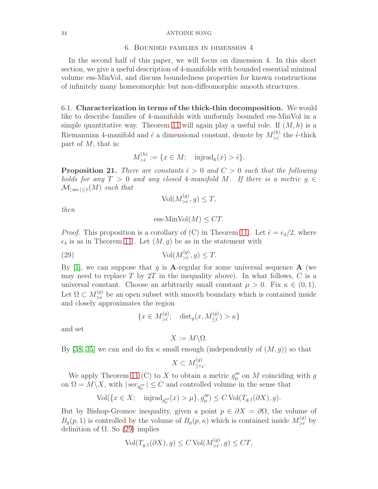## 6. Bounded families in dimension 4

<span id="page-33-0"></span>In the second half of this paper, we will focus on dimension 4. In this short section, we give a useful description of 4-manifolds with bounded essential minimal volume ess-MinVol, and discuss boundedness properties for known constructions of infinitely many homeomorphic but non-diffeomorphic smooth structures.

<span id="page-33-3"></span>6.1. Characterization in terms of the thick-thin decomposition. We would like to describe families of 4-manifolds with uniformly bounded ess-MinVol in a simple quantitative way. Theorem [11](#page-13-0) will again play a useful role. If  $(M, h)$  is a Riemannian 4-manifold and  $\hat{\epsilon}$  a dimensional constant, denote by  $M_{\geq \hat{\epsilon}}^{(h)}$  $\sum_{\hat{\epsilon}}^{(h)}$  the  $\hat{\epsilon}$ -thick part of  $M$ , that is:

$$
M_{>\hat{\epsilon}}^{(h)} := \{ x \in M; \quad \text{injrad}_h(x) > \hat{\epsilon} \}.
$$

<span id="page-33-2"></span>**Proposition 21.** There are constants  $\hat{\epsilon} > 0$  and  $C > 0$  such that the following holds for any  $T > 0$  and any closed 4-manifold M. If there is a metric  $g \in$  $\mathcal{M}_{\text{|sec|}<1}(M)$  such that

$$
\text{Vol}(M_{>\hat{\epsilon}}^{(g)}, g) \le T,
$$

then

<span id="page-33-1"></span>
$$
\text{ess-MinVol}(M) \leq CT.
$$

*Proof.* This proposition is a corollary of (C) in Theorem [11](#page-13-0). Let  $\hat{\epsilon} = \epsilon_4/2$ , where  $\epsilon_4$  is as in Theorem [11](#page-13-0). Let  $(M, g)$  be as in the statement with

(29) 
$$
\text{Vol}(M_{>\hat{\epsilon}}^{(g)}, g) \leq T.
$$

By [\[1\]](#page-54-7), we can suppose that q is **A**-regular for some universal sequence **A** (we may need to replace T by  $2T$  in the inequality above). In what follows, C is a universal constant. Choose an arbitrarily small constant  $\mu > 0$ . Fix  $\kappa \in (0,1)$ . Let  $\Omega \subset M_{>\hat{\epsilon}}^{(g)}$  $\epsilon > \epsilon$ <sup>o</sup> be an open subset with smooth boundary which is contained inside and closely approximates the region

$$
\{x \in M_{>\hat{\epsilon}}^{(g)}; \quad \text{dist}_g(x, M_{\leq \hat{\epsilon}}^{(g)}) > \kappa\}
$$

and set

$$
X:=M\backslash\Omega.
$$

By [\[38,](#page-56-14) [35\]](#page-55-18) we can and do fix  $\kappa$  small enough (independently of  $(M, g)$ ) so that

$$
X \subset M_{\leq \epsilon_4}^{(g)}.
$$

We apply Theorem [11](#page-13-0) (C) to X to obtain a metric  $g_\mu^{\prime\prime\prime}$  on M coinciding with g on  $\Omega = M \backslash X$ , with  $|\sec_{g_\mu^{\prime\prime\prime}}| \leq C$  and controlled volume in the sense that

$$
\text{Vol}(\{x \in X; \quad \text{injrad}_{g_\mu'''}(x) > \mu\}, g_\mu''') \le C \text{Vol}(T_{g,1}(\partial X), g).
$$

But by Bishop-Gromov inequality, given a point  $p \in \partial X = \partial \Omega$ , the volume of  $B_g(p, 1)$  is controlled by the volume of  $B_g(p, \kappa)$  which is contained inside  $M_{\geq \hat{\kappa}}^{(g)}$  $\sum_{\hat{\epsilon}}^{(g)}$  by definition of  $Ω$ . So [\(29\)](#page-33-1) implies

$$
\text{Vol}(T_{g,1}(\partial X), g) \le C \text{Vol}(M_{>\hat{\epsilon}}^{(g)}, g) \le CT,
$$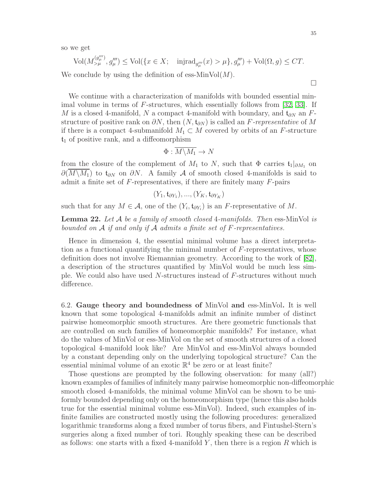so we get

$$
\text{Vol}(M_{>\mu}^{(g'''_{\mu})}, g'''_{\mu}) \le \text{Vol}(\{x \in X; \text{ injrad}_{g'''_{\mu}}(x) > \mu\}, g'''_{\mu}) + \text{Vol}(\Omega, g) \le CT.
$$

We conclude by using the definition of ess-MinVol $(M)$ .

We continue with a characterization of manifolds with bounded essential minimal volume in terms of F-structures, which essentially follows from [\[32,](#page-55-2) [33\]](#page-55-3). If M is a closed 4-manifold, N a compact 4-manifold with boundary, and  $t_{\partial N}$  an Fstructure of positive rank on  $\partial N$ , then  $(N, \mathfrak{t}_{\partial N})$  is called an F-representative of M if there is a compact 4-submanifold  $M_1 \subset M$  covered by orbits of an F-structure  $t_1$  of positive rank, and a diffeomorphism

$$
\Phi: \overline{M \backslash M_1} \to N
$$

from the closure of the complement of  $M_1$  to  $N$ , such that  $\Phi$  carries  $\mathfrak{t}_1|_{\partial M_1}$  on  $\partial(M\setminus M_1)$  to  $\mathfrak{t}_{\partial N}$  on  $\partial N$ . A family A of smooth closed 4-manifolds is said to admit a finite set of  $F$ -representatives, if there are finitely many  $F$ -pairs

$$
(Y_1, \mathfrak{t}_{\partial Y_1}), ..., (Y_K, \mathfrak{t}_{\partial Y_K})
$$

such that for any  $M \in \mathcal{A}$ , one of the  $(Y_i, \mathfrak{t}_{\partial Y_i})$  is an F-representative of M.

<span id="page-34-1"></span>**Lemma 22.** Let  $A$  be a family of smooth closed 4-manifolds. Then ess-MinVol is bounded on  $A$  if and only if  $A$  admits a finite set of  $F$ -representatives.

Hence in dimension 4, the essential minimal volume has a direct interpretation as a functional quantifying the minimal number of F-representatives, whose definition does not involve Riemannian geometry. According to the work of [\[82\]](#page-57-8), a description of the structures quantified by MinVol would be much less simple. We could also have used N-structures instead of F-structures without much difference.

<span id="page-34-0"></span>6.2. Gauge theory and boundedness of MinVol and ess-MinVol. It is well known that some topological 4-manifolds admit an infinite number of distinct pairwise homeomorphic smooth structures. Are there geometric functionals that are controlled on such families of homeomorphic manifolds? For instance, what do the values of MinVol or ess-MinVol on the set of smooth structures of a closed topological 4-manifold look like? Are MinVol and ess-MinVol always bounded by a constant depending only on the underlying topological structure? Can the essential minimal volume of an exotic  $\mathbb{R}^4$  be zero or at least finite?

Those questions are prompted by the following observation: for many (all?) known examples of families of infinitely many pairwise homeomorphic non-diffeomorphic smooth closed 4-manifolds, the minimal volume MinVol can be shown to be uniformly bounded depending only on the homeomorphism type (hence this also holds true for the essential minimal volume ess-MinVol). Indeed, such examples of infinite families are constructed mostly using the following procedures: generalized logarithmic transforms along a fixed number of torus fibers, and Fintushel-Stern's surgeries along a fixed number of tori. Roughly speaking these can be described as follows: one starts with a fixed 4-manifold  $Y$ , then there is a region  $R$  which is

 $\Box$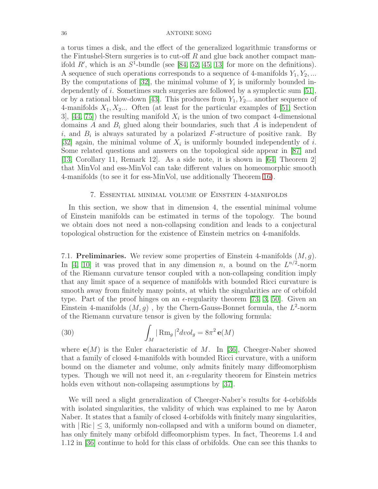a torus times a disk, and the effect of the generalized logarithmic transforms or the Fintushel-Stern surgeries is to cut-off  $R$  and glue back another compact manifold  $R'$ , which is an  $S^1$ -bundle (see [\[84,](#page-57-18) [52,](#page-56-15) [45,](#page-56-16) [13\]](#page-55-19) for more on the definitions). A sequence of such operations corresponds to a sequence of 4-manifolds  $Y_1, Y_2, \ldots$ By the computations of  $[32]$ , the minimal volume of  $Y_i$  is uniformly bounded independently of i. Sometimes such surgeries are followed by a symplectic sum [\[51\]](#page-56-17), or by a rational blow-down [\[43\]](#page-56-18). This produces from  $Y_1, Y_2, \ldots$  another sequence of 4-manifolds  $X_1, X_2, \ldots$  Often (at least for the particular examples of [\[51,](#page-56-17) Section 3,  $[44, 75]$  $[44, 75]$  the resulting manifold  $X_i$  is the union of two compact 4-dimensional domains A and  $B_i$  glued along their boundaries, such that A is independent of i, and  $B_i$  is always saturated by a polarized F-structure of positive rank. By [\[32\]](#page-55-2) again, the minimal volume of  $X_i$  is uniformly bounded independently of i. Some related questions and answers on the topological side appear in [\[87\]](#page-57-20) and [\[13,](#page-55-19) Corollary 11, Remark 12]. As a side note, it is shown in [\[64,](#page-56-20) Theorem 2] that MinVol and ess-MinVol can take different values on homeomorphic smooth 4-manifolds (to see it for ess-MinVol, use additionally Theorem [16\)](#page-24-1).

## 7. Essential minimal volume of Einstein 4-manifolds

<span id="page-35-0"></span>In this section, we show that in dimension 4, the essential minimal volume of Einstein manifolds can be estimated in terms of the topology. The bound we obtain does not need a non-collapsing condition and leads to a conjectural topological obstruction for the existence of Einstein metrics on 4-manifolds.

<span id="page-35-2"></span>7.1. **Preliminaries.** We review some properties of Einstein 4-manifolds  $(M, g)$ . In [\[4,](#page-54-2) [10\]](#page-54-3) it was proved that in any dimension n, a bound on the  $L^{n/2}$ -norm of the Riemann curvature tensor coupled with a non-collapsing condition imply that any limit space of a sequence of manifolds with bounded Ricci curvature is smooth away from finitely many points, at which the singularities are of orbifold type. Part of the proof hinges on an  $\epsilon$ -regularity theorem [\[73,](#page-57-21) [3,](#page-54-9) [50\]](#page-56-21). Given an Einstein 4-manifolds  $(M, g)$ , by the Chern-Gauss-Bonnet formula, the  $L^2$ -norm of the Riemann curvature tensor is given by the following formula:

<span id="page-35-1"></span>(30) 
$$
\int_M |\operatorname{Rm}_g|^2 dvol_g = 8\pi^2 \mathbf{e}(M)
$$

where  $e(M)$  is the Euler characteristic of M. In [\[36\]](#page-55-7), Cheeger-Naber showed that a family of closed 4-manifolds with bounded Ricci curvature, with a uniform bound on the diameter and volume, only admits finitely many diffeomorphism types. Though we will not need it, an  $\epsilon$ -regularity theorem for Einstein metrics holds even without non-collapsing assumptions by [\[37\]](#page-55-11).

We will need a slight generalization of Cheeger-Naber's results for 4-orbifolds with isolated singularities, the validity of which was explained to me by Aaron Naber. It states that a family of closed 4-orbifolds with finitely many singularities, with  $|Ric| \leq 3$ , uniformly non-collapsed and with a uniform bound on diameter, has only finitely many orbifold diffeomorphism types. In fact, Theorems 1.4 and 1.12 in [\[36\]](#page-55-7) continue to hold for this class of orbifolds. One can see this thanks to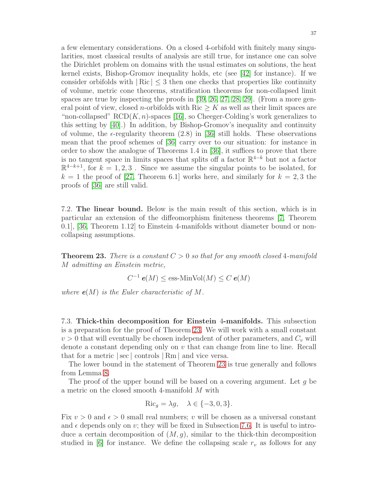a few elementary considerations. On a closed 4-orbifold with finitely many singularities, most classical results of analysis are still true, for instance one can solve the Dirichlet problem on domains with the usual estimates on solutions, the heat kernel exists, Bishop-Gromov inequality holds, etc (see [\[42\]](#page-56-22) for instance). If we consider orbifolds with  $|\text{Ric}| \leq 3$  then one checks that properties like continuity of volume, metric cone theorems, stratification theorems for non-collapsed limit spaces are true by inspecting the proofs in [\[39,](#page-56-23) [26,](#page-55-20) [27,](#page-55-21) [28,](#page-55-22) [29\]](#page-55-23). (From a more general point of view, closed *n*-orbifolds with Ric  $\geq K$  as well as their limit spaces are "non-collapsed" RCD $(K, n)$ -spaces [\[16\]](#page-55-24), so Cheeger-Colding's work generalizes to this setting by [\[40\]](#page-56-24).) In addition, by Bishop-Gromov's inequality and continuity of volume, the  $\epsilon$ -regularity theorem (2.8) in [\[36\]](#page-55-7) still holds. These observations mean that the proof schemes of [\[36\]](#page-55-7) carry over to our situation: for instance in order to show the analogue of Theorems 1.4 in [\[36\]](#page-55-7), it suffices to prove that there is no tangent space in limits spaces that splits off a factor  $\mathbb{R}^{4-k}$  but not a factor  $\mathbb{R}^{4-k+1}$ , for  $k = 1, 2, 3$ . Since we assume the singular points to be isolated, for  $k = 1$  the proof of [\[27,](#page-55-21) Theorem 6.1] works here, and similarly for  $k = 2, 3$  the proofs of [\[36\]](#page-55-7) are still valid.

7.2. The linear bound. Below is the main result of this section, which is in particular an extension of the diffeomorphism finiteness theorems [\[7,](#page-54-4) Theorem 0.1], [\[36,](#page-55-7) Theorem 1.12] to Einstein 4-manifolds without diameter bound or noncollapsing assumptions.

<span id="page-36-0"></span>**Theorem 23.** There is a constant  $C > 0$  so that for any smooth closed 4-manifold M admitting an Einstein metric,

$$
C^{-1} e(M) \le \text{ess-MinVol}(M) \le C e(M)
$$

where  $e(M)$  is the Euler characteristic of M.

<span id="page-36-1"></span>7.3. Thick-thin decomposition for Einstein 4-manifolds. This subsection is a preparation for the proof of Theorem [23.](#page-36-0) We will work with a small constant  $v > 0$  that will eventually be chosen independent of other parameters, and  $C_v$  will denote a constant depending only on  $v$  that can change from line to line. Recall that for a metric |sec | controls | Rm | and vice versa.

The lower bound in the statement of Theorem [23](#page-36-0) is true generally and follows from Lemma [8.](#page-11-1)

The proof of the upper bound will be based on a covering argument. Let  $g$  be a metric on the closed smooth 4-manifold M with

$$
\operatorname{Ric}_g = \lambda g, \quad \lambda \in \{-3, 0, 3\}.
$$

Fix  $v > 0$  and  $\epsilon > 0$  small real numbers; v will be chosen as a universal constant and  $\epsilon$  depends only on v; they will be fixed in Subsection [7.6.](#page-49-0) It is useful to introduce a certain decomposition of  $(M, g)$ , similar to the thick-thin decomposition studied in [\[6\]](#page-54-0) for instance. We define the collapsing scale  $r_v$  as follows for any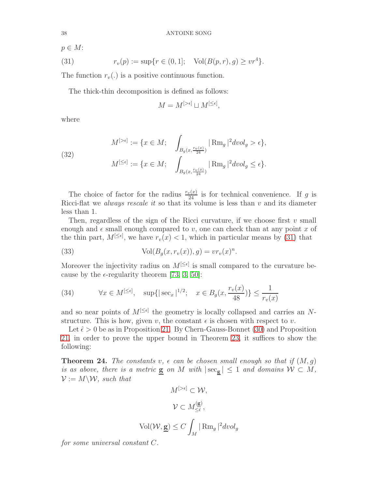$p \in M$ :

<span id="page-37-0"></span>(31) 
$$
r_v(p) := \sup\{r \in (0,1]; \quad \text{Vol}(B(p,r),g) \geq v r^4\}.
$$

The function  $r_v(.)$  is a positive continuous function.

The thick-thin decomposition is defined as follows:

$$
M = M^{[>\epsilon]} \sqcup M^{[\leq \epsilon]},
$$

where

(32) 
$$
M^{[> \epsilon]} := \{x \in M; \quad \int_{B_g(x, \frac{r_v(x)}{24})} |\operatorname{Rm}_g|^2 dvol_g > \epsilon \},
$$

$$
M^{[\leq \epsilon]} := \{x \in M; \quad \int_{B_g(x, \frac{r_v(x)}{24})} |\operatorname{Rm}_g|^2 dvol_g \leq \epsilon \}.
$$

The choice of factor for the radius  $\frac{r_v(x)}{24}$  is for technical convenience. If g is Ricci-flat we *always rescale it* so that its volume is less than  $v$  and its diameter less than 1.

Then, regardless of the sign of the Ricci curvature, if we choose first  $v$  small enough and  $\epsilon$  small enough compared to v, one can check than at any point x of the thin part,  $M^{[\leq \epsilon]}$ , we have  $r_v(x) < 1$ , which in particular means by [\(31\)](#page-37-0) that

(33) 
$$
\text{Vol}(B_g(x, r_v(x)), g) = v r_v(x)^n.
$$

Moreover the injectivity radius on  $M^{\leq \epsilon}$  is small compared to the curvature because by the  $\epsilon$ -regularity theorem [\[73,](#page-57-21) [3,](#page-54-9) [50\]](#page-56-21):

<span id="page-37-1"></span>(34) 
$$
\forall x \in M^{[\leq \epsilon]}, \quad \sup\{|\sec_x|^{1/2}; \quad x \in B_g(x, \frac{r_v(x)}{48})\} \leq \frac{1}{r_v(x)}
$$

and so near points of  $M^{[\leq\epsilon]}$  the geometry is locally collapsed and carries an Nstructure. This is how, given v, the constant  $\epsilon$  is chosen with respect to v.

Let  $\hat{\epsilon} > 0$  be as in Proposition [21.](#page-33-2) By Chern-Gauss-Bonnet [\(30\)](#page-35-1) and Proposition [21,](#page-33-2) in order to prove the upper bound in Theorem [23,](#page-36-0) it suffices to show the following:

<span id="page-37-2"></span>**Theorem 24.** The constants v,  $\epsilon$  can be chosen small enough so that if  $(M, q)$ is as above, there is a metric **g** on M with  $|\sec_{g}| \leq 1$  and domains  $W \subset M$ ,  $\mathcal{V} := M \backslash \mathcal{W}$ , such that

$$
M^{[> \epsilon]} \subset \mathcal{W},
$$
  

$$
\mathcal{V} \subset M_{\leq \epsilon}^{(\underline{\mathbf{g}})},
$$
  

$$
\text{Vol}(\mathcal{W}, \underline{\mathbf{g}}) \leq C \int_M |\operatorname{Rm}_g|^2 dvol_g
$$

for some universal constant C.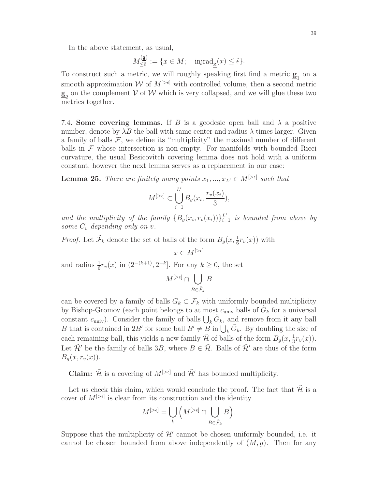In the above statement, as usual,

$$
M_{\leq \hat{\epsilon}}^{(\underline{\mathbf{g}})} := \{ x \in M; \quad \text{injrad}_{\underline{\mathbf{g}}}(x) \leq \hat{\epsilon} \}.
$$

To construct such a metric, we will roughly speaking first find a metric  $g_1$  on a smooth approximation  $W$  of  $M^{[\geq \epsilon]}$  with controlled volume, then a second metric  $\underline{\mathbf{g}}_2$  on the complement V of W which is very collapsed, and we will glue these two metrics together.

7.4. Some covering lemmas. If B is a geodesic open ball and  $\lambda$  a positive number, denote by  $\lambda B$  the ball with same center and radius  $\lambda$  times larger. Given a family of balls  $\mathcal F$ , we define its "multiplicity" the maximal number of different balls in  $\mathcal F$  whose intersection is non-empty. For manifolds with bounded Ricci curvature, the usual Besicovitch covering lemma does not hold with a uniform constant, however the next lemma serves as a replacement in our case:

<span id="page-38-0"></span>**Lemma 25.** There are finitely many points  $x_1, ..., x_{L'} \in M^{[\geq \epsilon]}$  such that

$$
M^{[>\epsilon]} \subset \bigcup_{i=1}^{L'} B_g(x_i, \frac{r_v(x_i)}{3}),
$$

and the multiplicity of the family  $\{B_g(x_i, r_v(x_i))\}_{i=1}^{L'}$  is bounded from above by some  $C_v$  depending only on v.

 $x \in M^{[>\epsilon]}$ 

*Proof.* Let  $\tilde{\mathcal{F}}_k$  denote the set of balls of the form  $B_g(x, \frac{1}{6}r_v(x))$  with

and radius  $\frac{1}{6}r_v(x)$  in  $(2^{-(k+1)}, 2^{-k}]$ . For any  $k \geq 0$ , the set

$$
M^{[>\epsilon]} \cap \bigcup_{B \in \tilde{\mathcal{F}}_k} B
$$

can be covered by a family of balls  $\tilde{G}_k \subset \tilde{\mathcal{F}}_k$  with uniformly bounded multiplicity by Bishop-Gromov (each point belongs to at most  $c_{\text{univ}}$  balls of  $\tilde{G}_k$  for a universal constant  $c_{\text{univ}}$ ). Consider the family of balls  $\bigcup_k \tilde{G}_k$ , and remove from it any ball B that is contained in 2B' for some ball  $B' \neq B$  in  $\bigcup_k \tilde{G}_k$ . By doubling the size of each remaining ball, this yields a new family  $\tilde{\mathcal{H}}$  of balls of the form  $B_g(x, \frac{1}{3}r_v(x))$ . Let  $\tilde{\mathcal{H}}'$  be the family of balls 3B, where  $B \in \tilde{\mathcal{H}}$ . Balls of  $\tilde{\mathcal{H}}'$  are thus of the form  $B<sub>a</sub>(x, r<sub>v</sub>(x)).$ 

**Claim:**  $\tilde{\mathcal{H}}$  is a covering of  $M^{[\geq \epsilon]}$  and  $\tilde{\mathcal{H}}'$  has bounded multiplicity.

Let us check this claim, which would conclude the proof. The fact that  $\mathcal{\tilde{H}}$  is a cover of  $M^{[\geq\epsilon]}$  is clear from its construction and the identity

$$
M^{[>\epsilon]} = \bigcup_{k} \left( M^{[>\epsilon]} \cap \bigcup_{B \in \tilde{\mathcal{F}}_k} B \right).
$$

Suppose that the multiplicity of  $\tilde{\mathcal{H}}'$  cannot be chosen uniformly bounded, i.e. it cannot be chosen bounded from above independently of  $(M, q)$ . Then for any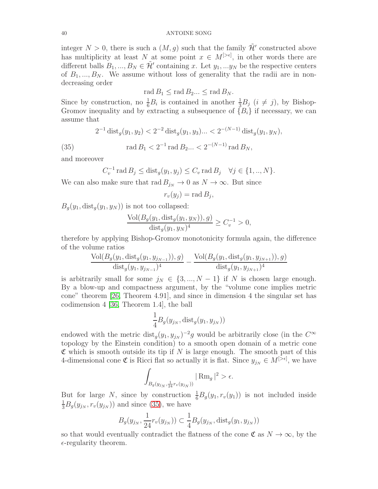integer  $N > 0$ , there is such a  $(M, g)$  such that the family  $\mathcal{H}'$  constructed above has multiplicity at least N at some point  $x \in M^{[\geq \epsilon]}$ , in other words there are different balls  $B_1, ..., B_N \in \mathcal{H}'$  containing x. Let  $y_1, ..., y_N$  be the respective centers of  $B_1, ..., B_N$ . We assume without loss of generality that the radii are in nondecreasing order

$$
\operatorname{rad} B_1 \le \operatorname{rad} B_2 \dots \le \operatorname{rad} B_N.
$$

Since by construction, no  $\frac{1}{6}B_i$  is contained in another  $\frac{1}{3}B_j$   $(i \neq j)$ , by Bishop-Gromov inequality and by extracting a subsequence of  $\{B_i\}$  if necessary, we can assume that

$$
2^{-1} \operatorname{dist}_g(y_1, y_2) < 2^{-2} \operatorname{dist}_g(y_1, y_3) \dots < 2^{-(N-1)} \operatorname{dist}_g(y_1, y_N),
$$

 $(35)$ 

<span id="page-39-0"></span>
$$
rad B_1 < 2^{-1} rad B_2 ... < 2^{-(N-1)} rad B_N,
$$

and moreover

$$
C_v^{-1} \operatorname{rad} B_j \le \operatorname{dist}_g(y_1, y_j) \le C_v \operatorname{rad} B_j \quad \forall j \in \{1, ..., N\}.
$$

We can also make sure that  $\text{rad } B_{j_N} \to 0$  as  $N \to \infty$ . But since

$$
r_v(y_j) = \operatorname{rad} B_j,
$$

 $B_q(y_1, dist_q(y_1, y_N))$  is not too collapsed:

$$
\frac{\text{Vol}(B_g(y_1, \text{dist}_g(y_1, y_N)), g)}{\text{dist}_g(y_1, y_N)^4} \ge C_v^{-1} > 0,
$$

therefore by applying Bishop-Gromov monotonicity formula again, the difference of the volume ratios

$$
\frac{\text{Vol}(B_g(y_1, \text{dist}_g(y_1, y_{j_{N-1}})), g)}{\text{dist}_g(y_1, y_{j_{N-1}})^4} - \frac{\text{Vol}(B_g(y_1, \text{dist}_g(y_1, y_{j_{N+1}})), g)}{\text{dist}_g(y_1, y_{j_{N+1}})^4}
$$

is arbitrarily small for some  $j_N \in \{3, ..., N-1\}$  if N is chosen large enough. By a blow-up and compactness argument, by the "volume cone implies metric cone" theorem [\[26,](#page-55-20) Theorem 4.91], and since in dimension 4 the singular set has codimension 4 [\[36,](#page-55-7) Theorem 1.4], the ball

$$
\frac{1}{4}B_g(y_{j_N}, \text{dist}_g(y_1, y_{j_N}))
$$

endowed with the metric  $dist_g(y_1, y_{j_N})^{-2}g$  would be arbitrarily close (in the  $C^{\infty}$ topology by the Einstein condition) to a smooth open domain of a metric cone  $\mathfrak C$  which is smooth outside its tip if N is large enough. The smooth part of this 4-dimensional cone  $\mathfrak C$  is Ricci flat so actually it is flat. Since  $y_{jN} \in M^{[>\epsilon]}$ , we have

$$
\int_{B_g(y_{j_N}, \frac{1}{24}r_v(y_{j_N}))} |\operatorname{Rm}_g|^2 > \epsilon.
$$

But for large N, since by construction  $\frac{1}{6}B_g(y_1, r_v(y_1))$  is not included inside  $\frac{1}{3}B_g(y_{j_N}, r_v(y_{j_N}))$  and since [\(35\)](#page-39-0), we have

$$
B_g(y_{j_N}, \frac{1}{24}r_v(y_{j_N})) \subset \frac{1}{4}B_g(y_{j_N}, \text{dist}_g(y_1, y_{j_N}))
$$

so that would eventually contradict the flatness of the cone  $\mathfrak{C}$  as  $N \to \infty$ , by the  $\epsilon$ -regularity theorem.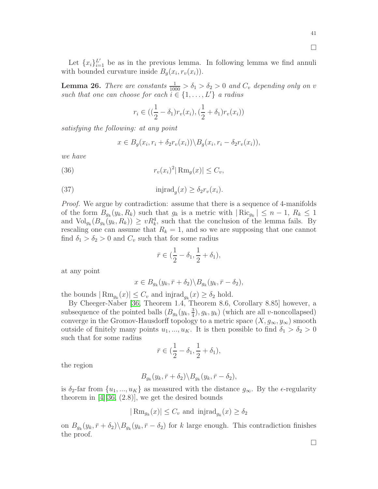Let  $\{x_i\}_{i=1}^{L'}$  be as in the previous lemma. In following lemma we find annuli with bounded curvature inside  $B_g(x_i, r_v(x_i))$ .

<span id="page-40-0"></span>**Lemma 26.** There are constants  $\frac{1}{1000} > \delta_1 > \delta_2 > 0$  and  $C_v$  depending only on v such that one can choose for each  $i \in \{1, \ldots, L'\}$  a radius

$$
r_i \in ((\frac{1}{2} - \delta_1)r_v(x_i), (\frac{1}{2} + \delta_1)r_v(x_i))
$$

satisfying the following: at any point

$$
x \in B_g(x_i, r_i + \delta_2 r_v(x_i)) \backslash B_g(x_i, r_i - \delta_2 r_v(x_i)),
$$

we have

(36) 
$$
r_v(x_i)^2 |\operatorname{Rm}_g(x)| \leq C_v,
$$

(37) 
$$
\mathrm{injrad}_g(x) \ge \delta_2 r_v(x_i).
$$

Proof. We argue by contradiction: assume that there is a sequence of 4-manifolds of the form  $B_{g_k}(y_k, R_k)$  such that  $g_k$  is a metric with  $|Ric_{g_k}| \leq n-1, R_k \leq 1$ and  $\text{Vol}_{g_k}(B_{g_k}(y_k, R_k)) \geq vR_k^4$ , such that the conclusion of the lemma fails. By rescaling one can assume that  $R_k = 1$ , and so we are supposing that one cannot find  $\delta_1 > \delta_2 > 0$  and  $C_v$  such that for some radius

$$
\bar{r} \in (\frac{1}{2} - \delta_1, \frac{1}{2} + \delta_1),
$$

at any point

$$
x \in B_{g_k}(y_k, \bar{r} + \delta_2) \backslash B_{g_k}(y_k, \bar{r} - \delta_2),
$$

the bounds  $|\text{Rm}_{g_k}(x)| \leq C_v$  and injrad $g_k(x) \geq \delta_2$  hold.

By Cheeger-Naber [\[36,](#page-55-7) Theorem 1.4, Theorem 8.6, Corollary 8.85] however, a subsequence of the pointed balls  $(B_{g_k}(y_k, \frac{3}{4}))$  $(\frac{3}{4}), g_k, y_k)$  (which are all v-noncollapsed) converge in the Gromov-Hausdorff topology to a metric space  $(X, g_{\infty}, y_{\infty})$  smooth outside of finitely many points  $u_1, ..., u_K$ . It is then possible to find  $\delta_1 > \delta_2 > 0$ such that for some radius

$$
\bar{r} \in (\frac{1}{2} - \delta_1, \frac{1}{2} + \delta_1),
$$

the region

$$
B_{g_k}(y_k, \bar{r}+\delta_2) \backslash B_{g_k}(y_k, \bar{r}-\delta_2),
$$

is  $\delta_2$ -far from  $\{u_1, ..., u_K\}$  as measured with the distance  $g_\infty$ . By the  $\epsilon$ -regularity theorem in  $[4][36, (2.8)]$  $[4][36, (2.8)]$  $[4][36, (2.8)]$ , we get the desired bounds

$$
|\operatorname{Rm}_{g_k}(x)| \le C_v \text{ and } \operatorname{injrad}_{g_k}(x) \ge \delta_2
$$

on  $B_{g_k}(y_k, \bar{r} + \delta_2) \backslash B_{g_k}(y_k, \bar{r}-\delta_2)$  for k large enough. This contradiction finishes the proof.

 $\Box$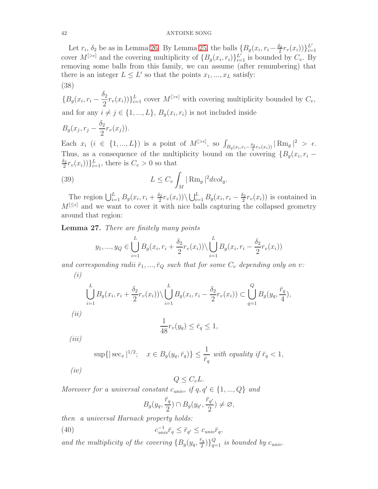Let  $r_i$ ,  $\delta_2$  be as in Lemma [26.](#page-40-0) By Lemma [25,](#page-38-0) the balls  $\left\{B_g(x_i, r_i - \frac{\delta_2}{2}\right\}$  $\frac{\delta_2}{2} r_v(x_i) \big) \}_{i=1}^{L'}$  $i=1$ cover  $M^{[\geq \epsilon]}$  and the covering multiplicity of  $\{B_g(x_i, r_i)\}_{i=1}^{L'}$  is bounded by  $C_v$ . By removing some balls from this family, we can assume (after renumbering) that there is an integer  $L \leq L'$  so that the points  $x_1, ..., x_L$  satisfy: (38)

<span id="page-41-0"></span> $\{B_g(x_i, r_i \delta_2$  $\{2^2r_v(x_i)\}_{i=1}^L$  cover  $M^{[\geq \epsilon]}$  with covering multiplicity bounded by  $C_v$ , and for any  $i \neq j \in \{1, ..., L\}, B_g(x_i, r_i)$  is not included inside

$$
B_g(x_j, r_j - \frac{\delta_2}{2}r_v(x_j)).
$$

Each  $x_i$   $(i \in \{1, ..., L\})$  is a point of  $M^{[>\epsilon]},$  so  $\int_{B_g(x_i, r_i - \frac{\delta_2}{2}r_v(x_i))} |\operatorname{Rm}_g|^2 > \epsilon.$ Thus, as a consequence of the multiplicity bound on the covering  ${B_g(x_i, r_i - \over S_g(x_i, r_i))}$  $\delta_2$  $\{\frac{S_2}{2}r_v(x_i))\}_{i=1}^L$ , there is  $C_v > 0$  so that

(39) 
$$
L \leq C_v \int_M |\operatorname{Rm}_g|^2 dvol_g.
$$

The region  $\bigcup_{i=1}^{L} B_g(x_i, r_i + \frac{\delta_2}{2})$  $\sum_{i=1}^{5} r_v(x_i) \rangle \backslash \bigcup_{i=1}^{L} B_g(x_i, r_i - \frac{\delta_2}{2})$  $\frac{\partial^2 z}{\partial x^2} r_v(x_i)$  is contained in  $M^{[\leq\epsilon]}$  and we want to cover it with nice balls capturing the collapsed geometry around that region:

<span id="page-41-1"></span>Lemma 27. There are finitely many points

<span id="page-41-3"></span>
$$
y_1, ..., y_Q \in \bigcup_{i=1}^{L} B_g(x_i, r_i + \frac{\delta_2}{2}r_v(x_i)) \setminus \bigcup_{i=1}^{L} B_g(x_i, r_i - \frac{\delta_2}{2}r_v(x_i))
$$

and corresponding radii  $\bar{r}_1, ..., \bar{r}_Q$  such that for some  $C_v$  depending only on v:  $(i)$ 

$$
\bigcup_{i=1}^{L} B_g(x_i, r_i + \frac{\delta_2}{2} r_v(x_i)) \setminus \bigcup_{i=1}^{L} B_g(x_i, r_i - \frac{\delta_2}{2} r_v(x_i)) \subset \bigcup_{q=1}^{Q} B_g(y_q, \frac{\bar{r}_q}{4}),
$$
  
(ii)  

$$
\frac{1}{48} r_v(y_q) \leq \bar{r}_q \leq 1,
$$
  
(iii)

$$
\sup\{|\sec_x|^{1/2}; \quad x \in B_g(y_q, \bar{r}_q)\} \le \frac{1}{\bar{r}_q} \text{ with equality if } \bar{r}_q < 1,
$$

 $(iv)$ 

 $Q \leq C_vL$ .

Moreover for a universal constant  $c_{univ}$ , if  $q, q' \in \{1, ..., Q\}$  and

<span id="page-41-2"></span>
$$
B_g(y_q, \frac{\bar{r}_q}{2}) \cap B_g(y_{q'}, \frac{\bar{r}_{q'}}{2}) \neq \varnothing,
$$

then a universal Harnack property holds:

(40) 
$$
c_{univ}^{-1}\bar{r}_q \leq \bar{r}_{q'} \leq c_{univ}\bar{r}_q,
$$

and the multiplicity of the covering  $\{B_g(y_q,\frac{\bar{r}_q}{2}$  $\left\{ \frac{\bar{c}_q}{2} \right\}$   $\left\{ \frac{Q}{q=1} \right\}$  is bounded by  $c_{univ}$ .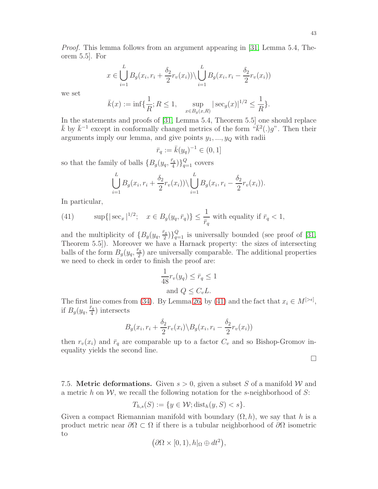43

Proof. This lemma follows from an argument appearing in [\[31,](#page-55-13) Lemma 5.4, Theorem 5.5]. For

$$
x \in \bigcup_{i=1}^{L} B_g(x_i, r_i + \frac{\delta_2}{2}r_v(x_i)) \setminus \bigcup_{i=1}^{L} B_g(x_i, r_i - \frac{\delta_2}{2}r_v(x_i))
$$

we set

$$
\bar{k}(x) := \inf \{ \frac{1}{R}; R \le 1, \quad \sup_{x \in B_g(x,R)} |\sec_g(x)|^{1/2} \le \frac{1}{R} \}.
$$

In the statements and proofs of [\[31,](#page-55-13) Lemma 5.4, Theorem 5.5] one should replace  $\bar{k}$  by  $\bar{k}^{-1}$  except in conformally changed metrics of the form  $\sqrt[n]{\bar{k}^2(.)g}$ . Then their arguments imply our lemma, and give points  $y_1, \ldots, y_Q$  with radii

$$
\bar{r}_q := \bar{k}(y_q)^{-1} \in (0, 1]
$$

so that the family of balls  $\{B_g(y_q, \frac{\bar{r}_q}{4} \})$  $\left\{\frac{a}{4}\right\}\right\}$  $_{q=1}^{Q}$  covers

$$
\bigcup_{i=1}^L B_g(x_i,r_i+\frac{\delta_2}{2}r_v(x_i))\setminus \bigcup_{i=1}^L B_g(x_i,r_i-\frac{\delta_2}{2}r_v(x_i)).
$$

In particular,

<span id="page-42-0"></span>(41) 
$$
\sup\{|\sec_x|^{1/2}; \quad x \in B_g(y_q, \bar{r}_q)\} \le \frac{1}{\bar{r}_q} \text{ with equality if } \bar{r}_q < 1,
$$

and the multiplicity of  $\{B_g(y_q, \frac{\bar{r}_q}{2}\})$  $\binom{\overline{a}_q}{q-1}$  is universally bounded (see proof of [\[31,](#page-55-13) Theorem 5.5]). Moreover we have a Harnack property: the sizes of intersecting balls of the form  $B_g(y_q, \frac{\bar{r}_q}{2})$  $\frac{r_q}{2}$ ) are universally comparable. The additional properties we need to check in order to finish the proof are:

$$
\frac{1}{48}r_v(y_q) \le \bar{r}_q \le 1
$$
  
and  $Q \le C_vL$ .

The first line comes from [\(34\)](#page-37-1). By Lemma [26,](#page-40-0) by [\(41\)](#page-42-0) and the fact that  $x_i \in M^{[>\epsilon]}$ , if  $B_g(y_q, \frac{\bar{r}_q}{4})$  $\frac{r_q}{4}$ ) intersects

$$
B_g(x_i, r_i + \frac{\delta_2}{2}r_v(x_i) \backslash B_g(x_i, r_i - \frac{\delta_2}{2}r_v(x_i))
$$

then  $r_v(x_i)$  and  $\bar{r}_q$  are comparable up to a factor  $C_v$  and so Bishop-Gromov inequality yields the second line.

 $\Box$ 

7.5. **Metric deformations.** Given  $s > 0$ , given a subset S of a manifold W and a metric h on  $W$ , we recall the following notation for the s-neighborhood of S:

$$
T_{h,s}(S) := \{ y \in \mathcal{W}; \text{dist}_h(y, S) < s \}.
$$

Given a compact Riemannian manifold with boundary  $(\Omega, h)$ , we say that h is a product metric near  $\partial\Omega \subset \Omega$  if there is a tubular neighborhood of  $\partial\Omega$  isometric to

$$
(\partial\Omega\times[0,1),h|_{\Omega}\oplus dt^2),
$$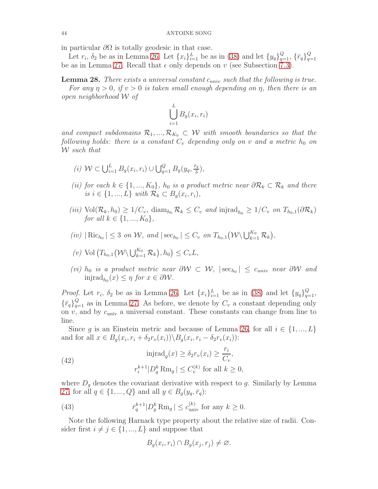in particular  $\partial\Omega$  is totally geodesic in that case.

Let  $r_i$ ,  $\delta_2$  be as in Lemma [26.](#page-40-0) Let  $\{x_i\}_{i=1}^L$  be as in [\(38\)](#page-41-0) and let  $\{y_q\}_{q=1}^Q$ ,  $\{\bar{r}_q\}_{q=1}^Q$  $q=1$ be as in Lemma [27.](#page-41-1) Recall that  $\epsilon$  only depends on v (see Subsection [7.3\)](#page-36-1).

<span id="page-43-0"></span>**Lemma 28.** There exists a universal constant  $c_{univ}$  such that the following is true.

For any  $\eta > 0$ , if  $v > 0$  is taken small enough depending on  $\eta$ , then there is an open neighborhood W of

$$
\bigcup_{i=1}^{L} B_g(x_i, r_i)
$$

and compact subdomains  $\mathcal{R}_1, ..., \mathcal{R}_{K_0} \subset \mathcal{W}$  with smooth boundaries so that the following holds: there is a constant  $C_v$  depending only on v and a metric  $h_0$  on W such that

- (i)  $W \subset \bigcup_{i=1}^{L} B_{g}(x_i, r_i) \cup \bigcup_{q=1}^{Q} B_{g}(y_q, \frac{\bar{r}_q}{3})$  $\frac{r_q}{3}$ ),
- (ii) for each  $k \in \{1, ..., K_0\}$ ,  $h_0$  is a product metric near  $\partial \mathcal{R}_k \subset \mathcal{R}_k$  and there is  $i \in \{1, ..., L\}$  with  $\mathcal{R}_k \subset B_g(x_i, r_i)$ ,
- (iii)  $\text{Vol}(\mathcal{R}_k, h_0) \geq 1/C_v$ , diam<sub>h<sub>0</sub></sub>  $\mathcal{R}_k \leq C_v$  and injrad<sub>h<sub>0</sub>  $\geq 1/C_v$  on  $T_{h_0,1}(\partial \mathcal{R}_k)$ </sub> for all  $k \in \{1, ..., K_0\}$ ,
- (iv)  $|\operatorname{Ric}_{h_0}| \leq 3$  on W, and  $|\operatorname{sec}_{h_0}| \leq C_v$  on  $T_{h_0,1}(\mathcal{W}\setminus\bigcup_{k=1}^{K_0} \mathcal{R}_k)$ ,

(v) Vol 
$$
(T_{h_0,1}(\mathcal{W}\setminus\bigcup_{k=1}^{K_0}\mathcal{R}_k), h_0) \leq C_vL
$$
,

(vi) h<sub>0</sub> is a product metric near  $\partial W \subset W$ ,  $|\sec_{h_0}| \leq c_{univ}$  near  $\partial W$  and  $\text{injrad}_{h_0}(x) \leq \eta \text{ for } x \in \partial \mathcal{W}.$ 

*Proof.* Let  $r_i$ ,  $\delta_2$  be as in Lemma [26.](#page-40-0) Let  $\{x_i\}_{i=1}^L$  be as in [\(38\)](#page-41-0) and let  $\{y_q\}_{q=1}^Q$ ,  ${\lbrace \bar{r}_q \rbrace}_{q=1}^Q$  as in Lemma [27.](#page-41-1) As before, we denote by  $C_v$  a constant depending only on  $v$ , and by  $c_{\text{univ}}$  a universal constant. These constants can change from line to line.

Since g is an Einstein metric and because of Lemma [26,](#page-40-0) for all  $i \in \{1, ..., L\}$ and for all  $x \in B_g(x_i, r_i + \delta_2 r_v(x_i)) \backslash B_g(x_i, r_i - \delta_2 r_v(x_i))$ :

(42) 
$$
\text{injrad}_{g}(x) \geq \delta_2 r_v(x_i) \geq \frac{r_i}{C_v},
$$

$$
r_i^{k+1} |D_g^k \text{Rm}_g| \leq C_v^{(k)} \text{ for all } k \geq 0,
$$

where  $D<sub>g</sub>$  denotes the covariant derivative with respect to g. Similarly by Lemma [27,](#page-41-1) for all  $q \in \{1, ..., Q\}$  and all  $y \in B_g(y_q, \bar{r}_q)$ :

(43) 
$$
\overline{r}_q^{k+1} |D_g^k \operatorname{Rm}_g| \le c_{\text{univ}}^{(k)} \text{ for any } k \ge 0.
$$

Note the following Harnack type property about the relative size of radii. Consider first  $i \neq j \in \{1, ..., L\}$  and suppose that

$$
B_g(x_i,r_i) \cap B_g(x_j,r_j) \neq \emptyset.
$$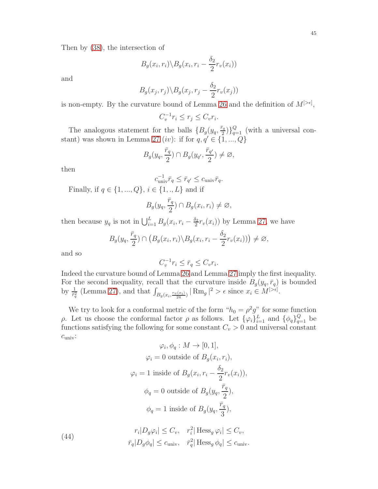Then by [\(38\)](#page-41-0), the intersection of

$$
B_g(x_i, r_i) \backslash B_g(x_i, r_i - \frac{\delta_2}{2} r_v(x_i))
$$

and

$$
B_g(x_j, r_j) \backslash B_g(x_j, r_j - \frac{\delta_2}{2} r_v(x_j))
$$

is non-empty. By the curvature bound of Lemma [26](#page-40-0) and the definition of  $M^{[\gt_{\epsilon}]}$ ,

$$
C_v^{-1}r_i \le r_j \le C_vr_i.
$$

The analogous statement for the balls  $\{B_g(y_q, \frac{\bar{r}_q}{2} \})$  $\binom{\bar{a}_q}{2}$  $\binom{Q}{q=1}$  (with a universal con-stant) was shown in Lemma [27](#page-41-1) (iv): if for  $q, q' \in \{1, ..., Q\}$ 

$$
B_g(y_q, \frac{\bar{r}_q}{2}) \cap B_g(y_{q'}, \frac{\bar{r}_{q'}}{2}) \neq \varnothing,
$$

then

$$
c_{\text{univ}}^{-1} \bar{r}_q \leq \bar{r}_{q'} \leq c_{\text{univ}} \bar{r}_q.
$$

Finally, if  $q \in \{1, ..., Q\}, i \in \{1, ..., L\}$  and if

$$
B_g(y_q, \frac{\bar{r}_q}{2}) \cap B_g(x_i, r_i) \neq \emptyset,
$$

then because  $y_q$  is not in  $\bigcup_{i=1}^L B_g(x_i, r_i - \frac{\delta_2}{2})$  $\frac{\partial^2 z}{\partial x^2}r_v(x_i)$  by Lemma [27,](#page-41-1) we have

$$
B_g(y_q, \frac{\bar{r}_q}{2}) \cap (B_g(x_i, r_i) \backslash B_g(x_i, r_i - \frac{\delta_2}{2} r_v(x_i))) \neq \varnothing,
$$

and so

<span id="page-44-0"></span>(44)

$$
C_v^{-1}r_i \leq \bar{r}_q \leq C_vr_i.
$$

Indeed the curvature bound of Lemma [26](#page-40-0) and Lemma [27](#page-41-1) imply the first inequality. For the second inequality, recall that the curvature inside  $B_g(y_q, \bar{r}_q)$  is bounded by  $\frac{1}{\bar{r}_q^2}$  (Lemma [27\)](#page-41-1), and that  $\int_{B_g(x_i, \frac{r_v(x_i)}{24})} |\operatorname{Rm}_g|^2 > \epsilon$  since  $x_i \in M^{[>\epsilon]}$ .

We try to look for a conformal metric of the form " $h_0 = \rho^2 g$ " for some function ρ. Let us choose the conformal factor ρ as follows. Let  $\{\varphi_i\}_{i=1}^L$  and  $\{\phi_q\}_{q=1}^Q$  be functions satisfying the following for some constant  $C_v > 0$  and universal constant  $c_{\text{univ}}$ :

 $\bar{r}_q |D_g \phi_q| \leq c_{\text{univ}}, \quad \bar{r}_q^2 |\text{ Hess}_g \phi_q| \leq c_{\text{univ}}.$ 

$$
\varphi_i, \phi_q : M \to [0, 1],
$$
  
\n
$$
\varphi_i = 0 \text{ outside of } B_g(x_i, r_i),
$$
  
\n
$$
\varphi_i = 1 \text{ inside of } B_g(x_i, r_i - \frac{\delta_2}{2} r_v(x_i)),
$$
  
\n
$$
\phi_q = 0 \text{ outside of } B_g(y_q, \frac{\bar{r}_q}{2}),
$$
  
\n
$$
\phi_q = 1 \text{ inside of } B_g(y_q, \frac{\bar{r}_q}{3}),
$$
  
\n
$$
r_i|D_g\varphi_i| \leq C_v, \quad r_i^2| \text{ Hess}_g \varphi_i| \leq C_v,
$$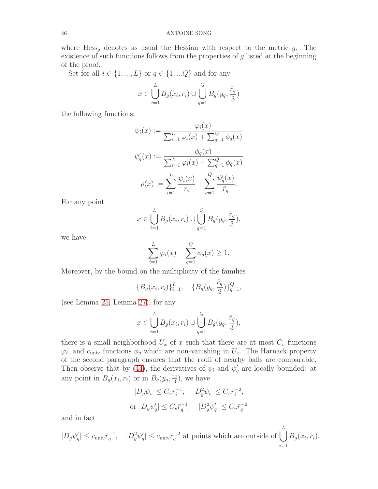where  $Hess_q$  denotes as usual the Hessian with respect to the metric g. The existence of such functions follows from the properties of  $g$  listed at the beginning of the proof.

Set for all  $i \in \{1, ..., L\}$  or  $q \in \{1, ...Q\}$  and for any

$$
x \in \bigcup_{i=1}^{L} B_g(x_i, r_i) \cup \bigcup_{q=1}^{Q} B_g(y_q, \frac{\bar{r}_q}{3})
$$

the following functions:

$$
\psi_i(x) := \frac{\varphi_i(x)}{\sum_{i=1}^L \varphi_i(x) + \sum_{q=1}^Q \phi_q(x)}
$$

$$
\psi'_q(x) := \frac{\phi_q(x)}{\sum_{i=1}^L \varphi_i(x) + \sum_{q=1}^Q \phi_q(x)}
$$

$$
\rho(x) := \sum_{i=1}^L \frac{\psi_i(x)}{r_i} + \sum_{q=1}^Q \frac{\psi'_q(x)}{\overline{r}_q}.
$$

For any point

$$
x \in \bigcup_{i=1}^{L} B_g(x_i, r_i) \cup \bigcup_{q=1}^{Q} B_g(y_q, \frac{\bar{r}_q}{3}),
$$

we have

$$
\sum_{i=1}^{L} \varphi_i(x) + \sum_{q=1}^{Q} \phi_q(x) \ge 1.
$$

Moreover, by the bound on the multiplicity of the families

$$
\{B_g(x_i, r_i)\}_{i=1}^L, \quad \{B_g(y_q, \frac{\bar{r}_q}{2})\}_{q=1}^Q,
$$

(see Lemma [25,](#page-38-0) Lemma [27\)](#page-41-1), for any

$$
x \in \bigcup_{i=1}^{L} B_g(x_i, r_i) \cup \bigcup_{q=1}^{Q} B_g(y_q, \frac{\bar{r}_q}{3}),
$$

there is a small neighborhood  $U_x$  of x such that there are at most  $C_v$  functions  $\varphi_i$ , and  $c_{\text{univ}}$  functions  $\phi_q$  which are non-vanishing in  $U_x$ . The Harnack property of the second paragraph ensures that the radii of nearby balls are comparable. Then observe that by [\(44\)](#page-44-0), the derivatives of  $\psi_i$  and  $\psi'_q$  are locally bounded: at any point in  $B_g(x_i, r_i)$  or in  $B_g(y_q, \frac{\bar{r}_q}{3})$  $\frac{r_q}{3}$ ), we have

$$
|D_g \psi_i| \le C_v r_i^{-1}, \quad |D_g^2 \psi_i| \le C_v r_i^{-2},
$$
  
or  $|D_g \psi'_q| \le C_v \bar{r}_q^{-1}, \quad |D_g^2 \psi'_q| \le C_v \bar{r}_q^{-2}$ 

and in fact

$$
|D_g\psi'_q| \leq c_{\text{univ}} \bar{r}_q^{-1}, \quad |D_g^2\psi'_q| \leq c_{\text{univ}} \bar{r}_q^{-2} \text{ at points which are outside of } \bigcup_{i=1}^L B_g(x_i, r_i).
$$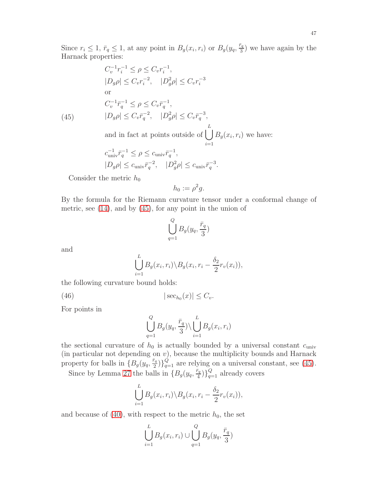Since  $r_i \leq 1$ ,  $\bar{r}_q \leq 1$ , at any point in  $B_g(x_i, r_i)$  or  $B_g(y_q, \frac{\bar{r}_q}{3})$  $\frac{a}{3}$ ) we have again by the Harnack properties:

(45) 
$$
C_v^{-1}r_i^{-1} \leq \rho \leq C_v r_i^{-1},
$$

$$
|D_g \rho| \leq C_v r_i^{-2}, \quad |D_g^2 \rho| \leq C_v r_i^{-3}
$$

$$
C_v^{-1} \bar{r}_q^{-1} \leq \rho \leq C_v \bar{r}_q^{-1},
$$

$$
|D_g \rho| \leq C_v \bar{r}_q^{-2}, \quad |D_g^2 \rho| \leq C_v \bar{r}_q^{-3},
$$

<span id="page-46-0"></span>and in fact at points outside of  $\left( \begin{array}{c} \end{array} \right)$  $\frac{i=1}{i}$  $B_g(x_i, r_i)$  we have:

$$
\begin{aligned} &c_{\text{univ}}^{-1}\bar{r}_q^{-1}\leq \rho\leq c_{\text{univ}}\bar{r}_q^{-1},\\ &|D_g\rho|\leq c_{\text{univ}}\bar{r}_q^{-2},\quad |D_g^2\rho|\leq c_{\text{univ}}\bar{r}_q^{-3}. \end{aligned}
$$

Consider the metric  $h_0$ 

$$
h_0 := \rho^2 g.
$$

By the formula for the Riemann curvature tensor under a conformal change of metric, see [\(14\)](#page-22-3), and by [\(45\)](#page-46-0), for any point in the union of

$$
\bigcup_{q=1}^{Q} B_g(y_q, \frac{\bar{r}_q}{3})
$$

and

$$
\bigcup_{i=1}^{L} B_g(x_i, r_i) \backslash B_g(x_i, r_i - \frac{\delta_2}{2} r_v(x_i)),
$$

the following curvature bound holds:

(46)  $|\sec_{h_0}(x)| \leq C_v.$ 

For points in

<span id="page-46-1"></span>
$$
\bigcup_{q=1}^{Q} B_g(y_q, \frac{\bar{r}_q}{3}) \setminus \bigcup_{i=1}^{L} B_g(x_i, r_i)
$$

the sectional curvature of  $h_0$  is actually bounded by a universal constant  $c_{\text{univ}}$ (in particular not depending on  $v$ ), because the multiplicity bounds and Harnack property for balls in  $\{B_g(y_q, \frac{\bar{r}_q}{2} \}$  $\binom{\bar{a}_q}{2}$  $\binom{Q}{q=1}$  are relying on a universal constant, see [\(45\)](#page-46-0).

Since by Lemma [27](#page-41-1) the balls in  $\{B_g(y_q, \frac{\bar{r}_q}{4} \}$  $\binom{\bar{r}_q}{4}$ <sub> $\binom{Q}{4}$ </sub> already covers

$$
\bigcup_{i=1}^{L} B_g(x_i,r_i) \backslash B_g(x_i,r_i - \frac{\delta_2}{2}r_v(x_i)),
$$

and because of  $(40)$ , with respect to the metric  $h_0$ , the set

$$
\bigcup_{i=1}^{L} B_g(x_i, r_i) \cup \bigcup_{q=1}^{Q} B_g(y_q, \frac{\bar{r}_q}{3})
$$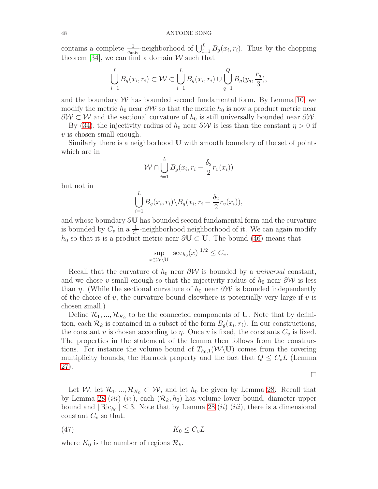contains a complete  $\frac{1}{c_{\text{univ}}}$ -neighborhood of  $\bigcup_{i=1}^{L} B_g(x_i, r_i)$ . Thus by the chopping theorem [\[34\]](#page-55-12), we can find a domain  $W$  such that

$$
\bigcup_{i=1}^{L} B_g(x_i, r_i) \subset \mathcal{W} \subset \bigcup_{i=1}^{L} B_g(x_i, r_i) \cup \bigcup_{q=1}^{Q} B_g(y_q, \frac{\bar{r}_q}{3}),
$$

and the boundary  $W$  has bounded second fundamental form. By Lemma [10,](#page-12-1) we modify the metric  $h_0$  near  $\partial W$  so that the metric  $h_0$  is now a product metric near  $\partial W \subset W$  and the sectional curvature of  $h_0$  is still universally bounded near  $\partial W$ .

By [\(34\)](#page-37-1), the injectivity radius of  $h_0$  near  $\partial W$  is less than the constant  $\eta > 0$  if  $v$  is chosen small enough.

Similarly there is a neighborhood U with smooth boundary of the set of points which are in

$$
\mathcal{W} \cap \bigcup_{i=1}^{L} B_g(x_i, r_i - \frac{\delta_2}{2}r_v(x_i))
$$

but not in

$$
\bigcup_{i=1}^{L} B_g(x_i,r_i) \backslash B_g(x_i,r_i - \frac{\delta_2}{2}r_v(x_i)),
$$

and whose boundary ∂U has bounded second fundamental form and the curvature is bounded by  $C_v$  in a  $\frac{1}{C_v}$ -neighborhood neighborhood of it. We can again modify  $h_0$  so that it is a product metric near  $\partial U \subset U$ . The bound [\(46\)](#page-46-1) means that

$$
\sup_{x \in \mathcal{W} \setminus \mathbf{U}} |\sec_{h_0}(x)|^{1/2} \leq C_v.
$$

Recall that the curvature of  $h_0$  near  $\partial W$  is bounded by a *universal* constant, and we chose v small enough so that the injectivity radius of  $h_0$  near  $\partial W$  is less than  $\eta$ . (While the sectional curvature of  $h_0$  near  $\partial \mathcal{W}$  is bounded independently of the choice of v, the curvature bound elsewhere is potentially very large if v is chosen small.)

Define  $\mathcal{R}_1, ..., \mathcal{R}_{K_0}$  to be the connected components of U. Note that by definition, each  $\mathcal{R}_k$  is contained in a subset of the form  $B_g(x_i, r_i)$ . In our constructions, the constant v is chosen according to  $\eta$ . Once v is fixed, the constants  $C_v$  is fixed. The properties in the statement of the lemma then follows from the constructions. For instance the volume bound of  $T_{h_0,1}(\mathcal{W}\backslash \mathbf{U})$  comes from the covering multiplicity bounds, the Harnack property and the fact that  $Q \leq C_v L$  (Lemma [27\)](#page-41-1).

 $\Box$ 

Let W, let  $\mathcal{R}_1, ..., \mathcal{R}_{K_0} \subset \mathcal{W}$ , and let  $h_0$  be given by Lemma [28.](#page-43-0) Recall that by Lemma [28](#page-43-0) (*iii*) (*iv*), each  $(\mathcal{R}_k, h_0)$  has volume lower bound, diameter upper bound and  $|\text{Ric}_{h_0}| \leq 3$ . Note that by Lemma [28](#page-43-0) *(ii) (iii)*, there is a dimensional constant  $C_v$  so that:

$$
(47) \t K_0 \le C_v L
$$

where  $K_0$  is the number of regions  $\mathcal{R}_k$ .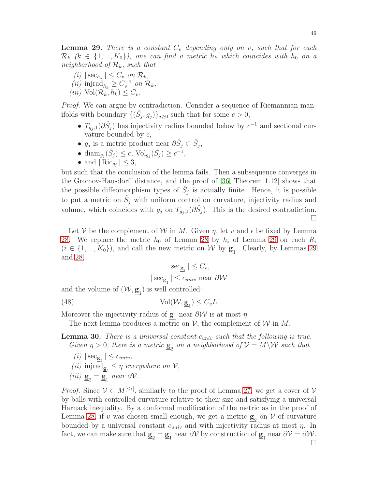<span id="page-48-0"></span>**Lemma 29.** There is a constant  $C_v$  depending only on v, such that for each  $\mathcal{R}_k$   $(k \in \{1, ..., K_0\})$ , one can find a metric  $h_k$  which coincides with  $h_0$  on a neighborhood of  $\mathcal{R}_k$ , such that

- $(i) \, |\sec_{h_k}| \leq C_v \, \text{ on } \mathcal{R}_k,$ (*ii*) injrad<sub> $h_k \geq C_v^{-1}$  on  $\mathcal{R}_k$ ,</sub>
- (iii)  $\text{Vol}(\mathcal{R}_k, h_k) \leq C_v$ .

Proof. We can argue by contradiction. Consider a sequence of Riemannian manifolds with boundary  $\{(\hat{S}_j, g_j)\}_{j\geq 0}$  such that for some  $c > 0$ ,

- $T_{g_j,1}(\partial \hat{S}_j)$  has injectivity radius bounded below by  $c^{-1}$  and sectional curvature bounded by  $c$ ,
- $g_j$  is a metric product near  $\partial \hat{S}_j \subset \hat{S}_j$ ,
- dia $\lim_{g_j}(\hat{S}_j) \leq c$ ,  $\text{Vol}_{g_j}(\hat{S}_j) \geq c^{-1}$ ,
- and  $|\operatorname{Ric}_{g_j}| \leq 3$ ,

but such that the conclusion of the lemma fails. Then a subsequence converges in the Gromov-Hausdorff distance, and the proof of [\[36,](#page-55-7) Theorem 1.12] shows that the possible diffeomorphism types of  $\hat{S}_j$  is actually finite. Hence, it is possible to put a metric on  $\hat{S}_j$  with uniform control on curvature, injectivity radius and volume, which coincides with  $g_j$  on  $T_{g_j,1}(\partial \hat{S}_j)$ . This is the desired contradiction.  $\Box$ 

Let V be the complement of W in M. Given  $\eta$ , let v and  $\epsilon$  be fixed by Lemma [28.](#page-43-0) We replace the metric  $h_0$  of Lemma [28](#page-43-0) by  $h_i$  of Lemma [29](#page-48-0) on each  $R_i$  $(i \in \{1, ..., K_0\})$ , and call the new metric on W by  $\underline{\mathbf{g}}_1$ . Clearly, by Lemmas [29](#page-48-0) and [28,](#page-43-0)

<span id="page-48-1"></span>
$$
|\sec_{\underline{\mathbf{g}}_1}| \leq C_v,
$$
  

$$
|\sec_{\underline{\mathbf{g}}_1}| \leq c_{univ} \text{ near } \partial \mathcal{W}
$$

and the volume of  $(W, \underline{\mathbf{g}}_1)$  is well controlled:

(48) 
$$
\text{Vol}(\mathcal{W}, \underline{\mathbf{g}}_1) \leq C_v L.
$$

Moreover the injectivity radius of  $\underline{\mathbf{g}}_1$  near  $\partial \mathcal{W}$  is at most  $\eta$ 

The next lemma produces a metric on  $\mathcal V$ , the complement of  $\mathcal W$  in  $M$ .

**Lemma 30.** There is a universal constant  $c_{univ}$  such that the following is true. Given  $\eta > 0$ , there is a metric  $\underline{\mathbf{g}}_2$  on a neighborhood of  $\mathcal{V} = M \backslash \mathcal{W}$  such that

 $(i) | \sec_{\underline{\mathbf{g}}_2} | \leq c_{univ},$ (*ii*) injrad<sub> $\underline{\mathbf{g}}_2 \leq \eta$  everywhere on  $V$ ,</sub> (iii)  $\underline{\mathbf{g}}_2 = \underline{\mathbf{g}}_1$  near  $\partial \mathcal{V}$ .

*Proof.* Since  $V \subset M^{[\leq \epsilon]}$ , similarly to the proof of Lemma [27,](#page-41-1) we get a cover of  $V$ by balls with controlled curvature relative to their size and satisfying a universal Harnack inequality. By a conformal modification of the metric as in the proof of Lemma [28,](#page-43-0) if v was chosen small enough, we get a metric  $\underline{\mathbf{g}}_2$  on  $V$  of curvature bounded by a universal constant  $c_{univ}$  and with injectivity radius at most  $\eta$ . In fact, we can make sure that  $\underline{\mathbf{g}}_2 = \underline{\mathbf{g}}_1$  near  $\partial \mathcal{V}$  by construction of  $\underline{\mathbf{g}}_1$  near  $\partial \mathcal{V} = \partial \mathcal{W}$ .  $\Box$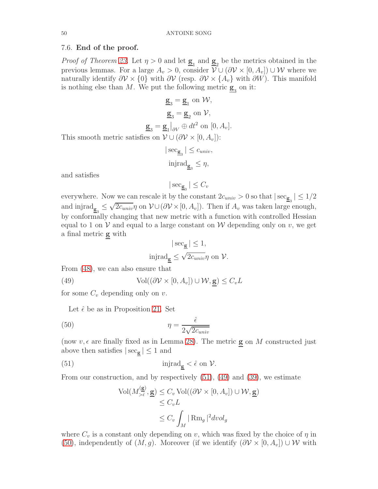## <span id="page-49-0"></span>7.6. End of the proof.

*Proof of Theorem [23.](#page-36-0)* Let  $\eta > 0$  and let  $\underline{\mathbf{g}}_1$  and  $\underline{\mathbf{g}}_2$  be the metrics obtained in the previous lemmas. For a large  $A_v > 0$ , consider  $\mathcal{V} \cup (\partial \mathcal{V} \times [0, A_v]) \cup \mathcal{W}$  where we naturally identify  $\partial V \times \{0\}$  with  $\partial V$  (resp.  $\partial V \times \{A_v\}$  with  $\partial W$ ). This manifold is nothing else than  $M$ . We put the following metric  $\underline{\mathbf{g}}_3$  on it:

$$
\underline{\mathbf{g}}_3 = \underline{\mathbf{g}}_1 \text{ on } \mathcal{W},
$$

$$
\underline{\mathbf{g}}_3 = \underline{\mathbf{g}}_2 \text{ on } \mathcal{V},
$$

$$
\underline{\mathbf{g}}_3 = \underline{\mathbf{g}}_1 |_{\partial V} \oplus dt^2 \text{ on } [0, A_v].
$$

This smooth metric satisfies on  $\mathcal{V} \cup (\partial \mathcal{V} \times [0, A_v])$ :

$$
|\sec_{\underline{\mathbf{g}}_3}| \leq c_{univ},
$$
  
injrad <sub>$\underline{\mathbf{g}}_3$   $\leq \eta$ ,</sub>

and satisfies

$$
|\sec_{\underline{\mathbf{g}}_3}|\leq C_v
$$

everywhere. Now we can rescale it by the constant  $2c_{univ} > 0$  so that  $|\sec_{\underline{\mathbf{g}}_3}| \leq 1/2$ and injrad $\underline{\mathbf{g}}_3 \leq$  $\sqrt{2c_{univ}}\eta$  on  $\mathcal{V}\cup(\partial\mathcal{V}\times[0,A_v])$ . Then if  $A_v$  was taken large enough, by conformally changing that new metric with a function with controlled Hessian equal to 1 on V and equal to a large constant on W depending only on v, we get a final metric g with

<span id="page-49-2"></span>
$$
|\sec_{\underline{\mathbf{g}}}|\leq 1,
$$
injrad <sub>$\underline{\mathbf{g}}\leq \sqrt{2c_{univ}}\eta$  on  $\mathcal{V}$ .</sub>

From [\(48\)](#page-48-1), we can also ensure that

(49) 
$$
Vol((\partial \mathcal{V} \times [0, A_v]) \cup \mathcal{W}, \underline{\mathbf{g}}) \leq C_v L
$$

for some  $C_v$  depending only on v.

Let  $\hat{\epsilon}$  be as in Proposition [21.](#page-33-2) Set

(50) 
$$
\eta = \frac{\hat{\epsilon}}{2\sqrt{2c_{univ}}}
$$

(now  $v, \epsilon$  are finally fixed as in Lemma [28\)](#page-43-0). The metric **g** on M constructed just above then satisfies  $|\sec_{g}| \leq 1$  and

(51) 
$$
\text{injrad}_{\underline{\mathbf{g}}} < \hat{\epsilon} \text{ on } \mathcal{V}.
$$

<span id="page-49-3"></span><span id="page-49-1"></span> $\sqrt{g}$ 

From our construction, and by respectively [\(51\)](#page-49-1), [\(49\)](#page-49-2) and [\(39\)](#page-41-3), we estimate

$$
\text{Vol}(M_{>\hat{\epsilon}}^{(\underline{\mathbf{g}})}, \underline{\mathbf{g}}) \leq C_v \text{ Vol}((\partial \mathcal{V} \times [0, A_v]) \cup \mathcal{W}, \underline{\mathbf{g}})
$$
  

$$
\leq C_v L
$$
  

$$
\leq C_v \int_M |\operatorname{Rm}_g|^2 dvol_g
$$

where  $C_v$  is a constant only depending on v, which was fixed by the choice of  $\eta$  in [\(50\)](#page-49-3), independently of  $(M, g)$ . Moreover (if we identify  $(\partial V \times [0, A_v]) \cup W$  with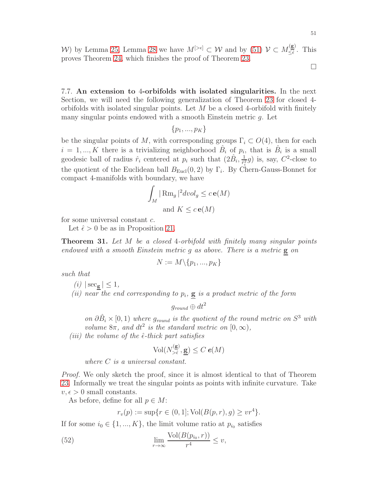W) by Lemma [25,](#page-38-0) Lemma [28](#page-43-0) we have  $M^{[\geq \epsilon]} \subset \mathcal{W}$  and by [\(51\)](#page-49-1)  $\mathcal{V} \subset M_{\leq \epsilon}^{(\mathbf{g})}$  $\frac{\sum_{\epsilon}^{\infty}}{\leq \hat{\epsilon}}$ . This proves Theorem [24,](#page-37-2) which finishes the proof of Theorem [23.](#page-36-0)

 $\Box$ 

7.7. An extension to 4-orbifolds with isolated singularities. In the next Section, we will need the following generalization of Theorem [23](#page-36-0) for closed 4 orbifolds with isolated singular points. Let  $M$  be a closed 4-orbifold with finitely many singular points endowed with a smooth Einstein metric g. Let

 $\{p_1, ..., p_K\}$ 

be the singular points of M, with corresponding groups  $\Gamma_i \subset O(4)$ , then for each  $i = 1, ..., K$  there is a trivializing neighborhood  $\hat{B}_i$  of  $p_i$ , that is  $\hat{B}_i$  is a small geodesic ball of radius  $\hat{r}_i$  centered at  $p_i$  such that  $(2\hat{B}_i, \frac{1}{\hat{r}_i^2})$  $\frac{1}{\hat{r}_i^2}g$ ) is, say,  $C^2$ -close to the quotient of the Euclidean ball  $B_{\text{Eucl}}(0, 2)$  by  $\Gamma_i$ . By Chern-Gauss-Bonnet for compact 4-manifolds with boundary, we have

$$
\int_M |\operatorname{Rm}_g|^2 dvol_g \le c \operatorname{e}(M)
$$
  
and  $K \le c \operatorname{e}(M)$ 

for some universal constant c.

Let  $\hat{\epsilon} > 0$  be as in Proposition [21.](#page-33-2)

<span id="page-50-1"></span>**Theorem 31.** Let M be a closed 4-orbifold with finitely many singular points endowed with a smooth Einstein metric  $g$  as above. There is a metric  $g$  on

$$
N := M \backslash \{p_1, ..., p_K\}
$$

such that

 $(i)$  |  $\sec_{\mathbf{g}}$  |  $\leq 1$ ,

(ii) near the end corresponding to  $p_i$ ,  $\bf{g}$  is a product metric of the form

 $g_{round} \oplus dt^2$ 

on  $\partial \hat{B}_i \times [0,1)$  where g<sub>round</sub> is the quotient of the round metric on  $S^3$  with volume  $8\pi$ , and  $dt^2$  is the standard metric on  $[0,\infty)$ ,

(iii) the volume of the  $\hat{\epsilon}$ -thick part satisfies

$$
\text{Vol}(N_{>\hat{\epsilon}}^{(\underline{\mathbf{g}})}, \underline{\mathbf{g}}) \leq C \, \boldsymbol{e}(M)
$$

where C is a universal constant.

Proof. We only sketch the proof, since it is almost identical to that of Theorem [23.](#page-36-0) Informally we treat the singular points as points with infinite curvature. Take  $v, \epsilon > 0$  small constants.

As before, define for all  $p \in M$ :

<span id="page-50-0"></span>
$$
r_v(p) := \sup\{r \in (0, 1]; \text{Vol}(B(p, r), g) \geq v r^4\}.
$$

If for some  $i_0 \in \{1, ..., K\}$ , the limit volume ratio at  $p_{i_0}$  satisfies

(52) 
$$
\lim_{r \to \infty} \frac{\text{Vol}(B(p_{i_0}, r))}{r^4} \leq v,
$$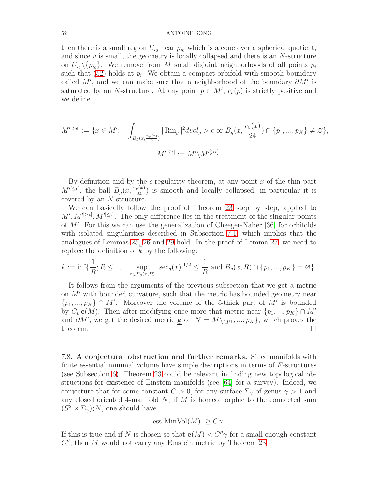then there is a small region  $U_{i_0}$  near  $p_{i_0}$  which is a cone over a spherical quotient, and since  $v$  is small, the geometry is locally collapsed and there is an  $N$ -structure on  $U_{i_0} \setminus \{p_{i_0}\}.$  We remove from M small disjoint neighborhoods of all points  $p_i$ such that  $(52)$  holds at  $p_i$ . We obtain a compact orbifold with smooth boundary called  $M'$ , and we can make sure that a neighborhood of the boundary  $\partial M'$  is saturated by an N-structure. At any point  $p \in M'$ ,  $r_v(p)$  is strictly positive and we define

$$
M'^{[\geq \epsilon]} := \{ x \in M'; \quad \int_{B_g(x, \frac{r_v(x)}{24})} |\operatorname{Rm}_g|^2 dvol_g > \epsilon \text{ or } B_g(x, \frac{r_v(x)}{24}) \cap \{p_1, ..., p_K\} \neq \varnothing \},
$$

$$
M'^{[\leq \epsilon]} := M' \setminus M'^{[\geq \epsilon]}.
$$

By definition and by the  $\epsilon$ -regularity theorem, at any point x of the thin part  $M^{[\leq\epsilon]}$ , the ball  $B_g(x,\frac{r_v(x)}{24})$  is smooth and locally collapsed, in particular it is covered by an N-structure.

We can basically follow the proof of Theorem [23](#page-36-0) step by step, applied to  $M', M'^{[\geq \epsilon]}, M'^{[\leq \epsilon]}$ . The only difference lies in the treatment of the singular points of M′ . For this we can use the generalization of Cheeger-Naber [\[36\]](#page-55-7) for orbifolds with isolated singularities described in Subsection [7.1,](#page-35-2) which implies that the analogues of Lemmas [25,](#page-38-0) [26](#page-40-0) and [29](#page-48-0) hold. In the proof of Lemma [27,](#page-41-1) we need to replace the definition of  $k$  by the following:

$$
\bar{k} := \inf \{ \frac{1}{R}; R \le 1, \quad \sup_{x \in B_g(x, R)} |\sec_g(x)|^{1/2} \le \frac{1}{R} \text{ and } B_g(x, R) \cap \{p_1, ..., p_K\} = \varnothing \}.
$$

It follows from the arguments of the previous subsection that we get a metric on M′ with bounded curvature, such that the metric has bounded geometry near  $\{p_1, ..., p_K\} \cap M'$ . Moreover the volume of the  $\hat{\epsilon}$ -thick part of M' is bounded by  $C_v$  **e**(M). Then after modifying once more that metric near  $\{p_1, ..., p_K\} \cap M'$ and  $\partial M'$ , we get the desired metric **g** on  $N = M \setminus \{p_1, ..., p_K\}$ , which proves the theorem.  $\Box$ 

<span id="page-51-0"></span>7.8. A conjectural obstruction and further remarks. Since manifolds with finite essential minimal volume have simple descriptions in terms of  $F$ -structures (see Subsection [6\)](#page-33-0), Theorem [23](#page-36-0) could be relevant in finding new topological obstructions for existence of Einstein manifolds (see [\[64\]](#page-56-20) for a survey). Indeed, we conjecture that for some constant  $C > 0$ , for any surface  $\Sigma_{\gamma}$  of genus  $\gamma > 1$  and any closed oriented 4-manifold  $N$ , if  $M$  is homeomorphic to the connected sum  $(S^2 \times \Sigma_\gamma) \sharp N$ , one should have

ess-MinVol
$$
(M) \geq C\gamma
$$
.

If this is true and if N is chosen so that  $e(M) < C''\gamma$  for a small enough constant  $C''$ , then  $M$  would not carry any Einstein metric by Theorem [23.](#page-36-0)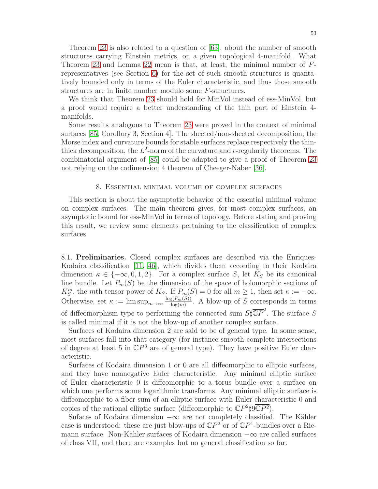Theorem [23](#page-36-0) is also related to a question of [\[63\]](#page-56-7), about the number of smooth structures carrying Einstein metrics, on a given topological 4-manifold. What Theorem [23](#page-36-0) and Lemma [22](#page-34-1) mean is that, at least, the minimal number of Frepresentatives (see Section [6\)](#page-33-0) for the set of such smooth structures is quantatively bounded only in terms of the Euler characteristic, and thus those smooth structures are in finite number modulo some F-structures.

We think that Theorem [23](#page-36-0) should hold for MinVol instead of ess-MinVol, but a proof would require a better understanding of the thin part of Einstein 4 manifolds.

Some results analogous to Theorem [23](#page-36-0) were proved in the context of minimal surfaces [\[85,](#page-57-22) Corollary 3, Section 4]. The sheeted/non-sheeted decomposition, the Morse index and curvature bounds for stable surfaces replace respectively the thinthick decomposition, the  $L^2$ -norm of the curvature and  $\epsilon$ -regularity theorems. The combinatorial argument of [\[85\]](#page-57-22) could be adapted to give a proof of Theorem [23](#page-36-0) not relying on the codimension 4 theorem of Cheeger-Naber [\[36\]](#page-55-7).

# 8. Essential minimal volume of complex surfaces

<span id="page-52-0"></span>This section is about the asymptotic behavior of the essential minimal volume on complex surfaces. The main theorem gives, for most complex surfaces, an asymptotic bound for ess-MinVol in terms of topology. Before stating and proving this result, we review some elements pertaining to the classification of complex surfaces.

8.1. Preliminaries. Closed complex surfaces are described via the Enriques-Kodaira classification [\[11,](#page-54-10) [46\]](#page-56-25), which divides them according to their Kodaira dimension  $\kappa \in \{-\infty, 0, 1, 2\}$ . For a complex surface S, let  $K_S$  be its canonical line bundle. Let  $P_m(S)$  be the dimension of the space of holomorphic sections of  $K_S^m$ , the mth tensor power of  $K_S$ . If  $P_m(S) = 0$  for all  $m \ge 1$ , then set  $\kappa := -\infty$ . Otherwise, set  $\kappa := \limsup_{m \to \infty} \frac{\log(P_m(S))}{\log(m)}$  $\frac{\log(m(S))}{\log(m)}$ . A blow-up of S corresponds in terms of diffeomorphism type to performing the connected sum  $S\sharp \overline{\mathbb{C}P}^2$ . The surface S is called minimal if it is not the blow-up of another complex surface.

Surfaces of Kodaira dimension 2 are said to be of general type. In some sense, most surfaces fall into that category (for instance smooth complete intersections of degree at least 5 in  $\mathbb{C}P^3$  are of general type). They have positive Euler characteristic.

Surfaces of Kodaira dimension 1 or 0 are all diffeomorphic to elliptic surfaces, and they have nonnegative Euler characteristic. Any minimal elliptic surface of Euler characteristic 0 is diffeomorphic to a torus bundle over a surface on which one performs some logarithmic transforms. Any minimal elliptic surface is diffeomorphic to a fiber sum of an elliptic surface with Euler characteristic 0 and copies of the rational elliptic surface (diffeomorphic to  $\mathbb{C}P^2 \sharp 9 \overline{\mathbb{C}P^2}$ ).

Sufaces of Kodaira dimension  $-\infty$  are not completely classified. The Kähler case is understood: these are just blow-ups of  $\mathbb{C}P^2$  or of  $\mathbb{C}P^1$ -bundles over a Riemann surface. Non-Kähler surfaces of Kodaira dimension  $-\infty$  are called surfaces of class VII, and there are examples but no general classification so far.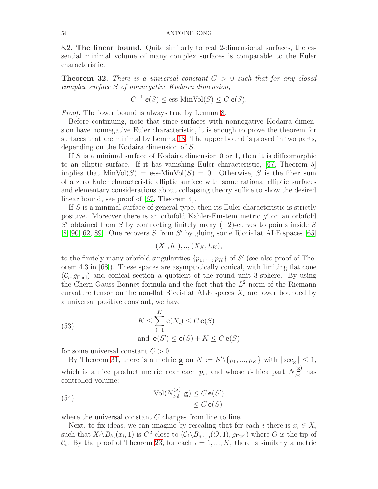8.2. The linear bound. Quite similarly to real 2-dimensional surfaces, the essential minimal volume of many complex surfaces is comparable to the Euler characteristic.

<span id="page-53-0"></span>**Theorem 32.** There is a universal constant  $C > 0$  such that for any closed complex surface S of nonnegative Kodaira dimension,

$$
C^{-1} e(S) \le \text{ess-MinVol}(S) \le C e(S).
$$

Proof. The lower bound is always true by Lemma [8.](#page-11-1)

Before continuing, note that since surfaces with nonnegative Kodaira dimension have nonnegative Euler characteristic, it is enough to prove the theorem for surfaces that are minimal by Lemma [18.](#page-26-0) The upper bound is proved in two parts, depending on the Kodaira dimension of S.

If  $S$  is a minimal surface of Kodaira dimension 0 or 1, then it is diffeomorphic to an elliptic surface. If it has vanishing Euler characteristic, [\[67,](#page-57-5) Theorem 5] implies that  $MinVol(S) = \text{ess-MinVol}(S) = 0$ . Otherwise, S is the fiber sum of a zero Euler characteristic elliptic surface with some rational elliptic surfaces and elementary considerations about collapsing theory suffice to show the desired linear bound, see proof of [\[67,](#page-57-5) Theorem 4].

If S is a minimal surface of general type, then its Euler characteristic is strictly positive. Moreover there is an orbifold Kähler-Einstein metric  $g'$  on an orbifold  $S'$  obtained from S by contracting finitely many  $(-2)$ -curves to points inside S [\[8,](#page-54-11) [90,](#page-57-23) [62,](#page-56-26) [89\]](#page-57-24). One recovers  $S$  from  $S'$  by gluing some Ricci-flat ALE spaces [\[65\]](#page-57-25)

$$
(X_1, h_1), \ldots, (X_K, h_K),
$$

to the finitely many orbifold singularities  $\{p_1, ..., p_K\}$  of S' (see also proof of Theorem 4.3 in [\[68\]](#page-57-6)). These spaces are asymptotically conical, with limiting flat cone  $(\mathcal{C}_i, g_{\text{Eucl}})$  and conical section a quotient of the round unit 3-sphere. By using the Chern-Gauss-Bonnet formula and the fact that the  $L^2$ -norm of the Riemann curvature tensor on the non-flat Ricci-flat ALE spaces  $X_i$  are lower bounded by a universal positive constant, we have

<span id="page-53-1"></span>(53) 
$$
K \leq \sum_{i=1}^{K} \mathbf{e}(X_i) \leq C \mathbf{e}(S)
$$
  
and 
$$
\mathbf{e}(S') \leq \mathbf{e}(S) + K \leq C \mathbf{e}(S)
$$

for some universal constant  $C > 0$ .

By Theorem [31,](#page-50-1) there is a metric  $\underline{\mathbf{g}}$  on  $N := S' \setminus \{p_1, ..., p_K\}$  with  $|\sec_{\underline{\mathbf{g}}}|\leq 1$ , which is a nice product metric near each  $p_i$ , and whose  $\hat{\epsilon}$ -thick part  $N_{>\hat{\epsilon}}^{(\mathbf{g})}$  has controlled volume:

<span id="page-53-2"></span>(54) 
$$
\operatorname{Vol}(N_{>\hat{\epsilon}}^{(\underline{\mathbf{g}})}, \underline{\mathbf{g}}) \leq C \mathbf{e}(S') \leq C \mathbf{e}(S)
$$

where the universal constant  $C$  changes from line to line.

Next, to fix ideas, we can imagine by rescaling that for each i there is  $x_i \in X_i$ such that  $X_i \backslash B_{h_i}(x_i, 1)$  is  $C^2$ -close to  $(\mathcal{C}_i \backslash B_{g_{\text{Eucl}}}(O, 1), g_{\text{Eucl}})$  where O is the tip of  $\mathcal{C}_i$ . By the proof of Theorem [23,](#page-36-0) for each  $i = 1, ..., K$ , there is similarly a metric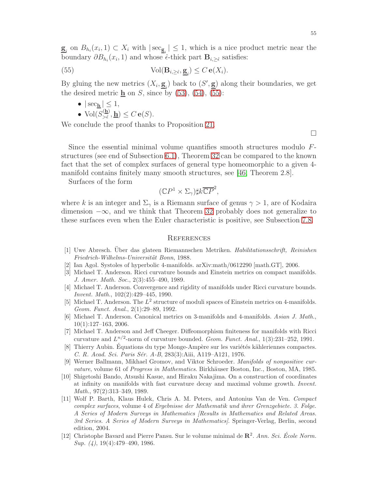$\underline{\mathbf{g}}_i$  on  $B_{h_i}(x_i, 1) \subset X_i$  with  $|\sec_{\underline{\mathbf{g}}_i}| \leq 1$ , which is a nice product metric near the boundary  $\partial B_{h_i}(x_i, 1)$  and whose  $\hat{\epsilon}$ -thick part  $\mathbf{B}_{i, \geq \hat{\epsilon}}$  satisfies:

(55) 
$$
\text{Vol}(\mathbf{B}_{i,\geq \hat{\epsilon}}, \underline{\mathbf{g}}_i) \leq C \mathbf{e}(X_i).
$$

By gluing the new metrics  $(X_i, \underline{\mathbf{g}}_i)$  back to  $(S', \underline{\mathbf{g}})$  along their boundaries, we get the desired metric  $\underline{\mathbf{h}}$  on S, since by [\(53\)](#page-53-1), [\(54\)](#page-53-2), [\(55\)](#page-54-12):

- <span id="page-54-12"></span>•  $|\sec_{h}| \leq 1$ ,
- $\text{Vol}(S_{\geq \hat{\epsilon}}^{(h)})$  $\frac{\partial \langle \mathbf{u} \rangle}{\partial \hat{\epsilon}}, \mathbf{h}) \leq C \mathbf{e}(S).$

We conclude the proof thanks to Proposition [21.](#page-33-2)

 $\Box$ 

Since the essential minimal volume quantifies smooth structures modulo Fstructures (see end of Subsection [6.1\)](#page-33-3), Theorem [32](#page-53-0) can be compared to the known fact that the set of complex surfaces of general type homeomorphic to a given 4 manifold contains finitely many smooth structures, see [\[46,](#page-56-25) Theorem 2.8].

Surfaces of the form

$$
(\mathbb{C}P^1 \times \Sigma_\gamma)\sharp k\overline{\mathbb{C}P}^2,
$$

where k is an integer and  $\Sigma_{\gamma}$  is a Riemann surface of genus  $\gamma > 1$ , are of Kodaira dimension  $-\infty$ , and we think that Theorem [32](#page-53-0) probably does not generalize to these surfaces even when the Euler characteristic is positive, see Subsection [7.8.](#page-51-0)

# **REFERENCES**

- <span id="page-54-7"></span>[1] Uwe Abresch. Über das glateen Riemannschen Metriken. Habilitationsschrift, Reinishen Friedrich-Wilhelms-Universität Bonn, 1988.
- <span id="page-54-9"></span><span id="page-54-8"></span>[2] Ian Agol. Systoles of hyperbolic 4-manifolds. arXiv:math/0612290 [math.GT], 2006.
- [3] Michael T. Anderson. Ricci curvature bounds and Einstein metrics on compact manifolds. J. Amer. Math. Soc., 2(3):455–490, 1989.
- <span id="page-54-2"></span>[4] Michael T. Anderson. Convergence and rigidity of manifolds under Ricci curvature bounds. Invent. Math., 102(2):429–445, 1990.
- <span id="page-54-6"></span>[5] Michael T. Anderson. The  $L^2$  structure of moduli spaces of Einstein metrics on 4-manifolds. Geom. Funct. Anal., 2(1):29–89, 1992.
- <span id="page-54-0"></span>[6] Michael T. Anderson. Canonical metrics on 3-manifolds and 4-manifolds. Asian J. Math., 10(1):127–163, 2006.
- <span id="page-54-4"></span>[7] Michael T. Anderson and Jeff Cheeger. Diffeomorphism finiteness for manifolds with Ricci curvature and  $L^{n/2}$ -norm of curvature bounded. Geom. Funct. Anal., 1(3):231–252, 1991.
- <span id="page-54-11"></span>[8] Thierry Aubin. Équations du type Monge-Ampère sur les variétés kähleriennes compactes. C. R. Acad. Sci. Paris Sér. A-B, 283(3):Aiii, A119–A121, 1976.
- <span id="page-54-1"></span>[9] Werner Ballmann, Mikhael Gromov, and Viktor Schroeder. Manifolds of nonpositive curvature, volume 61 of Progress in Mathematics. Birkhäuser Boston, Inc., Boston, MA, 1985.
- <span id="page-54-3"></span>[10] Shigetoshi Bando, Atsushi Kasue, and Hiraku Nakajima. On a construction of coordinates at infinity on manifolds with fast curvature decay and maximal volume growth. Invent. Math., 97(2):313–349, 1989.
- <span id="page-54-10"></span>[11] Wolf P. Barth, Klaus Hulek, Chris A. M. Peters, and Antonius Van de Ven. Compact complex surfaces, volume 4 of Ergebnisse der Mathematik und ihrer Grenzgebiete. 3. Folge. A Series of Modern Surveys in Mathematics [Results in Mathematics and Related Areas. 3rd Series. A Series of Modern Surveys in Mathematics]. Springer-Verlag, Berlin, second edition, 2004.
- <span id="page-54-5"></span>[12] Christophe Bavard and Pierre Pansu. Sur le volume minimal de  $\mathbb{R}^2$ . Ann. Sci. École Norm.  $Sup. (4), 19(4):479-490, 1986.$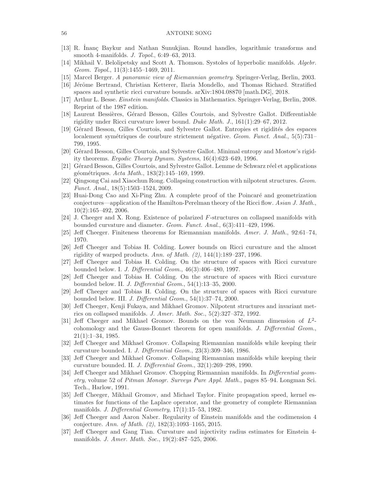- <span id="page-55-19"></span><span id="page-55-17"></span>[13] R. Inanç Baykur and Nathan Sunukjian. Round handles, logarithmic transforms and smooth 4-manifolds. J. Topol., 6:49–63, 2013.
- <span id="page-55-0"></span>[14] Mikhail V. Belolipetsky and Scott A. Thomson. Systoles of hyperbolic manifolds. Algebr. Geom. Topol., 11(3):1455–1469, 2011.
- <span id="page-55-24"></span>[15] Marcel Berger. A panoramic view of Riemannian geometry. Springer-Verlag, Berlin, 2003.
- <span id="page-55-14"></span>[16] Jérôme Bertrand, Christian Ketterer, Ilaria Mondello, and Thomas Richard. Stratified spaces and synthetic ricci curvature bounds. arXiv:1804.08870 [math.DG], 2018.
- <span id="page-55-16"></span>[17] Arthur L. Besse. Einstein manifolds. Classics in Mathematics. Springer-Verlag, Berlin, 2008. Reprint of the 1987 edition.
- <span id="page-55-5"></span>[18] Laurent Bessières, Gérard Besson, Gilles Courtois, and Sylvestre Gallot. Differentiable rigidity under Ricci curvature lower bound. Duke Math. J., 161(1):29–67, 2012.
- [19] Gérard Besson, Gilles Courtois, and Sylvestre Gallot. Entropies et rigidités des espaces localement symétriques de courbure strictement négative. Geom. Funct. Anal.,  $5(5)$ :731– 799, 1995.
- <span id="page-55-8"></span><span id="page-55-6"></span>[20] Gérard Besson, Gilles Courtois, and Sylvestre Gallot. Minimal entropy and Mostow's rigidity theorems. Ergodic Theory Dynam. Systems, 16(4):623–649, 1996.
- [21] Gérard Besson, Gilles Courtois, and Sylvestre Gallot. Lemme de Schwarz réel et applications géométriques. Acta Math., 183(2):145–169, 1999.
- <span id="page-55-15"></span><span id="page-55-10"></span>[22] Qingsong Cai and Xiaochun Rong. Collapsing construction with nilpotent structures. Geom. Funct. Anal., 18(5):1503–1524, 2009.
- [23] Huai-Dong Cao and Xi-Ping Zhu. A complete proof of the Poincar´e and geometrization conjectures—application of the Hamilton-Perelman theory of the Ricci flow. Asian J. Math., 10(2):165–492, 2006.
- <span id="page-55-9"></span><span id="page-55-1"></span>[24] J. Cheeger and X. Rong. Existence of polarized F-structures on collapsed manifolds with bounded curvature and diameter. Geom. Funct. Anal., 6(3):411–429, 1996.
- <span id="page-55-20"></span>[25] Jeff Cheeger. Finiteness theorems for Riemannian manifolds. Amer. J. Math., 92:61–74, 1970.
- [26] Jeff Cheeger and Tobias H. Colding. Lower bounds on Ricci curvature and the almost rigidity of warped products. Ann. of Math. (2), 144(1):189–237, 1996.
- <span id="page-55-22"></span><span id="page-55-21"></span>[27] Jeff Cheeger and Tobias H. Colding. On the structure of spaces with Ricci curvature bounded below. I. J. Differential Geom., 46(3):406–480, 1997.
- [28] Jeff Cheeger and Tobias H. Colding. On the structure of spaces with Ricci curvature bounded below. II. J. Differential Geom., 54(1):13–35, 2000.
- <span id="page-55-23"></span>[29] Jeff Cheeger and Tobias H. Colding. On the structure of spaces with Ricci curvature bounded below. III. J. Differential Geom., 54(1):37–74, 2000.
- <span id="page-55-4"></span>[30] Jeff Cheeger, Kenji Fukaya, and Mikhael Gromov. Nilpotent structures and invariant metrics on collapsed manifolds. J. Amer. Math. Soc., 5(2):327–372, 1992.
- <span id="page-55-13"></span>[31] Jeff Cheeger and Mikhael Gromov. Bounds on the von Neumann dimension of  $L^2$ cohomology and the Gauss-Bonnet theorem for open manifolds. J. Differential Geom., 21(1):1–34, 1985.
- <span id="page-55-2"></span>[32] Jeff Cheeger and Mikhael Gromov. Collapsing Riemannian manifolds while keeping their curvature bounded. I. J. Differential Geom., 23(3):309–346, 1986.
- <span id="page-55-3"></span>[33] Jeff Cheeger and Mikhael Gromov. Collapsing Riemannian manifolds while keeping their curvature bounded. II. J. Differential Geom., 32(1):269–298, 1990.
- <span id="page-55-12"></span>[34] Jeff Cheeger and Mikhael Gromov. Chopping Riemannian manifolds. In Differential geometry, volume 52 of Pitman Monogr. Surveys Pure Appl. Math., pages 85–94. Longman Sci. Tech., Harlow, 1991.
- <span id="page-55-18"></span>[35] Jeff Cheeger, Mikhail Gromov, and Michael Taylor. Finite propagation speed, kernel estimates for functions of the Laplace operator, and the geometry of complete Riemannian manifolds. J. Differential Geometry, 17(1):15–53, 1982.
- <span id="page-55-7"></span>[36] Jeff Cheeger and Aaron Naber. Regularity of Einstein manifolds and the codimension 4 conjecture. Ann. of Math. (2), 182(3):1093–1165, 2015.
- <span id="page-55-11"></span>[37] Jeff Cheeger and Gang Tian. Curvature and injectivity radius estimates for Einstein 4 manifolds. J. Amer. Math. Soc., 19(2):487–525, 2006.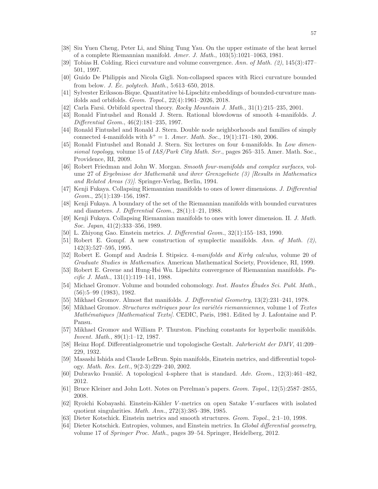- <span id="page-56-23"></span><span id="page-56-14"></span>[38] Siu Yuen Cheng, Peter Li, and Shing Tung Yau. On the upper estimate of the heat kernel of a complete Riemannian manifold. Amer. J. Math., 103(5):1021–1063, 1981.
- <span id="page-56-24"></span>[39] Tobias H. Colding. Ricci curvature and volume convergence. Ann. of Math. (2), 145(3):477– 501, 1997.
- <span id="page-56-10"></span>[40] Guido De Philippis and Nicola Gigli. Non-collapsed spaces with Ricci curvature bounded from below. *J. Ec. polytech. Math.*,  $5:613-650$ ,  $2018$ .
- <span id="page-56-22"></span>[41] Sylvester Eriksson-Bique. Quantitative bi-Lipschitz embeddings of bounded-curvature manifolds and orbifolds. Geom. Topol., 22(4):1961–2026, 2018.
- <span id="page-56-18"></span>[42] Carla Farsi. Orbifold spectral theory. Rocky Mountain J. Math., 31(1):215–235, 2001.
- <span id="page-56-19"></span>[43] Ronald Fintushel and Ronald J. Stern. Rational blowdowns of smooth 4-manifolds. J. Differential Geom., 46(2):181–235, 1997.
- <span id="page-56-16"></span>[44] Ronald Fintushel and Ronald J. Stern. Double node neighborhoods and families of simply connected 4-manifolds with  $b^+ = 1$ . Amer. Math. Soc., 19(1):171-180, 2006.
- [45] Ronald Fintushel and Ronald J. Stern. Six lectures on four 4-manifolds. In Low dimensional topology, volume 15 of  $IAS/Park City Math. Ser.$ , pages 265–315. Amer. Math. Soc., Providence, RI, 2009.
- <span id="page-56-25"></span>[46] Robert Friedman and John W. Morgan. Smooth four-manifolds and complex surfaces, volume 27 of Ergebnisse der Mathematik und ihrer Grenzgebiete (3) [Results in Mathematics and Related Areas (3)]. Springer-Verlag, Berlin, 1994.
- <span id="page-56-3"></span><span id="page-56-2"></span>[47] Kenji Fukaya. Collapsing Riemannian manifolds to ones of lower dimensions. J. Differential Geom., 25(1):139–156, 1987.
- [48] Kenji Fukaya. A boundary of the set of the Riemannian manifolds with bounded curvatures and diameters. J. Differential Geom., 28(1):1–21, 1988.
- <span id="page-56-4"></span>[49] Kenji Fukaya. Collapsing Riemannian manifolds to ones with lower dimension. II. J. Math. Soc. Japan, 41(2):333–356, 1989.
- <span id="page-56-21"></span><span id="page-56-17"></span>[50] L. Zhiyong Gao. Einstein metrics. J. Differential Geom., 32(1):155–183, 1990.
- [51] Robert E. Gompf. A new construction of symplectic manifolds. Ann. of Math. (2), 142(3):527–595, 1995.
- <span id="page-56-15"></span>[52] Robert E. Gompf and András I. Stipsicz. 4-manifolds and Kirby calculus, volume 20 of Graduate Studies in Mathematics. American Mathematical Society, Providence, RI, 1999.
- <span id="page-56-6"></span>[53] Robert E. Greene and Hung-Hsi Wu. Lipschitz convergence of Riemannian manifolds. Pacific J. Math., 131(1):119–141, 1988.
- <span id="page-56-5"></span>[54] Michael Gromov. Volume and bounded cohomology. *Inst. Hautes Études Sci. Publ. Math.*, (56):5–99 (1983), 1982.
- <span id="page-56-9"></span><span id="page-56-1"></span>[55] Mikhael Gromov. Almost flat manifolds. J. Differential Geometry, 13(2):231–241, 1978.
- [56] Mikhael Gromov. Structures métriques pour les variétés riemanniennes, volume 1 of Textes Mathématiques [Mathematical Texts]. CEDIC, Paris, 1981. Edited by J. Lafontaine and P. Pansu.
- <span id="page-56-13"></span>[57] Mikhael Gromov and William P. Thurston. Pinching constants for hyperbolic manifolds. Invent. Math., 89(1):1–12, 1987.
- <span id="page-56-0"></span>[58] Heinz Hopf. Differentialgeometrie und topologische Gestalt. Jahrbericht der DMV, 41:209– 229, 1932.
- <span id="page-56-8"></span>[59] Masashi Ishida and Claude LeBrun. Spin manifolds, Einstein metrics, and differential topology. Math. Res. Lett., 9(2-3):229–240, 2002.
- <span id="page-56-12"></span><span id="page-56-11"></span>[60] Dubravko Ivanšić. A topological 4-sphere that is standard. Adv. Geom.,  $12(3):461-482$ , 2012.
- <span id="page-56-26"></span>[61] Bruce Kleiner and John Lott. Notes on Perelman's papers. Geom. Topol., 12(5):2587–2855, 2008.
- [62] Ryoichi Kobayashi. Einstein-Kähler V-metrics on open Satake V-surfaces with isolated quotient singularities. Math. Ann., 272(3):385–398, 1985.
- <span id="page-56-20"></span><span id="page-56-7"></span>[63] Dieter Kotschick. Einstein metrics and smooth structures. Geom. Topol., 2:1–10, 1998.
- [64] Dieter Kotschick. Entropies, volumes, and Einstein metrics. In Global differential geometry, volume 17 of Springer Proc. Math., pages 39–54. Springer, Heidelberg, 2012.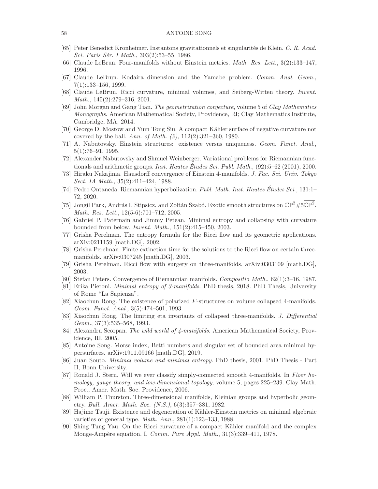- <span id="page-57-25"></span><span id="page-57-4"></span>[65] Peter Benedict Kronheimer. Instantons gravitationnels et singularités de Klein. C. R. Acad. Sci. Paris Sér. I Math., 303(2):53–55, 1986.
- <span id="page-57-5"></span>[66] Claude LeBrun. Four-manifolds without Einstein metrics. Math. Res. Lett., 3(2):133–147, 1996.
- <span id="page-57-6"></span>[67] Claude LeBrun. Kodaira dimension and the Yamabe problem. Comm. Anal. Geom., 7(1):133–156, 1999.
- <span id="page-57-14"></span>[68] Claude LeBrun. Ricci curvature, minimal volumes, and Seiberg-Witten theory. Invent. Math., 145(2):279–316, 2001.
- [69] John Morgan and Gang Tian. The geometrization conjecture, volume 5 of Clay Mathematics Monographs. American Mathematical Society, Providence, RI; Clay Mathematics Institute, Cambridge, MA, 2014.
- <span id="page-57-17"></span><span id="page-57-0"></span>[70] George D. Mostow and Yum Tong Siu. A compact K¨ahler surface of negative curvature not covered by the ball. Ann. of Math.  $(2)$ ,  $112(2):321-360$ , 1980.
- <span id="page-57-1"></span>[71] A. Nabutovsky. Einstein structures: existence versus uniqueness. Geom. Funct. Anal., 5(1):76–91, 1995.
- [72] Alexander Nabutovsky and Shmuel Weinberger. Variational problems for Riemannian functionals and arithmetic groups. *Inst. Hautes Études Sci. Publ. Math.*,  $(92):5-62$  (2001), 2000.
- <span id="page-57-21"></span><span id="page-57-2"></span>[73] Hiraku Nakajima. Hausdorff convergence of Einstein 4-manifolds. J. Fac. Sci. Univ. Tokyo Sect. IA Math., 35(2):411-424, 1988.
- [74] Pedro Ontaneda. Riemannian hyperbolization. Publ. Math. Inst. Hautes Études Sci., 131:1– 72, 2020.
- <span id="page-57-19"></span>[75] Jongil Park, András I. Stipsicz, and Zoltán Szabó. Exotic smooth structures on  $\mathbb{CP}^2 \# 5\overline{\mathbb{CP}^2}$ . Math. Res. Lett., 12(5-6):701–712, 2005.
- <span id="page-57-7"></span>[76] Gabriel P. Paternain and Jimmy Petean. Minimal entropy and collapsing with curvature bounded from below. Invent. Math., 151(2):415–450, 2003.
- <span id="page-57-10"></span>[77] Grisha Perelman. The entropy formula for the Ricci flow and its geometric applications. arXiv:0211159 [math.DG], 2002.
- <span id="page-57-12"></span>[78] Grisha Perelman. Finite extinction time for the solutions to the Ricci flow on certain threemanifolds. arXiv:0307245 [math.DG], 2003.
- <span id="page-57-11"></span><span id="page-57-3"></span>[79] Grisha Perelman. Ricci flow with surgery on three-manifolds. arXiv:0303109 [math.DG], 2003.
- <span id="page-57-16"></span>[80] Stefan Peters. Convergence of Riemannian manifolds. Compositio Math., 62(1):3–16, 1987.
- [81] Erika Pieroni. Minimal entropy of 3-manifolds. PhD thesis, 2018. PhD Thesis, University of Rome "La Sapienza".
- <span id="page-57-8"></span>[82] Xiaochun Rong. The existence of polarized F-structures on volume collapsed 4-manifolds. Geom. Funct. Anal., 3(5):474–501, 1993.
- <span id="page-57-13"></span>[83] Xiaochun Rong. The limiting eta invariants of collapsed three-manifolds. J. Differential Geom., 37(3):535–568, 1993.
- <span id="page-57-18"></span>[84] Alexandru Scorpan. The wild world of 4-manifolds. American Mathematical Society, Providence, RI, 2005.
- <span id="page-57-22"></span>[85] Antoine Song. Morse index, Betti numbers and singular set of bounded area minimal hypersurfaces. arXiv:1911.09166 [math.DG], 2019.
- <span id="page-57-15"></span>[86] Juan Souto. Minimal volume and minimal entropy. PhD thesis, 2001. PhD Thesis - Part II, Bonn University.
- <span id="page-57-20"></span>[87] Ronald J. Stern. Will we ever classify simply-connected smooth 4-manifolds. In Floer homology, gauge theory, and low-dimensional topology, volume 5, pages 225–239. Clay Math. Proc., Amer. Math. Soc. Providence, 2006.
- <span id="page-57-9"></span>[88] William P. Thurston. Three-dimensional manifolds, Kleinian groups and hyperbolic geometry. Bull. Amer. Math. Soc. (N.S.), 6(3):357–381, 1982.
- <span id="page-57-24"></span>[89] Hajime Tsuji. Existence and degeneration of Kähler-Einstein metrics on minimal algebraic varieties of general type. Math. Ann., 281(1):123–133, 1988.
- <span id="page-57-23"></span>[90] Shing Tung Yau. On the Ricci curvature of a compact Kähler manifold and the complex Monge-Ampère equation. I. Comm. Pure Appl. Math., 31(3):339-411, 1978.